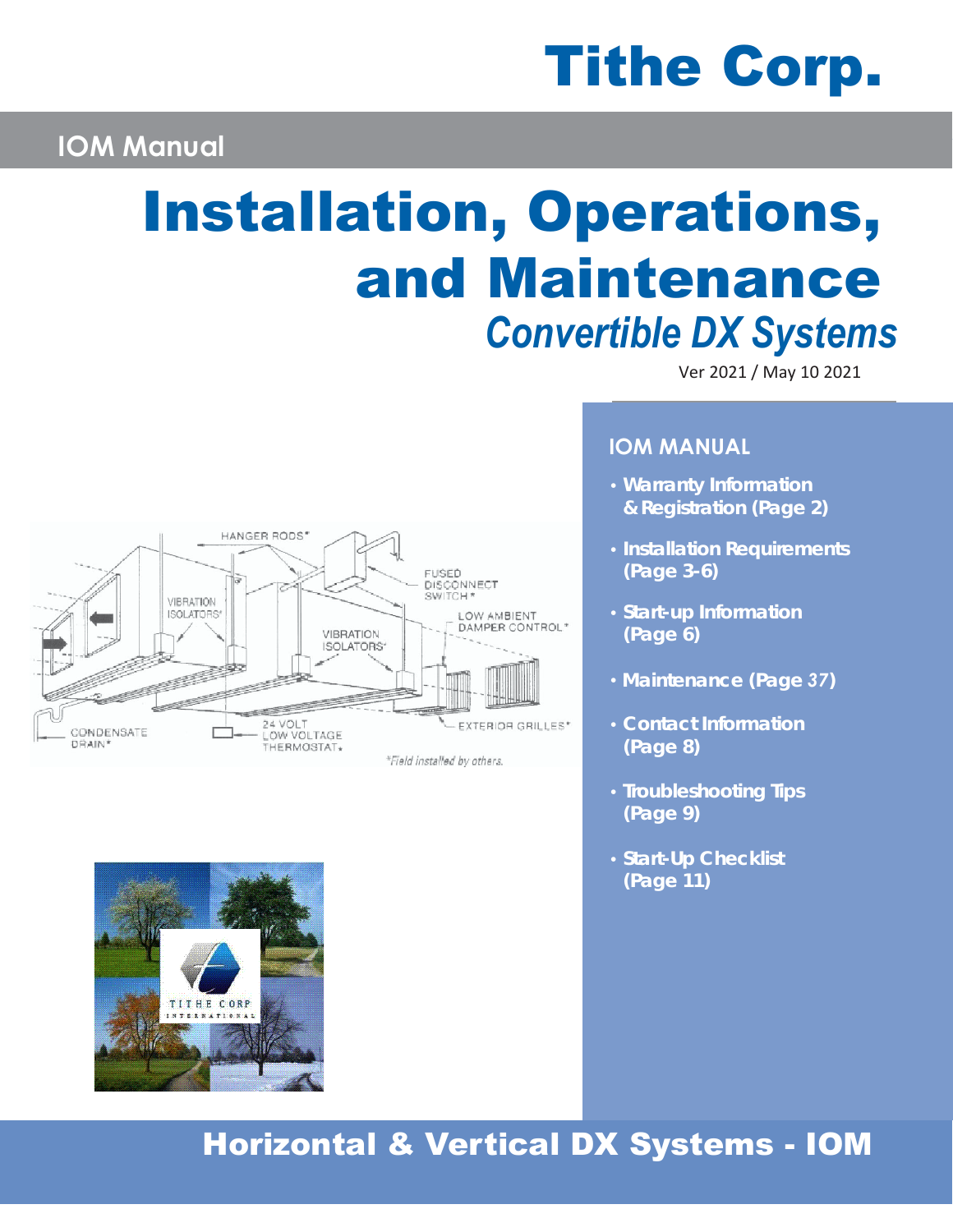# Tithe Corp.

## **IOM Manual**

## Installation, Operations, and Maintenance *Convertible DX Systems*

Ver 2021 / May 10 2021





## **IOM MANUAL**

- **•** *Warranty Information & Registration (Page 2)*
- **•** *Installation Requirements (Page 3-6)*
- **•** *Start-up Information (Page 6)*
- **•** *Maintenance (Page 37)*
- **•** *Contact Information (Page 8)*
- **•** *Troubleshooting Tips (Page 9)*
- **•** *Start-Up Checklist (Page 11)*

## Horizontal & Vertical DX Systems - IOM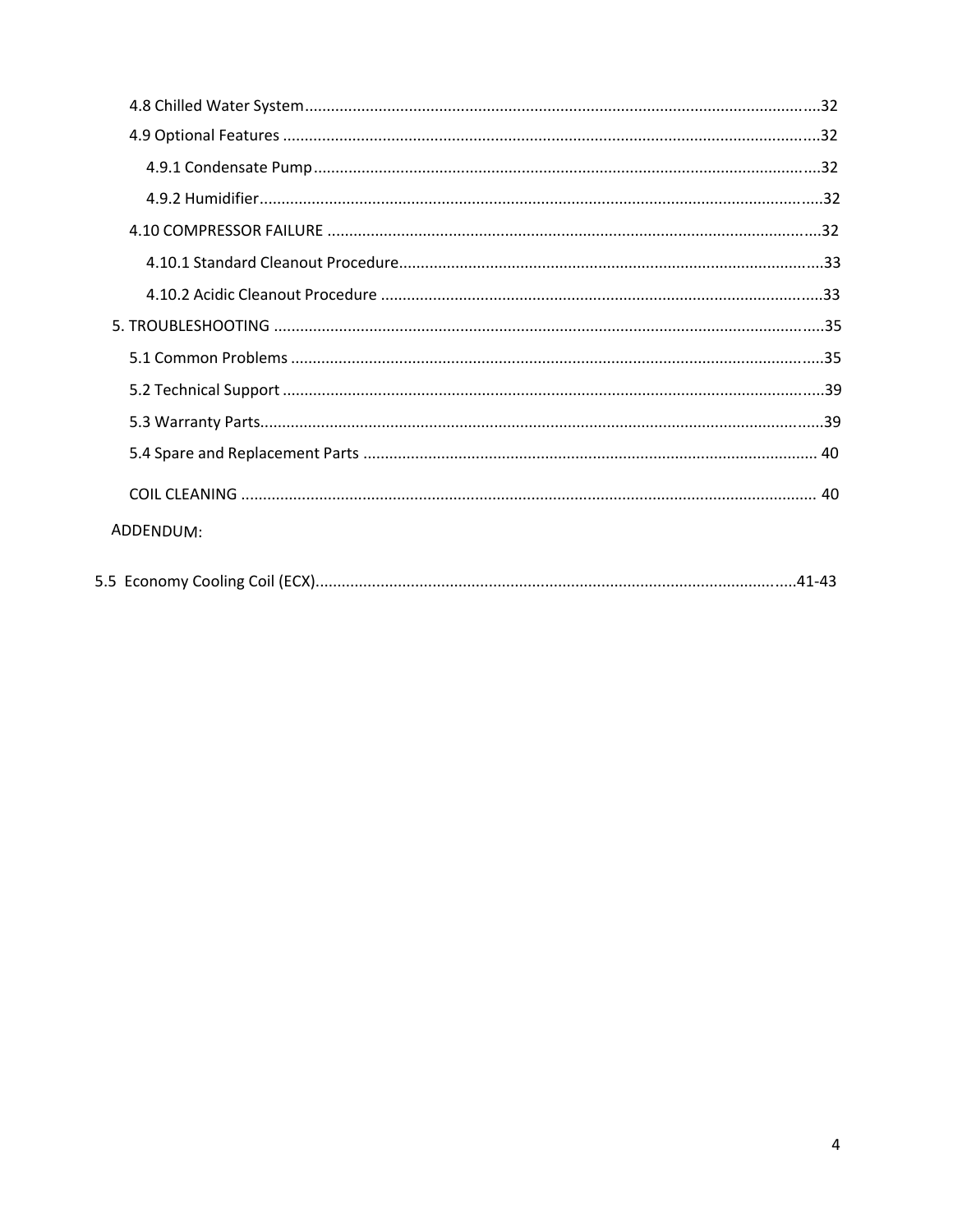| ADDENDUM: |
|-----------|
|           |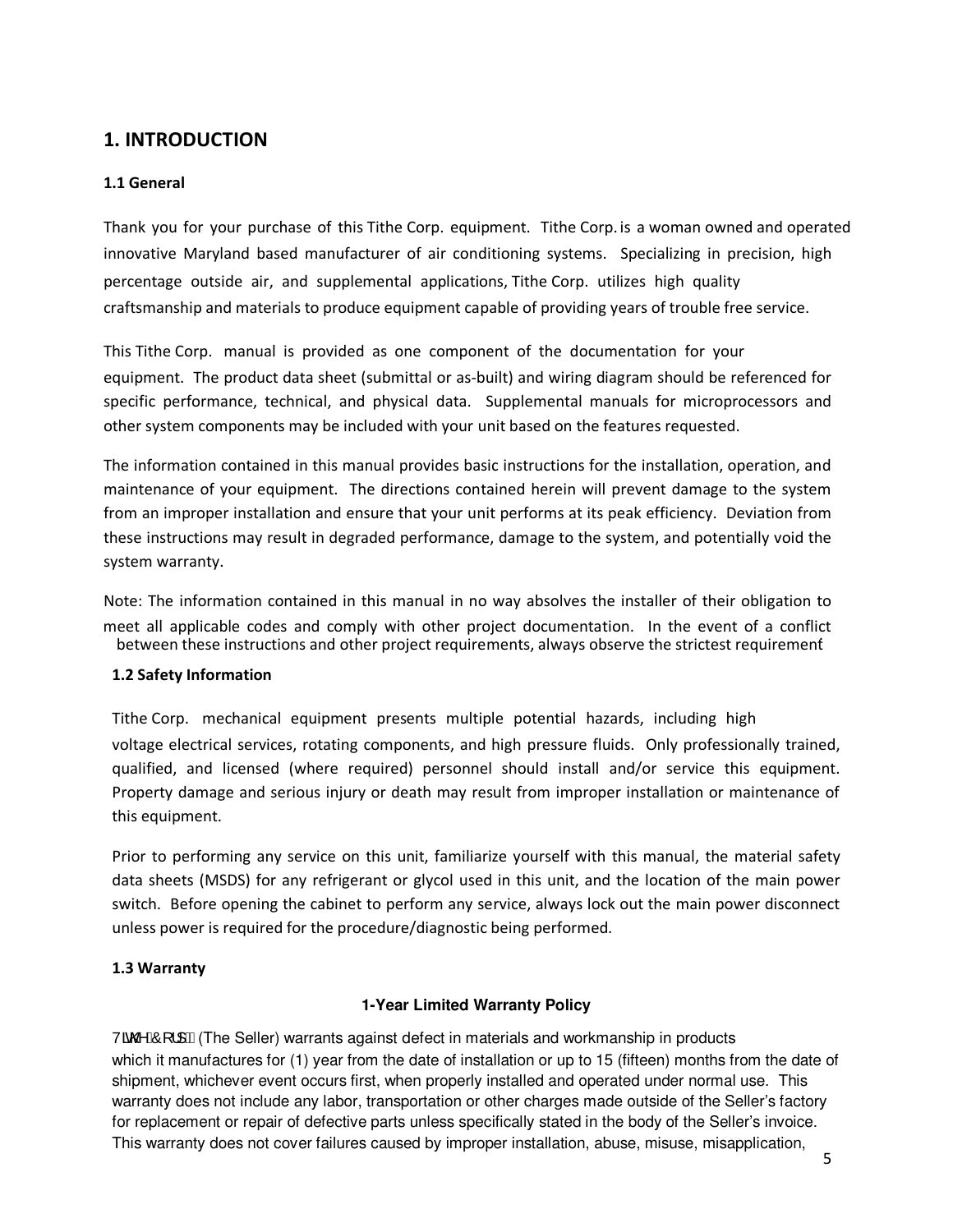## **1. INTRODUCTION**

#### **1.1 General**

Thank you for your purchase of this Tithe Corp. equipment. Tithe Corp. is a woman owned and operated innovative Maryland based manufacturer of air conditioning systems. Specializing in precision, high percentage outside air, and supplemental applications, Tithe Corp. utilizes high quality craftsmanship and materials to produce equipment capable of providing years of trouble free service.

This Tithe Corp. manual is provided as one component of the documentation for your equipment. The product data sheet (submittal or as-built) and wiring diagram should be referenced for specific performance, technical, and physical data. Supplemental manuals for microprocessors and other system components may be included with your unit based on the features requested.

The information contained in this manual provides basic instructions for the installation, operation, and maintenance of your equipment. The directions contained herein will prevent damage to the system from an improper installation and ensure that your unit performs at its peak efficiency. Deviation from these instructions may result in degraded performance, damage to the system, and potentially void the system warranty.

Note: The information contained in this manual in no way absolves the installer of their obligation to meet all applicable codes and comply with other project documentation. In the event of a conflict between these instructions and other project requirements, always observe the strictest requirement.

#### **1.2 Safety Information**

Tithe Corp. mechanical equipment presents multiple potential hazards, including high voltage electrical services, rotating components, and high pressure fluids. Only professionally trained, qualified, and licensed (where required) personnel should install and/or service this equipment. Property damage and serious injury or death may result from improper installation or maintenance of this equipment.

Prior to performing any service on this unit, familiarize yourself with this manual, the material safety data sheets (MSDS) for any refrigerant or glycol used in this unit, and the location of the main power switch. Before opening the cabinet to perform any service, always lock out the main power disconnect unless power is required for the procedure/diagnostic being performed.

#### **1.3 Warranty**

#### **1-Year Limited Warranty Policy**

 $\sqrt{\alpha}$  AO  $\vert$  | EA(The Seller) warrants against defect in materials and workmanship in products which it manufactures for (1) year from the date of installation or up to 15 (fifteen) months from the date of shipment, whichever event occurs first, when properly installed and operated under normal use. This warranty does not include any labor, transportation or other charges made outside of the Seller's factory for replacement or repair of defective parts unless specifically stated in the body of the Seller's invoice. This warranty does not cover failures caused by improper installation, abuse, misuse, misapplication,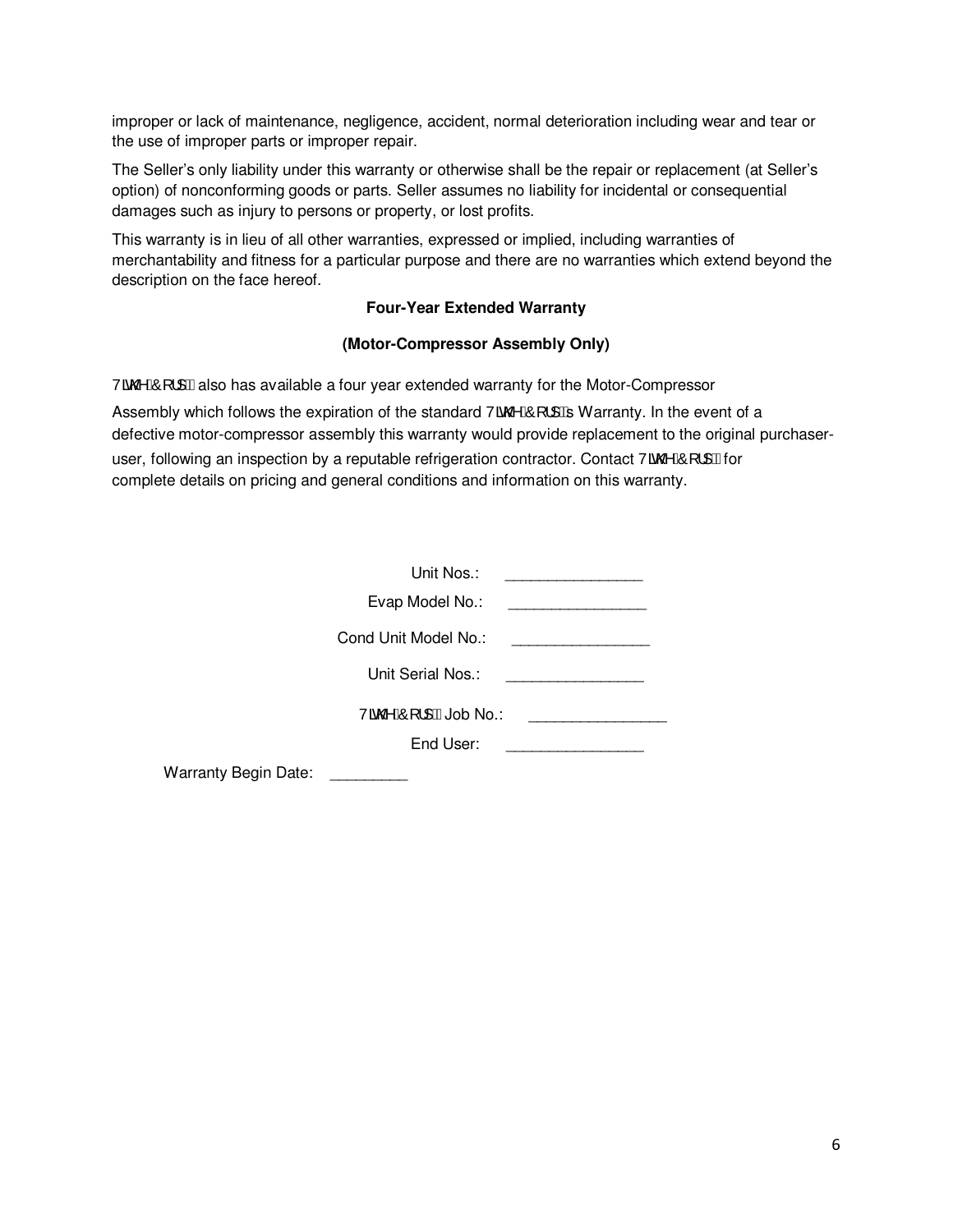improper or lack of maintenance, negligence, accident, normal deterioration including wear and tear or the use of improper parts or improper repair.

The Seller's only liability under this warranty or otherwise shall be the repair or replacement (at Seller's option) of nonconforming goods or parts. Seller assumes no liability for incidental or consequential damages such as injury to persons or property, or lost profits.

This warranty is in lieu of all other warranties, expressed or implied, including warranties of merchantability and fitness for a particular purpose and there are no warranties which extend beyond the description on the face hereof.

#### **Four-Year Extended Warranty**

#### **(Motor-Compressor Assembly Only)**

Vão ÁO[ :] Halso has available a four year extended warranty for the Motor-Compressor Assembly which follows the expiration of the standard Vã@AO[ |]  $\mathbb B$  Warranty. In the event of a defective motor-compressor assembly this warranty would provide replacement to the original purchaseruser, following an inspection by a reputable refrigeration contractor. Contact Va  $\&$  (i) if the right complete details on pricing and general conditions and information on this warranty.

|                             | Unit Nos.:            |  |
|-----------------------------|-----------------------|--|
|                             | Evap Model No.:       |  |
|                             | Cond Unit Model No.:  |  |
|                             | Unit Serial Nos.:     |  |
|                             | Vão 2AÔ [  HAJob No.: |  |
|                             | End User:             |  |
| <b>Warranty Begin Date:</b> |                       |  |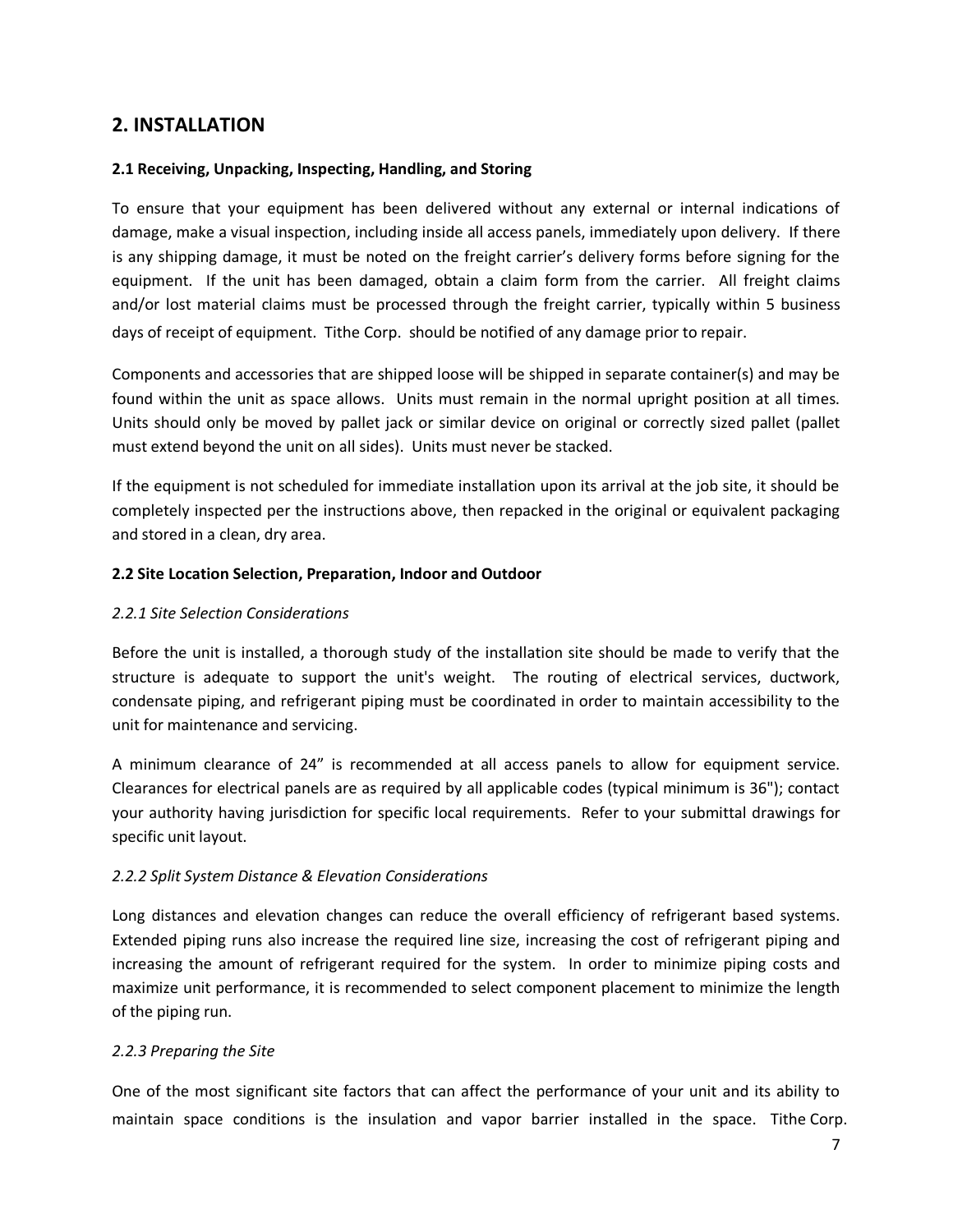#### **2. INSTALLATION**

#### **2.1 Receiving, Unpacking, Inspecting, Handling, and Storing**

To ensure that your equipment has been delivered without any external or internal indications of damage, make a visual inspection, including inside all access panels, immediately upon delivery. If there is any shipping damage, it must be noted on the freight carrier's delivery forms before signing for the equipment. If the unit has been damaged, obtain a claim form from the carrier. All freight claims and/or lost material claims must be processed through the freight carrier, typically within 5 business days of receipt of equipment. Tithe Corp. should be notified of any damage prior to repair.

Components and accessories that are shipped loose will be shipped in separate container(s) and may be found within the unit as space allows. Units must remain in the normal upright position at all times. Units should only be moved by pallet jack or similar device on original or correctly sized pallet (pallet must extend beyond the unit on all sides). Units must never be stacked.

If the equipment is not scheduled for immediate installation upon its arrival at the job site, it should be completely inspected per the instructions above, then repacked in the original or equivalent packaging and stored in a clean, dry area.

#### **2.2 Site Location Selection, Preparation, Indoor and Outdoor**

#### *2.2.1 Site Selection Considerations*

Before the unit is installed, a thorough study of the installation site should be made to verify that the structure is adequate to support the unit's weight. The routing of electrical services, ductwork, condensate piping, and refrigerant piping must be coordinated in order to maintain accessibility to the unit for maintenance and servicing.

A minimum clearance of 24" is recommended at all access panels to allow for equipment service. Clearances for electrical panels are as required by all applicable codes (typical minimum is 36"); contact your authority having jurisdiction for specific local requirements. Refer to your submittal drawings for specific unit layout.

#### *2.2.2 Split System Distance & Elevation Considerations*

Long distances and elevation changes can reduce the overall efficiency of refrigerant based systems. Extended piping runs also increase the required line size, increasing the cost of refrigerant piping and increasing the amount of refrigerant required for the system. In order to minimize piping costs and maximize unit performance, it is recommended to select component placement to minimize the length of the piping run.

#### *2.2.3 Preparing the Site*

One of the most significant site factors that can affect the performance of your unit and its ability to maintain space conditions is the insulation and vapor barrier installed in the space. Tithe Corp.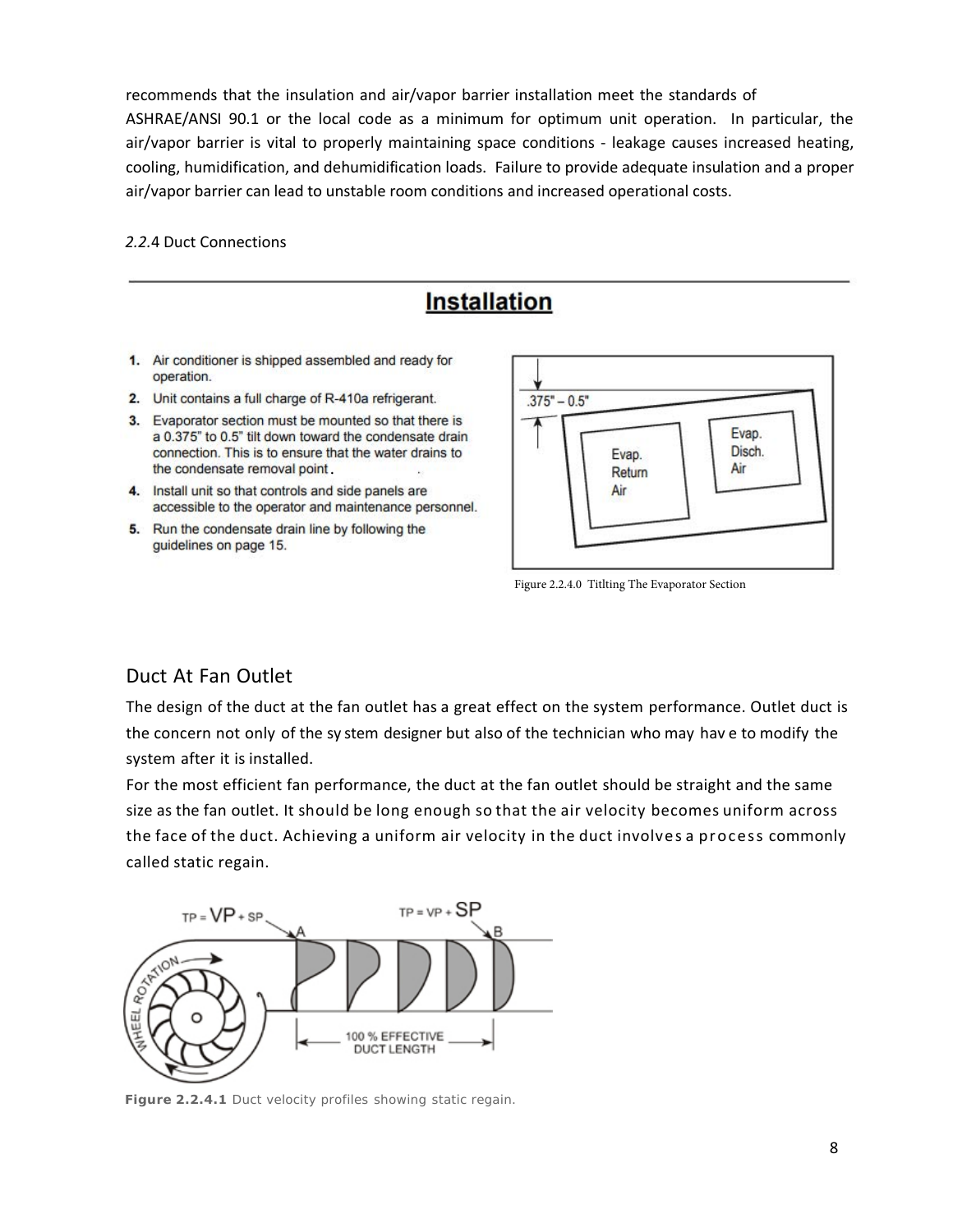recommends that the insulation and air/vapor barrier installation meet the standards of ASHRAE/ANSI 90.1 or the local code as a minimum for optimum unit operation. In particular, the air/vapor barrier is vital to properly maintaining space conditions - leakage causes increased heating, cooling, humidification, and dehumidification loads. Failure to provide adequate insulation and a proper air/vapor barrier can lead to unstable room conditions and increased operational costs.

*2.2.*4 Duct Connections

## **Installation**

- 1. Air conditioner is shipped assembled and ready for operation.
- 2. Unit contains a full charge of R-410a refrigerant.
- 3. Evaporator section must be mounted so that there is a 0.375" to 0.5" tilt down toward the condensate drain connection. This is to ensure that the water drains to the condensate removal point
- 4. Install unit so that controls and side panels are accessible to the operator and maintenance personnel.
- 5. Run the condensate drain line by following the guidelines on page 15.



Figure 2.2.4.0 Titlting The Evaporator Section

#### Duct At Fan Outlet

The design of the duct at the fan outlet has a great effect on the system performance. Outlet duct is the concern not only of the sy stem designer but also of the technician who may hav e to modify the system after it is installed.

For the most efficient fan performance, the duct at the fan outlet should be straight and the same size as the fan outlet. It should be long enough so that the air velocity becomes uniform across the face of the duct. Achieving a uniform air velocity in the duct involves a process commonly called static regain.



**Figure 2.2.4.1** Duct velocity profiles showing static regain.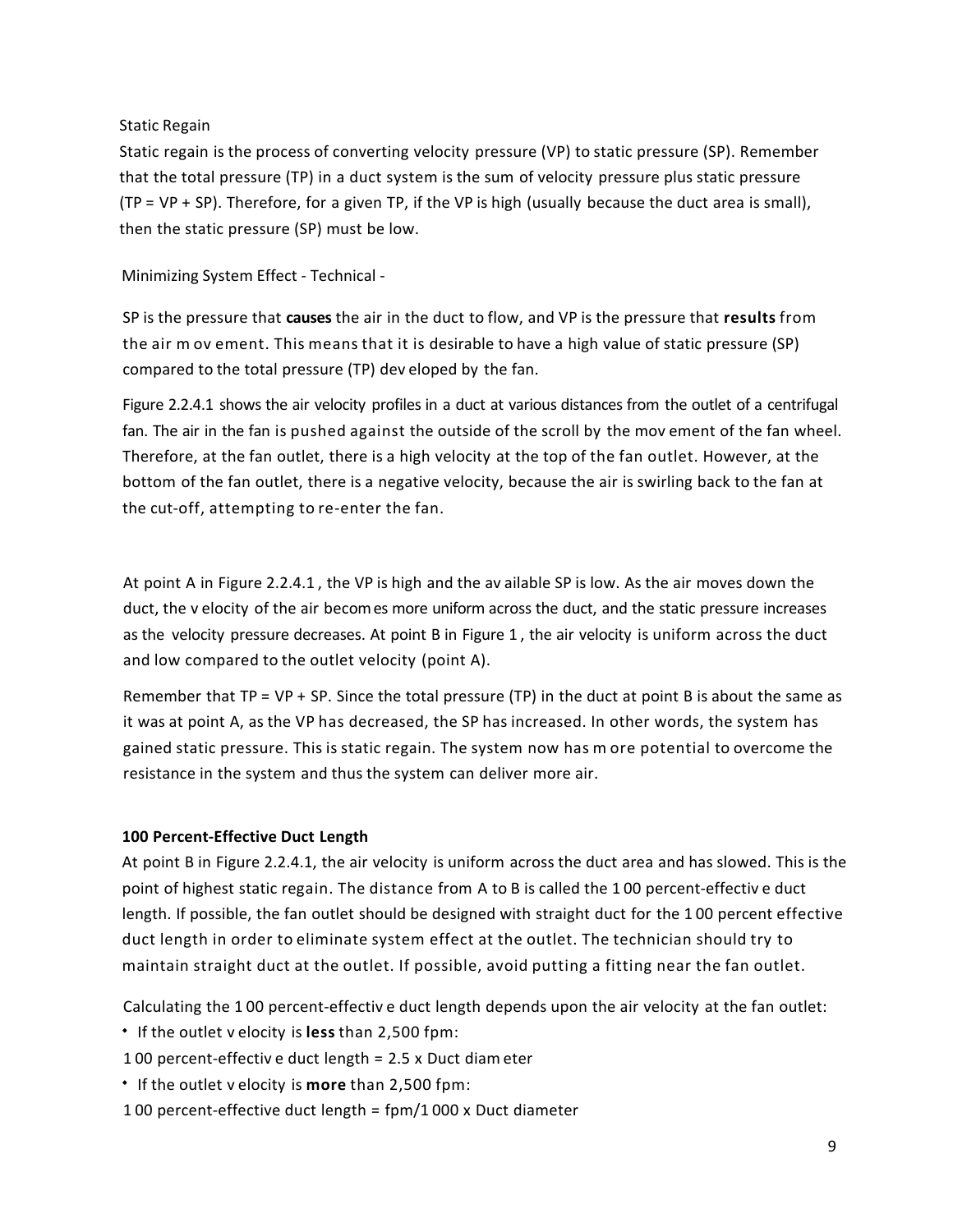#### Static Regain

Static regain is the process of converting velocity pressure (VP) to static pressure (SP). Remember that the total pressure (TP) in a duct system is the sum of velocity pressure plus static pressure (TP = VP + SP). Therefore, for a given TP, if the VP is high (usually because the duct area is small), then the static pressure (SP) must be low.

Minimizing System Effect - Technical -

SP is the pressure that **causes** the air in the duct to flow, and VP is the pressure that **results** from the air m ov ement. This means that it is desirable to have a high value of static pressure (SP) compared to the total pressure (TP) dev eloped by the fan.

Figure 2.2.4.1 shows the air velocity profiles in a duct at various distances from the outlet of a centrifugal fan. The air in the fan is pushed against the outside of the scroll by the mov ement of the fan wheel. Therefore, at the fan outlet, there is a high velocity at the top of the fan outlet. However, at the bottom of the fan outlet, there is a negative velocity, because the air is swirling back to the fan at the cut-off, attempting to re-enter the fan.

At point A in Figure 2.2.4.1 , the VP is high and the av ailable SP is low. As the air moves down the duct, the v elocity of the air becomes more uniform across the duct, and the static pressure increases as the velocity pressure decreases. At point B in Figure 1 , the air velocity is uniform across the duct and low compared to the outlet velocity (point A).

Remember that  $TP = VP + SP$ . Since the total pressure (TP) in the duct at point B is about the same as it was at point A, as the VP has decreased, the SP has increased. In other words, the system has gained static pressure. This is static regain. The system now has m ore potential to overcome the resistance in the system and thus the system can deliver more air.

#### **100 Percent-Effective Duct Length**

At point B in Figure 2.2.4.1, the air velocity is uniform across the duct area and has slowed. This is the point of highest static regain. The distance from A to B is called the 1 00 percent-effectiv e duct length. If possible, the fan outlet should be designed with straight duct for the 1 00 percent effective duct length in order to eliminate system effect at the outlet. The technician should try to maintain straight duct at the outlet. If possible, avoid putting a fitting near the fan outlet.

Calculating the 1 00 percent-effectiv e duct length depends upon the air velocity at the fan outlet:

- If the outlet v elocity is **less** than 2,500 fpm:
- 1 00 percent-effectiv e duct length = 2.5 x Duct diam eter
- If the outlet v elocity is **more** than 2,500 fpm:
- 1 00 percent-effective duct length = fpm/1 000 x Duct diameter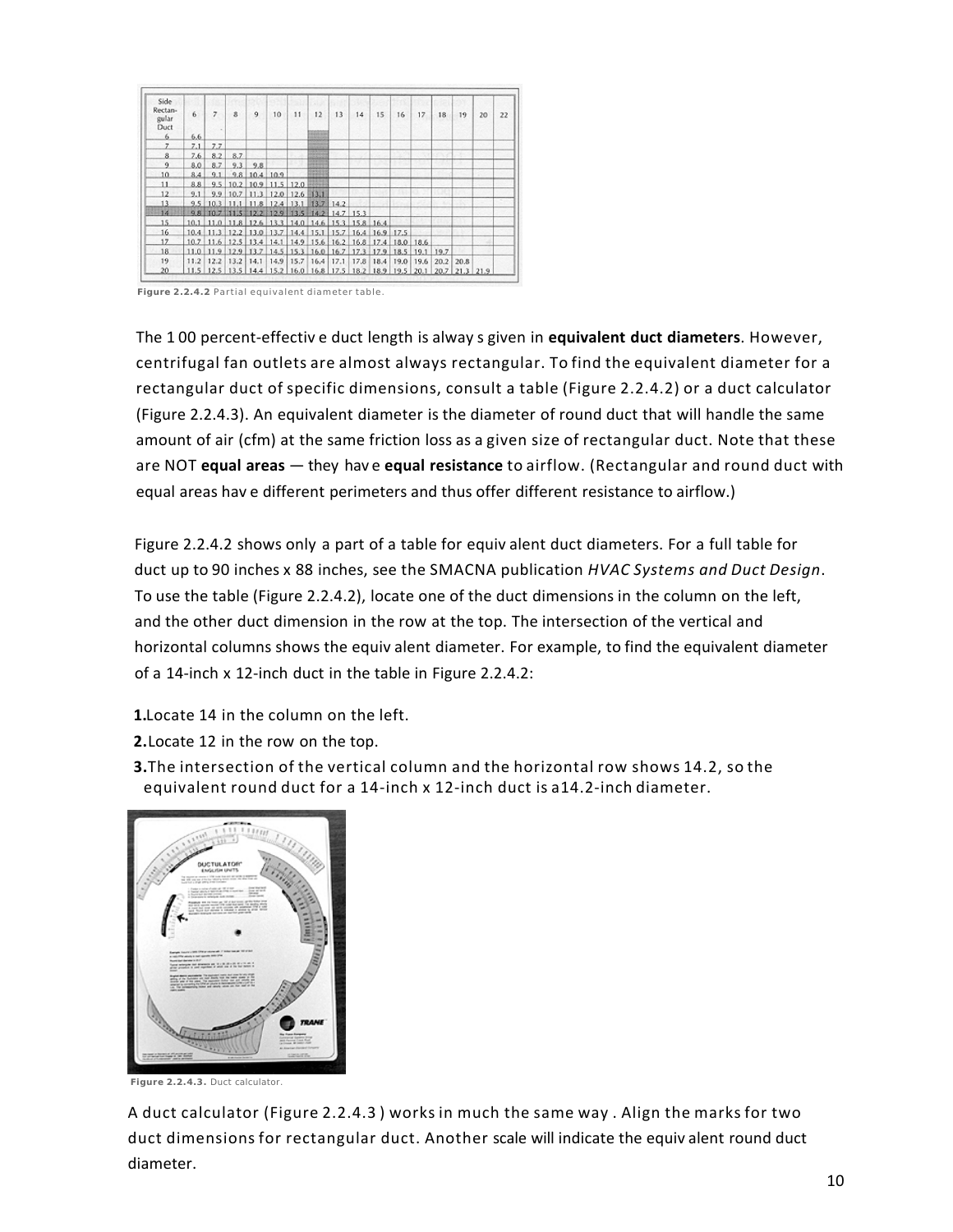| Side<br>Rectan-<br>gular<br>Duct | 6    | 7   | 8                | 9                          | 10                                                | 11                   | 12                              | 13   | 14   | 15                                                               | 16   | 17   | 18          | 19          | 20 | 22 |
|----------------------------------|------|-----|------------------|----------------------------|---------------------------------------------------|----------------------|---------------------------------|------|------|------------------------------------------------------------------|------|------|-------------|-------------|----|----|
| 6.                               | 6.6  |     |                  |                            |                                                   |                      |                                 |      |      |                                                                  |      |      |             |             |    |    |
| 7                                | 7.1  | 7.7 |                  |                            |                                                   |                      |                                 |      |      |                                                                  |      |      |             |             |    |    |
| 8                                | 7.6. | 8.2 | 8.7              |                            |                                                   |                      | <b>SOPIS</b>                    |      |      |                                                                  |      |      |             |             |    |    |
| 9                                | 8.0  | 8.7 | 9.3              | 9.8                        |                                                   |                      | 122770<br><b>Paradox 2</b> (2)  |      |      |                                                                  |      |      |             |             |    |    |
| 10                               | 8.4  | 9.1 |                  | $9.8$ 10.4 10.9            |                                                   |                      | carsicio de<br><b>Search of</b> |      |      |                                                                  |      |      |             |             |    |    |
| 11                               | 8.8. |     |                  |                            | $9.5$ 10.2 10.9 11.5 12.0                         |                      | 13301                           |      |      |                                                                  |      |      |             |             |    |    |
| 12                               | 9.1  |     |                  |                            | 9.9 10.7 11.3 12.0 12.6 13.1                      |                      |                                 |      |      |                                                                  |      |      |             |             |    |    |
| 13                               | 9.5  |     |                  |                            | 10.3 11.1 11.8 12.4 13.1 13.7 14.2                |                      |                                 |      |      |                                                                  |      |      |             |             |    |    |
| 14                               |      |     |                  |                            | 9.8 10.7 11.5 12.2 12.9 13.5 14.2 14.7 15.3       |                      |                                 |      |      |                                                                  |      |      |             |             |    |    |
| 15                               |      |     |                  |                            | 10.1 11.0 11.8 12.6 13.3 14.0 14.6 15.3 15.8 16.4 |                      |                                 |      |      |                                                                  |      |      |             |             |    |    |
| 16                               |      |     |                  | 10.4 11.3 12.2 13.0 13.7   |                                                   |                      |                                 |      |      | 14.4 15.1 15.7 16.4 16.9 17.5                                    |      |      |             |             |    |    |
| 17                               |      |     |                  | $10.7$ 11.6 12.5 13.4 14.1 |                                                   |                      |                                 |      |      | 14.9 15.6 16.2 16.8 17.4 18.0 18.6                               |      |      |             |             |    |    |
| 18                               |      |     |                  |                            |                                                   |                      |                                 |      |      | 11.0 11.9 12.9 13.7 14.5 15.3 16.0 16.7 17.3 17.9 18.5 19.1 19.7 |      |      |             |             |    |    |
| 19                               | 11.2 |     | $12.2$ 13.2 14.1 |                            |                                                   | $14.9$   15.7   16.4 |                                 | 17.1 | 17.8 | 18.4                                                             | 19.0 | 19.6 | $20.2$ 20.8 |             |    |    |
| 20                               | 11.5 |     |                  |                            | 12.5 13.5 14.4 15.2 16.0 16.8 17.5 18.2 18.9 19.5 |                      |                                 |      |      |                                                                  |      | 20.1 | 20.7        | $21.3$ 21.9 |    |    |

**Figure 2.2.4.2** Partial equivalent diameter table.

The 1 00 percent-effectiv e duct length is alway s given in **equivalent duct diameters**. However, centrifugal fan outlets are almost always rectangular. To find the equivalent diameter for a rectangular duct of specific dimensions, consult a table (Figure 2.2.4.2) or a duct calculator (Figure 2.2.4.3). An equivalent diameter is the diameter of round duct that will handle the same amount of air (cfm) at the same friction loss as a given size of rectangular duct. Note that these are NOT **equal areas** — they hav e **equal resistance** to airflow. (Rectangular and round duct with equal areas hav e different perimeters and thus offer different resistance to airflow.)

Figure 2.2.4.2 shows only a part of a table for equiv alent duct diameters. For a full table for duct up to 90 inches x 88 inches, see the SMACNA publication *HVAC Systems and Duct Design*. To use the table (Figure 2.2.4.2), locate one of the duct dimensions in the column on the left, and the other duct dimension in the row at the top. The intersection of the vertical and horizontal columns shows the equiv alent diameter. For example, to find the equivalent diameter of a 14-inch x 12-inch duct in the table in Figure 2.2.4.2:

- **1.**Locate 14 in the column on the left.
- **2.** Locate 12 in the row on the top.
- **3.** The intersection of the vertical column and the horizontal row shows 14.2, so the equivalent round duct for a 14-inch x 12-inch duct is a14.2-inch diameter.



**Figure 2.2.4.3.** Duct calculator.

A duct calculator (Figure 2.2.4.3 ) works in much the same way . Align the marks for two duct dimensions for rectangular duct. Another scale will indicate the equiv alent round duct diameter.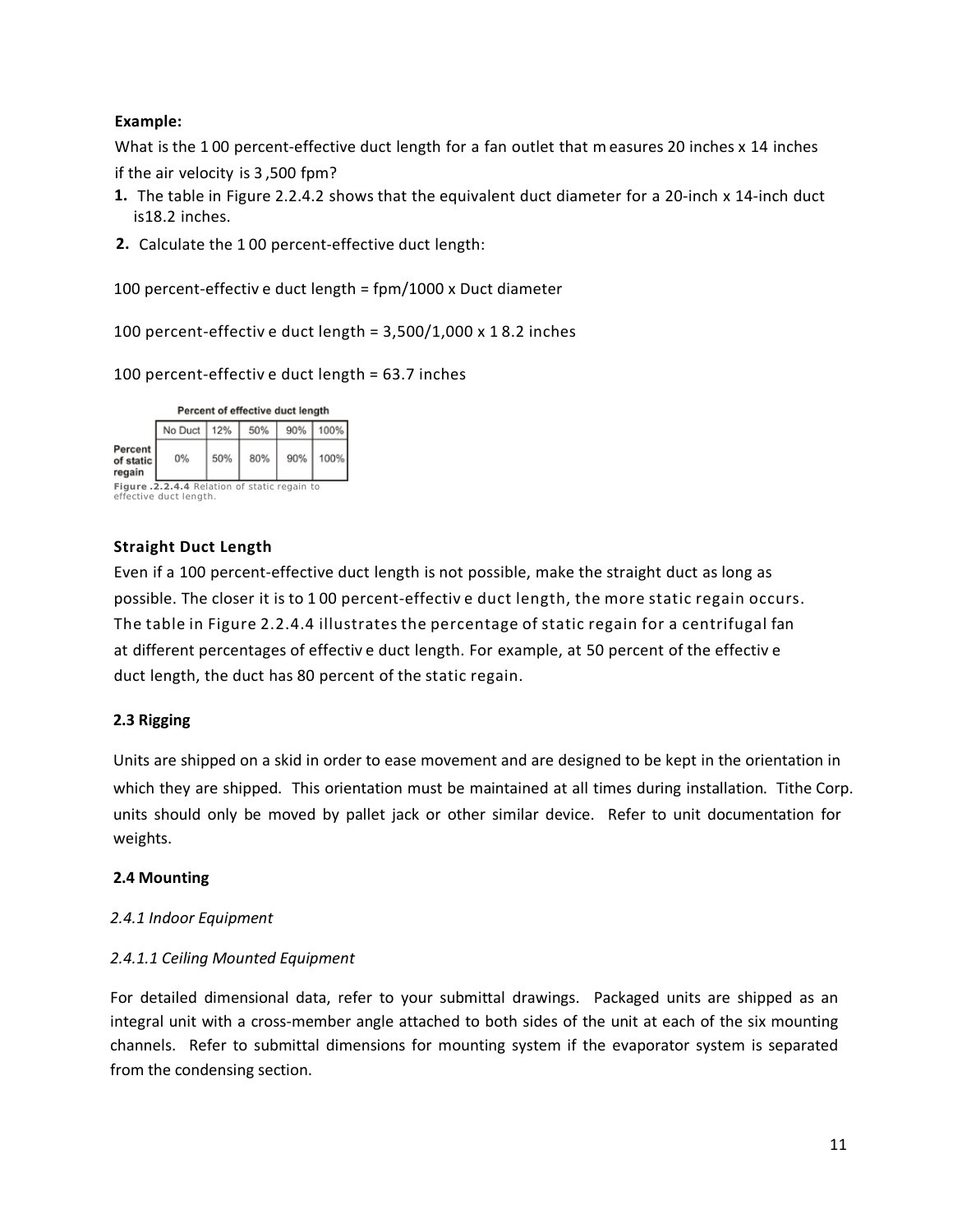#### **Example:**

What is the 100 percent-effective duct length for a fan outlet that m easures 20 inches x 14 inches if the air velocity is 3 ,500 fpm?

- **1.** The table in Figure 2.2.4.2 shows that the equivalent duct diameter for a 20-inch x 14-inch duct is18.2 inches.
- **2.** Calculate the 1 00 percent-effective duct length:

100 percent-effectiv e duct length = fpm/1000 x Duct diameter

100 percent-effectiv e duct length = 3,500/1,000 x 1 8.2 inches

100 percent-effectiv e duct length = 63.7 inches

| Percent of effective duct length             |                                      |     |     |     |      |  |  |  |  |  |  |
|----------------------------------------------|--------------------------------------|-----|-----|-----|------|--|--|--|--|--|--|
|                                              | 100%<br>90%<br>No Duct<br>12%<br>50% |     |     |     |      |  |  |  |  |  |  |
| Percent<br>of static<br>regain               | 0%                                   | 50% | 80% | 90% | 100% |  |  |  |  |  |  |
| Figure .2.2.4.4 Relation of static regain to |                                      |     |     |     |      |  |  |  |  |  |  |

effective duct length.

#### **Straight Duct Length**

Even if a 100 percent-effective duct length is not possible, make the straight duct as long as possible. The closer it is to 1 00 percent-effectiv e duct length, the more static regain occurs. The table in Figure 2.2.4.4 illustrates the percentage of static regain for a centrifugal fan at different percentages of effectiv e duct length. For example, at 50 percent of the effectiv e duct length, the duct has 80 percent of the static regain.

#### **2.3 Rigging**

Units are shipped on a skid in order to ease movement and are designed to be kept in the orientation in which they are shipped. This orientation must be maintained at all times during installation. Tithe Corp. units should only be moved by pallet jack or other similar device. Refer to unit documentation for weights.

#### **2.4 Mounting**

#### *2.4.1 Indoor Equipment*

#### *2.4.1.1 Ceiling Mounted Equipment*

For detailed dimensional data, refer to your submittal drawings. Packaged units are shipped as an integral unit with a cross-member angle attached to both sides of the unit at each of the six mounting channels. Refer to submittal dimensions for mounting system if the evaporator system is separated from the condensing section.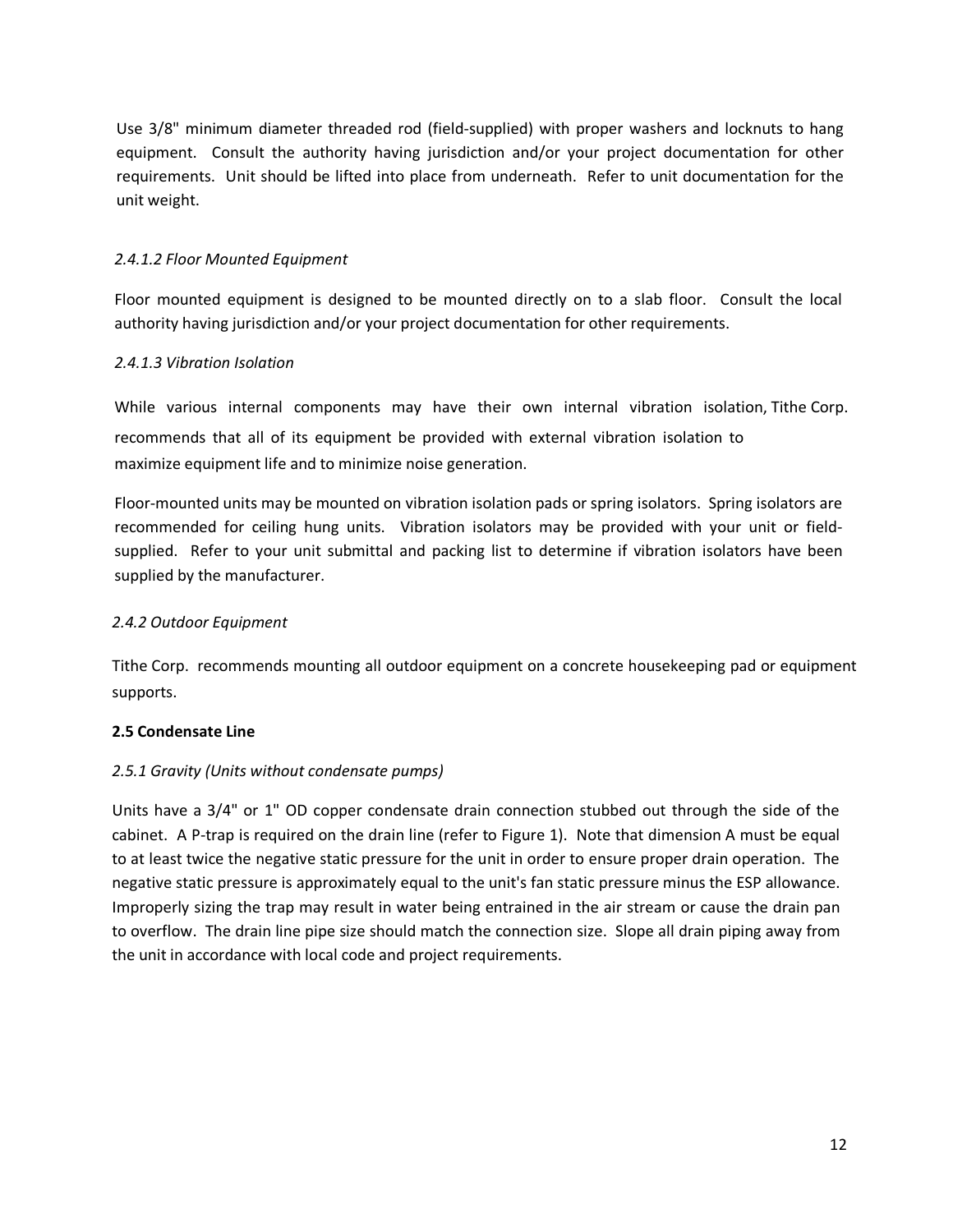Use 3/8" minimum diameter threaded rod (field-supplied) with proper washers and locknuts to hang equipment. Consult the authority having jurisdiction and/or your project documentation for other requirements. Unit should be lifted into place from underneath. Refer to unit documentation for the unit weight.

#### *2.4.1.2 Floor Mounted Equipment*

Floor mounted equipment is designed to be mounted directly on to a slab floor. Consult the local authority having jurisdiction and/or your project documentation for other requirements.

#### *2.4.1.3 Vibration Isolation*

While various internal components may have their own internal vibration isolation, Tithe Corp. recommends that all of its equipment be provided with external vibration isolation to maximize equipment life and to minimize noise generation.

Floor-mounted units may be mounted on vibration isolation pads or spring isolators. Spring isolators are recommended for ceiling hung units. Vibration isolators may be provided with your unit or fieldsupplied. Refer to your unit submittal and packing list to determine if vibration isolators have been supplied by the manufacturer.

#### *2.4.2 Outdoor Equipment*

Tithe Corp. recommends mounting all outdoor equipment on a concrete housekeeping pad or equipment supports.

#### **2.5 Condensate Line**

#### *2.5.1 Gravity (Units without condensate pumps)*

Units have a 3/4" or 1" OD copper condensate drain connection stubbed out through the side of the cabinet. A P-trap is required on the drain line (refer to Figure 1). Note that dimension A must be equal to at least twice the negative static pressure for the unit in order to ensure proper drain operation. The negative static pressure is approximately equal to the unit's fan static pressure minus the ESP allowance. Improperly sizing the trap may result in water being entrained in the air stream or cause the drain pan to overflow. The drain line pipe size should match the connection size. Slope all drain piping away from the unit in accordance with local code and project requirements.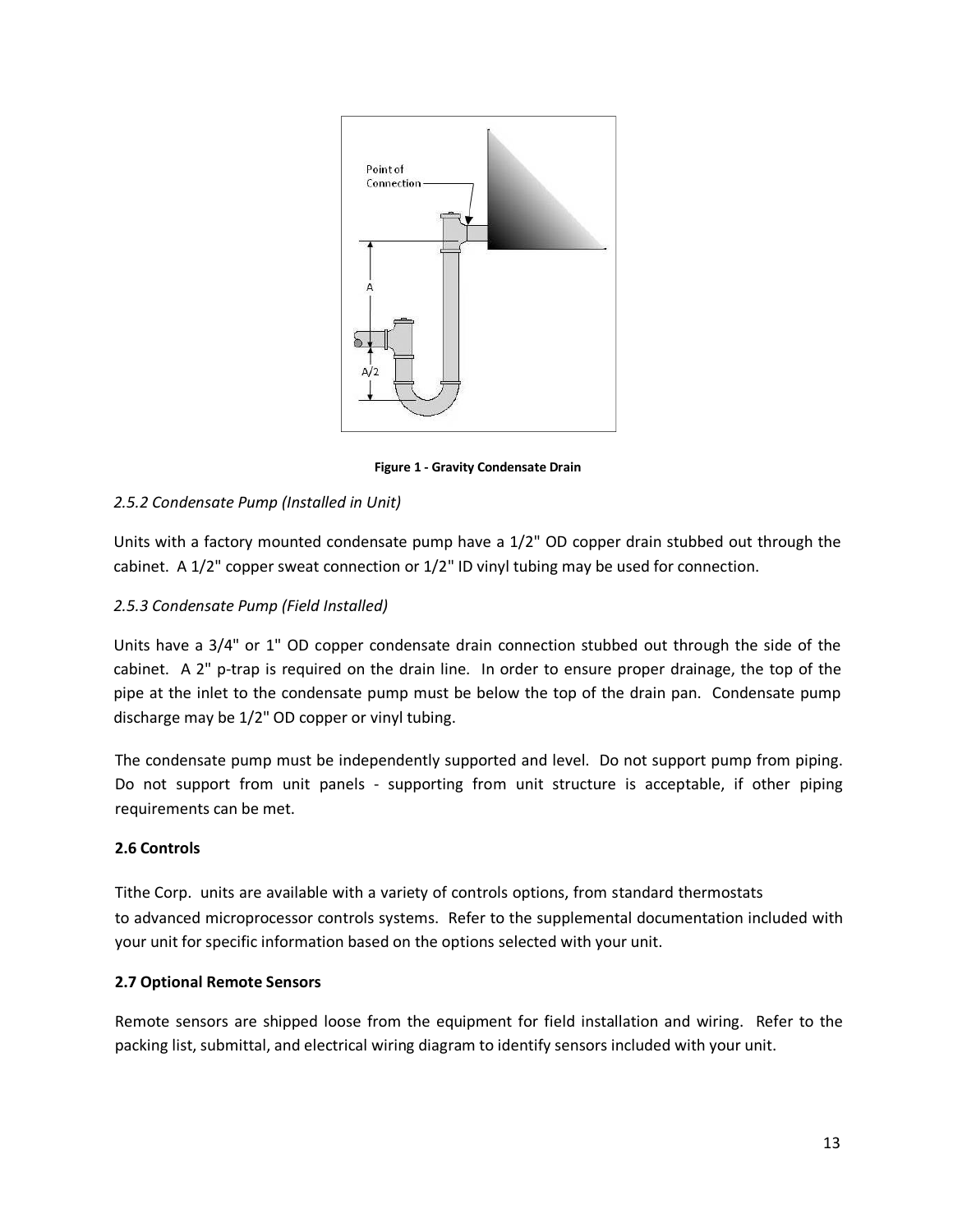

**Figure 1 - Gravity Condensate Drain** 

#### *2.5.2 Condensate Pump (Installed in Unit)*

Units with a factory mounted condensate pump have a 1/2" OD copper drain stubbed out through the cabinet. A 1/2" copper sweat connection or 1/2" ID vinyl tubing may be used for connection.

#### *2.5.3 Condensate Pump (Field Installed)*

Units have a 3/4" or 1" OD copper condensate drain connection stubbed out through the side of the cabinet. A 2" p-trap is required on the drain line. In order to ensure proper drainage, the top of the pipe at the inlet to the condensate pump must be below the top of the drain pan. Condensate pump discharge may be 1/2" OD copper or vinyl tubing.

The condensate pump must be independently supported and level. Do not support pump from piping. Do not support from unit panels - supporting from unit structure is acceptable, if other piping requirements can be met.

#### **2.6 Controls**

Tithe Corp. units are available with a variety of controls options, from standard thermostats to advanced microprocessor controls systems. Refer to the supplemental documentation included with your unit for specific information based on the options selected with your unit.

#### **2.7 Optional Remote Sensors**

Remote sensors are shipped loose from the equipment for field installation and wiring. Refer to the packing list, submittal, and electrical wiring diagram to identify sensors included with your unit.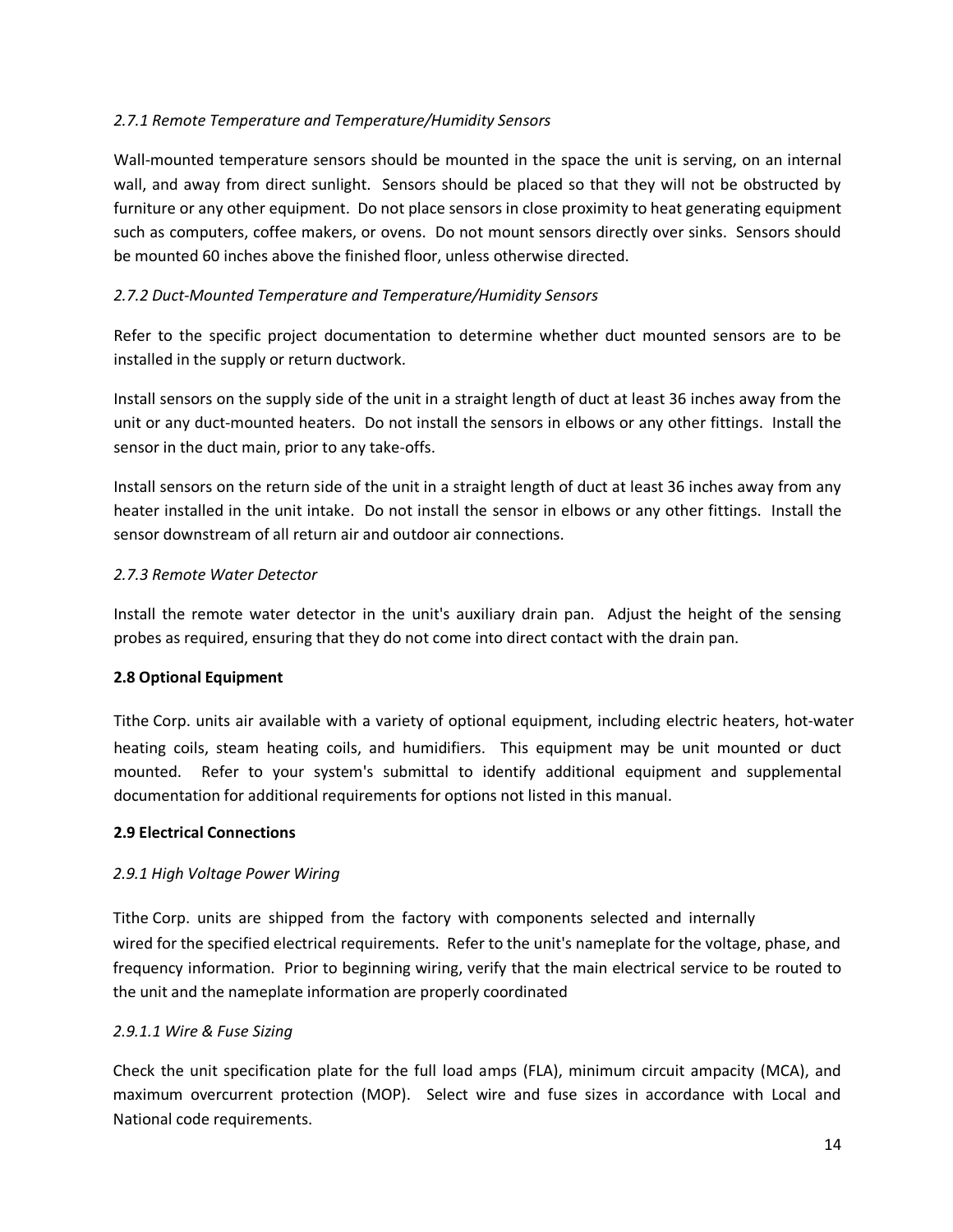#### *2.7.1 Remote Temperature and Temperature/Humidity Sensors*

Wall-mounted temperature sensors should be mounted in the space the unit is serving, on an internal wall, and away from direct sunlight. Sensors should be placed so that they will not be obstructed by furniture or any other equipment. Do not place sensors in close proximity to heat generating equipment such as computers, coffee makers, or ovens. Do not mount sensors directly over sinks. Sensors should be mounted 60 inches above the finished floor, unless otherwise directed.

#### *2.7.2 Duct-Mounted Temperature and Temperature/Humidity Sensors*

Refer to the specific project documentation to determine whether duct mounted sensors are to be installed in the supply or return ductwork.

Install sensors on the supply side of the unit in a straight length of duct at least 36 inches away from the unit or any duct-mounted heaters. Do not install the sensors in elbows or any other fittings. Install the sensor in the duct main, prior to any take-offs.

Install sensors on the return side of the unit in a straight length of duct at least 36 inches away from any heater installed in the unit intake. Do not install the sensor in elbows or any other fittings. Install the sensor downstream of all return air and outdoor air connections.

#### *2.7.3 Remote Water Detector*

Install the remote water detector in the unit's auxiliary drain pan. Adjust the height of the sensing probes as required, ensuring that they do not come into direct contact with the drain pan.

#### **2.8 Optional Equipment**

Tithe Corp. units air available with a variety of optional equipment, including electric heaters, hot-water heating coils, steam heating coils, and humidifiers. This equipment may be unit mounted or duct mounted. Refer to your system's submittal to identify additional equipment and supplemental documentation for additional requirements for options not listed in this manual.

#### **2.9 Electrical Connections**

#### *2.9.1 High Voltage Power Wiring*

Tithe Corp. units are shipped from the factory with components selected and internally wired for the specified electrical requirements. Refer to the unit's nameplate for the voltage, phase, and frequency information. Prior to beginning wiring, verify that the main electrical service to be routed to the unit and the nameplate information are properly coordinated

#### *2.9.1.1 Wire & Fuse Sizing*

Check the unit specification plate for the full load amps (FLA), minimum circuit ampacity (MCA), and maximum overcurrent protection (MOP). Select wire and fuse sizes in accordance with Local and National code requirements.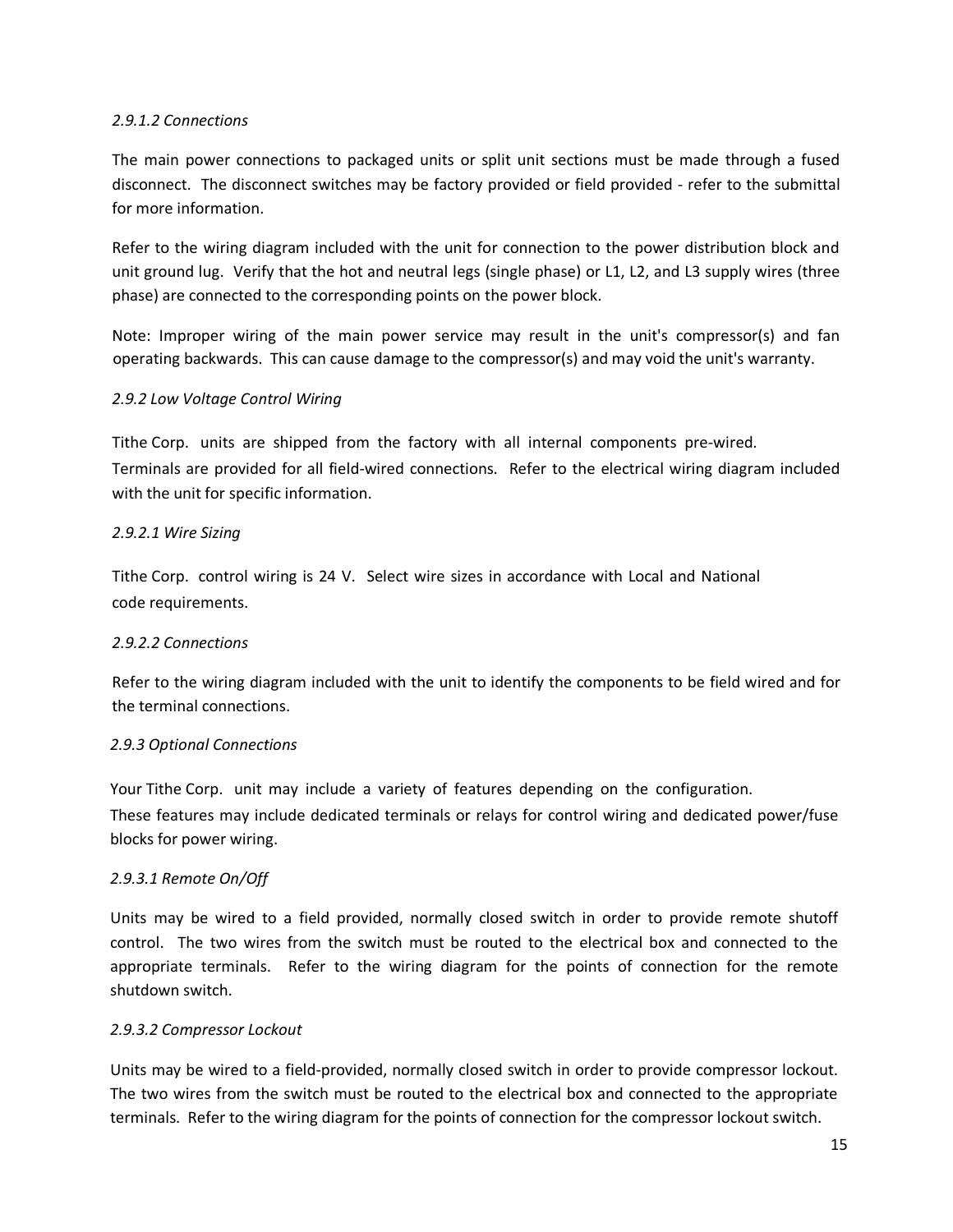#### *2.9.1.2 Connections*

The main power connections to packaged units or split unit sections must be made through a fused disconnect. The disconnect switches may be factory provided or field provided - refer to the submittal for more information.

Refer to the wiring diagram included with the unit for connection to the power distribution block and unit ground lug. Verify that the hot and neutral legs (single phase) or L1, L2, and L3 supply wires (three phase) are connected to the corresponding points on the power block.

Note: Improper wiring of the main power service may result in the unit's compressor(s) and fan operating backwards. This can cause damage to the compressor(s) and may void the unit's warranty.

#### *2.9.2 Low Voltage Control Wiring*

Tithe Corp. units are shipped from the factory with all internal components pre-wired. Terminals are provided for all field-wired connections. Refer to the electrical wiring diagram included with the unit for specific information.

#### *2.9.2.1 Wire Sizing*

Tithe Corp. control wiring is 24 V. Select wire sizes in accordance with Local and National code requirements.

#### *2.9.2.2 Connections*

Refer to the wiring diagram included with the unit to identify the components to be field wired and for the terminal connections.

#### *2.9.3 Optional Connections*

Your Tithe Corp. unit may include a variety of features depending on the configuration. These features may include dedicated terminals or relays for control wiring and dedicated power/fuse blocks for power wiring.

#### *2.9.3.1 Remote On/Off*

Units may be wired to a field provided, normally closed switch in order to provide remote shutoff control. The two wires from the switch must be routed to the electrical box and connected to the appropriate terminals. Refer to the wiring diagram for the points of connection for the remote shutdown switch.

#### *2.9.3.2 Compressor Lockout*

Units may be wired to a field-provided, normally closed switch in order to provide compressor lockout. The two wires from the switch must be routed to the electrical box and connected to the appropriate terminals. Refer to the wiring diagram for the points of connection for the compressor lockout switch.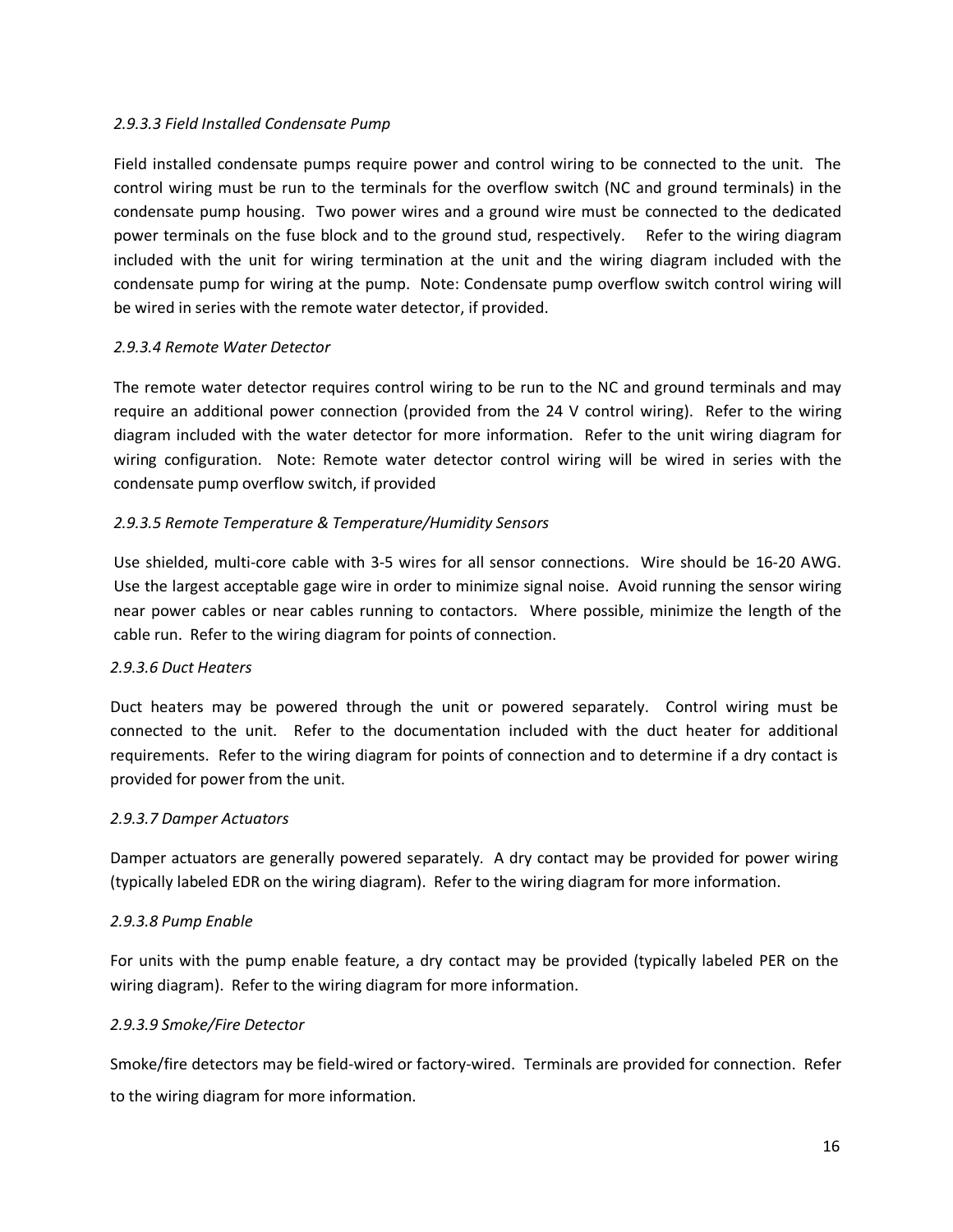#### *2.9.3.3 Field Installed Condensate Pump*

Field installed condensate pumps require power and control wiring to be connected to the unit. The control wiring must be run to the terminals for the overflow switch (NC and ground terminals) in the condensate pump housing. Two power wires and a ground wire must be connected to the dedicated power terminals on the fuse block and to the ground stud, respectively. Refer to the wiring diagram included with the unit for wiring termination at the unit and the wiring diagram included with the condensate pump for wiring at the pump. Note: Condensate pump overflow switch control wiring will be wired in series with the remote water detector, if provided.

#### *2.9.3.4 Remote Water Detector*

The remote water detector requires control wiring to be run to the NC and ground terminals and may require an additional power connection (provided from the 24 V control wiring). Refer to the wiring diagram included with the water detector for more information. Refer to the unit wiring diagram for wiring configuration. Note: Remote water detector control wiring will be wired in series with the condensate pump overflow switch, if provided

#### *2.9.3.5 Remote Temperature & Temperature/Humidity Sensors*

Use shielded, multi-core cable with 3-5 wires for all sensor connections. Wire should be 16-20 AWG. Use the largest acceptable gage wire in order to minimize signal noise. Avoid running the sensor wiring near power cables or near cables running to contactors. Where possible, minimize the length of the cable run. Refer to the wiring diagram for points of connection.

#### *2.9.3.6 Duct Heaters*

Duct heaters may be powered through the unit or powered separately. Control wiring must be connected to the unit. Refer to the documentation included with the duct heater for additional requirements. Refer to the wiring diagram for points of connection and to determine if a dry contact is provided for power from the unit.

#### *2.9.3.7 Damper Actuators*

Damper actuators are generally powered separately. A dry contact may be provided for power wiring (typically labeled EDR on the wiring diagram). Refer to the wiring diagram for more information.

#### *2.9.3.8 Pump Enable*

For units with the pump enable feature, a dry contact may be provided (typically labeled PER on the wiring diagram). Refer to the wiring diagram for more information.

#### *2.9.3.9 Smoke/Fire Detector*

Smoke/fire detectors may be field-wired or factory-wired. Terminals are provided for connection. Refer to the wiring diagram for more information.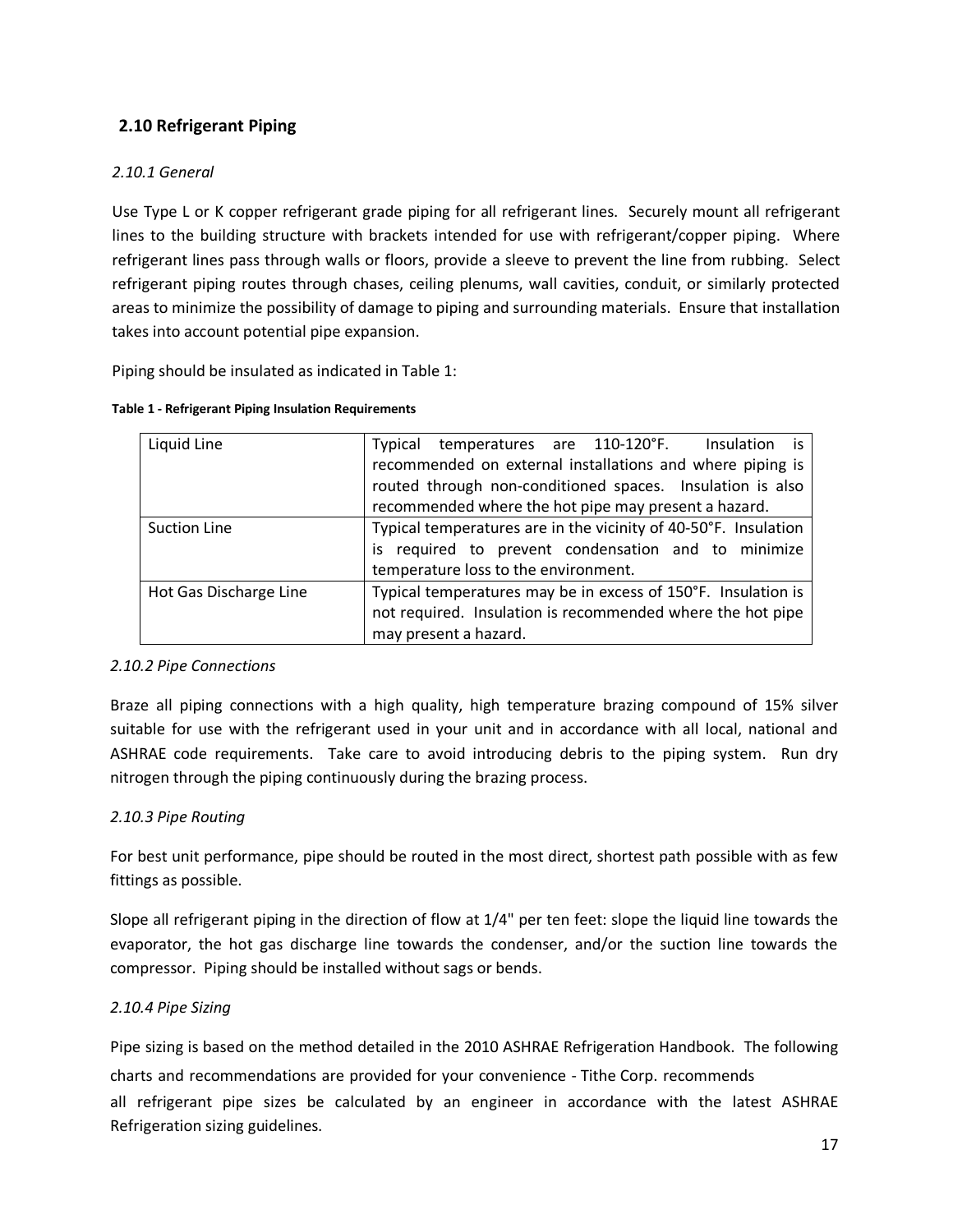#### **2.10 Refrigerant Piping**

#### *2.10.1 General*

Use Type L or K copper refrigerant grade piping for all refrigerant lines. Securely mount all refrigerant lines to the building structure with brackets intended for use with refrigerant/copper piping. Where refrigerant lines pass through walls or floors, provide a sleeve to prevent the line from rubbing. Select refrigerant piping routes through chases, ceiling plenums, wall cavities, conduit, or similarly protected areas to minimize the possibility of damage to piping and surrounding materials. Ensure that installation takes into account potential pipe expansion.

Piping should be insulated as indicated in Table 1:

| Liquid Line            | Insulation is<br>Typical temperatures are 110-120°F.            |
|------------------------|-----------------------------------------------------------------|
|                        | recommended on external installations and where piping is       |
|                        | routed through non-conditioned spaces. Insulation is also       |
|                        | recommended where the hot pipe may present a hazard.            |
| <b>Suction Line</b>    | Typical temperatures are in the vicinity of 40-50°F. Insulation |
|                        | is required to prevent condensation and to minimize             |
|                        | temperature loss to the environment.                            |
| Hot Gas Discharge Line | Typical temperatures may be in excess of 150°F. Insulation is   |
|                        | not required. Insulation is recommended where the hot pipe      |
|                        | may present a hazard.                                           |

#### **Table 1 - Refrigerant Piping Insulation Requirements**

#### *2.10.2 Pipe Connections*

Braze all piping connections with a high quality, high temperature brazing compound of 15% silver suitable for use with the refrigerant used in your unit and in accordance with all local, national and ASHRAE code requirements. Take care to avoid introducing debris to the piping system. Run dry nitrogen through the piping continuously during the brazing process.

#### *2.10.3 Pipe Routing*

For best unit performance, pipe should be routed in the most direct, shortest path possible with as few fittings as possible.

Slope all refrigerant piping in the direction of flow at 1/4" per ten feet: slope the liquid line towards the evaporator, the hot gas discharge line towards the condenser, and/or the suction line towards the compressor. Piping should be installed without sags or bends.

#### *2.10.4 Pipe Sizing*

Pipe sizing is based on the method detailed in the 2010 ASHRAE Refrigeration Handbook. The following charts and recommendations are provided for your convenience - Tithe Corp. recommends all refrigerant pipe sizes be calculated by an engineer in accordance with the latest ASHRAE Refrigeration sizing guidelines.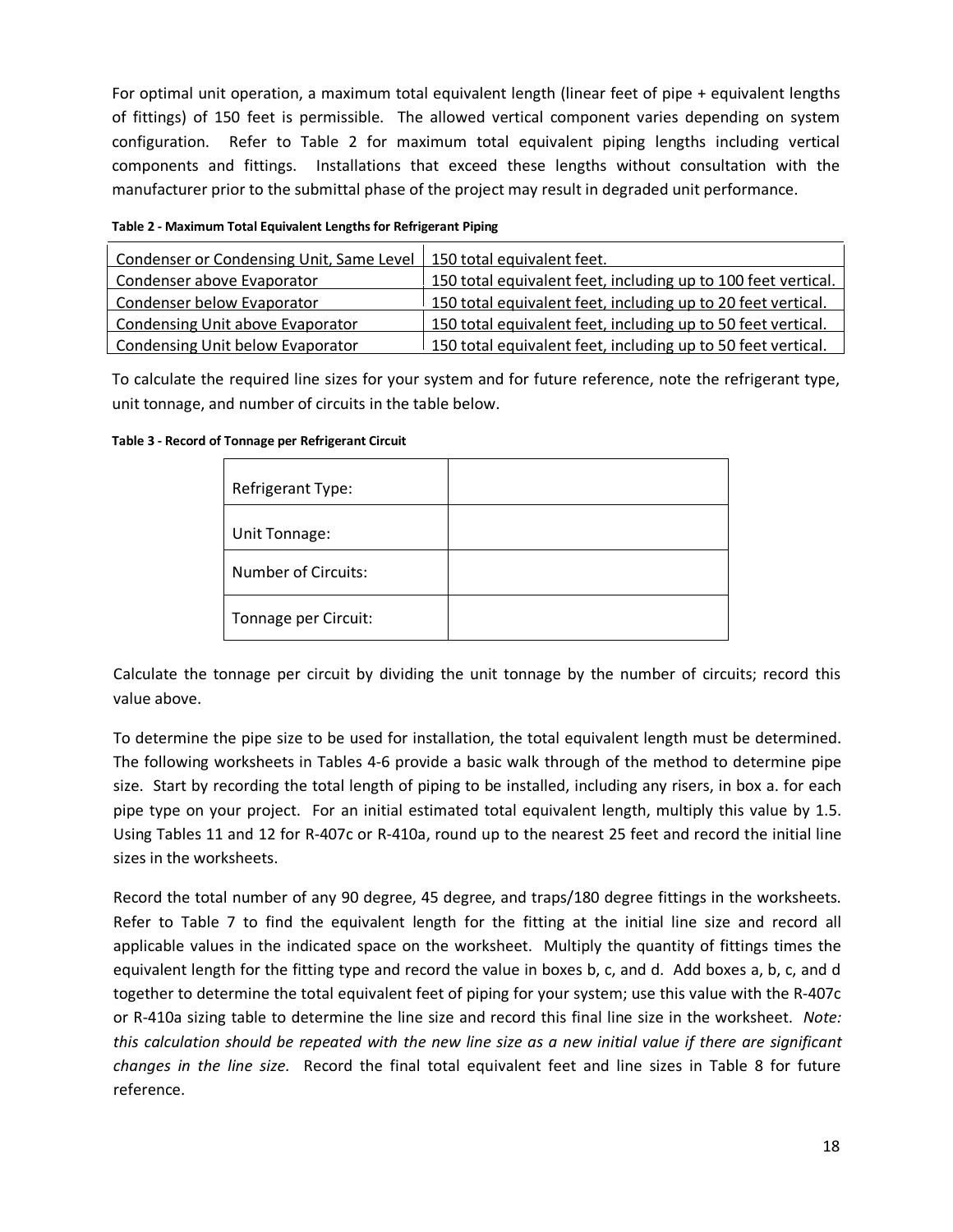For optimal unit operation, a maximum total equivalent length (linear feet of pipe + equivalent lengths of fittings) of 150 feet is permissible. The allowed vertical component varies depending on system configuration. Refer to Table 2 for maximum total equivalent piping lengths including vertical components and fittings. Installations that exceed these lengths without consultation with the manufacturer prior to the submittal phase of the project may result in degraded unit performance.

| Table 2 - Maximum Total Equivalent Lengths for Refrigerant Piping |  |  |
|-------------------------------------------------------------------|--|--|
|                                                                   |  |  |

| Condenser or Condensing Unit, Same Level | 150 total equivalent feet.                                    |
|------------------------------------------|---------------------------------------------------------------|
| Condenser above Evaporator               | 150 total equivalent feet, including up to 100 feet vertical. |
| Condenser below Evaporator               | 150 total equivalent feet, including up to 20 feet vertical.  |
| Condensing Unit above Evaporator         | 150 total equivalent feet, including up to 50 feet vertical.  |
| Condensing Unit below Evaporator         | 150 total equivalent feet, including up to 50 feet vertical.  |

To calculate the required line sizes for your system and for future reference, note the refrigerant type, unit tonnage, and number of circuits in the table below.

| Table 3 - Record of Tonnage per Refrigerant Circuit |  |
|-----------------------------------------------------|--|
|-----------------------------------------------------|--|

| Refrigerant Type:          |  |
|----------------------------|--|
| Unit Tonnage:              |  |
| <b>Number of Circuits:</b> |  |
| Tonnage per Circuit:       |  |

Calculate the tonnage per circuit by dividing the unit tonnage by the number of circuits; record this value above.

To determine the pipe size to be used for installation, the total equivalent length must be determined. The following worksheets in Tables 4-6 provide a basic walk through of the method to determine pipe size. Start by recording the total length of piping to be installed, including any risers, in box a. for each pipe type on your project. For an initial estimated total equivalent length, multiply this value by 1.5. Using Tables 11 and 12 for R-407c or R-410a, round up to the nearest 25 feet and record the initial line sizes in the worksheets.

Record the total number of any 90 degree, 45 degree, and traps/180 degree fittings in the worksheets. Refer to Table 7 to find the equivalent length for the fitting at the initial line size and record all applicable values in the indicated space on the worksheet. Multiply the quantity of fittings times the equivalent length for the fitting type and record the value in boxes b, c, and d. Add boxes a, b, c, and d together to determine the total equivalent feet of piping for your system; use this value with the R-407c or R-410a sizing table to determine the line size and record this final line size in the worksheet. *Note: this calculation should be repeated with the new line size as a new initial value if there are significant changes in the line size*. Record the final total equivalent feet and line sizes in Table 8 for future reference.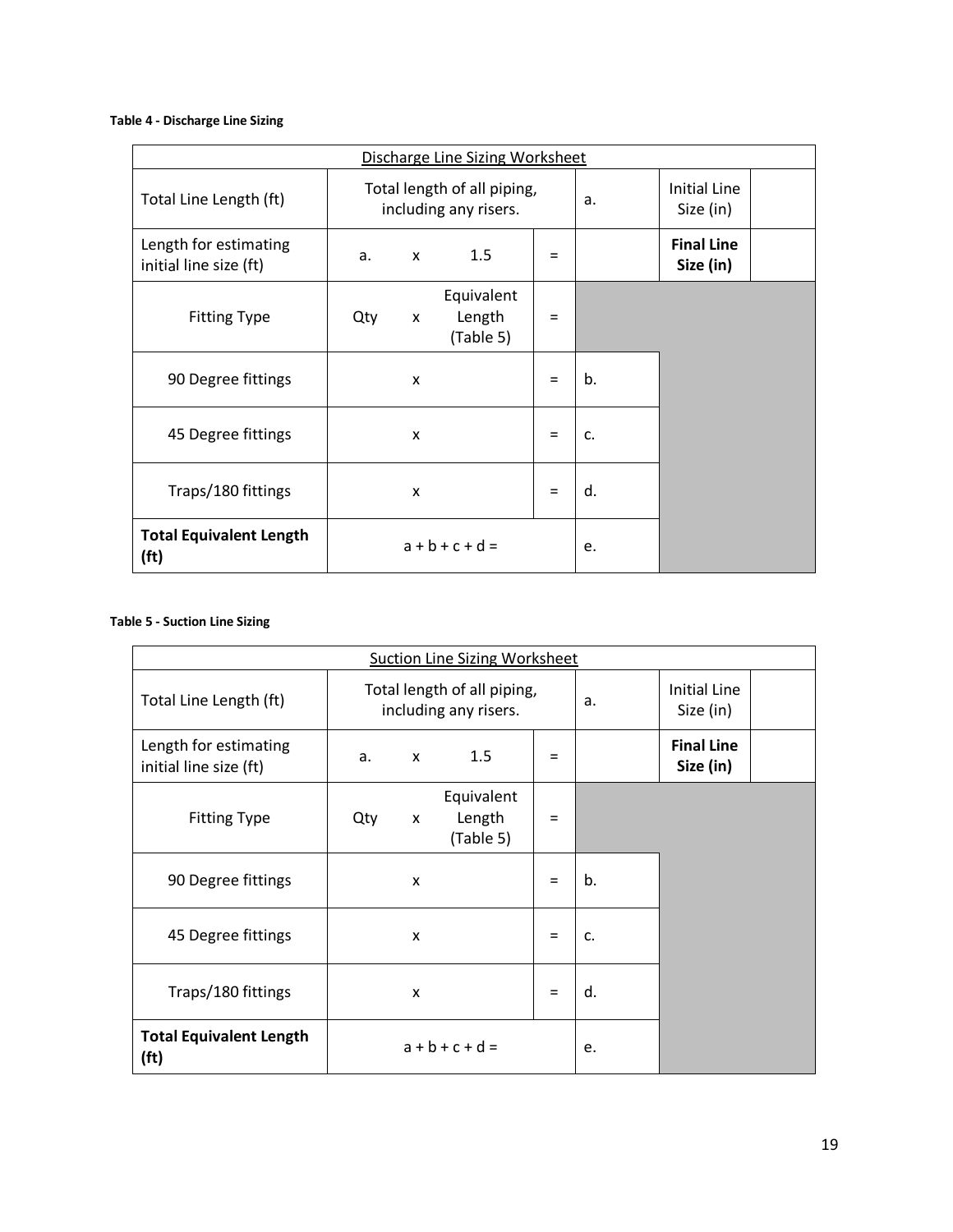#### **Table 4 - Discharge Line Sizing**

| Discharge Line Sizing Worksheet                     |                                                      |   |                                   |     |    |                                |  |  |
|-----------------------------------------------------|------------------------------------------------------|---|-----------------------------------|-----|----|--------------------------------|--|--|
| Total Line Length (ft)                              | Total length of all piping,<br>including any risers. |   |                                   |     | a. | Initial Line<br>Size (in)      |  |  |
| Length for estimating<br>initial line size (ft)     | a.                                                   | x | 1.5                               | $=$ |    | <b>Final Line</b><br>Size (in) |  |  |
| <b>Fitting Type</b>                                 | Qty                                                  | X | Equivalent<br>Length<br>(Table 5) | $=$ |    |                                |  |  |
| 90 Degree fittings                                  |                                                      | X |                                   | $=$ | b. |                                |  |  |
| 45 Degree fittings                                  |                                                      | X |                                   | $=$ | c. |                                |  |  |
| Traps/180 fittings                                  |                                                      | X |                                   | $=$ | d. |                                |  |  |
| <b>Total Equivalent Length</b><br>(f <sup>t</sup> ) | $a + b + c + d =$                                    |   |                                   |     | e. |                                |  |  |

#### **Table 5 - Suction Line Sizing**

|                                                     | <b>Suction Line Sizing Worksheet</b> |   |                                                      |     |                                  |                                |  |  |  |
|-----------------------------------------------------|--------------------------------------|---|------------------------------------------------------|-----|----------------------------------|--------------------------------|--|--|--|
| Total Line Length (ft)                              |                                      |   | Total length of all piping,<br>including any risers. | a.  | <b>Initial Line</b><br>Size (in) |                                |  |  |  |
| Length for estimating<br>initial line size (ft)     | 1.5<br>a.<br>X                       |   |                                                      |     |                                  | <b>Final Line</b><br>Size (in) |  |  |  |
| <b>Fitting Type</b>                                 | Qty                                  | X | Equivalent<br>Length<br>(Table 5)                    | Ξ   |                                  |                                |  |  |  |
| 90 Degree fittings                                  | X                                    |   |                                                      |     | b.                               |                                |  |  |  |
| 45 Degree fittings                                  |                                      | X |                                                      | $=$ | c.                               |                                |  |  |  |
| Traps/180 fittings                                  |                                      | X |                                                      | $=$ | d.                               |                                |  |  |  |
| <b>Total Equivalent Length</b><br>(f <sup>t</sup> ) |                                      |   | $a + b + c + d =$                                    |     | e.                               |                                |  |  |  |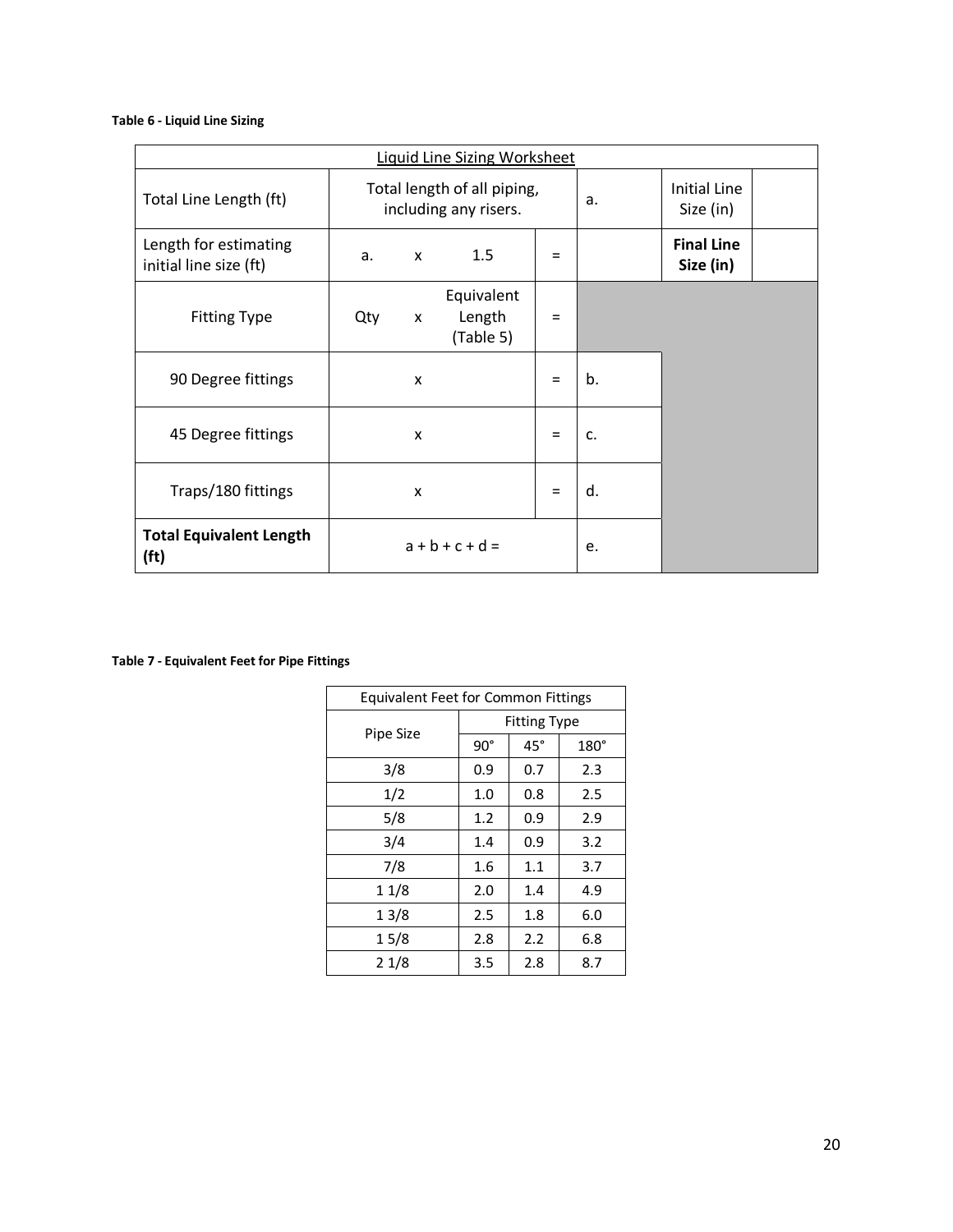#### **Table 6 - Liquid Line Sizing**

|                                                     | <b>Liquid Line Sizing Worksheet</b> |   |                                                      |     |                           |                                |  |  |  |
|-----------------------------------------------------|-------------------------------------|---|------------------------------------------------------|-----|---------------------------|--------------------------------|--|--|--|
| Total Line Length (ft)                              |                                     |   | Total length of all piping,<br>including any risers. | a.  | Initial Line<br>Size (in) |                                |  |  |  |
| Length for estimating<br>initial line size (ft)     | a.                                  | X | 1.5                                                  | $=$ |                           | <b>Final Line</b><br>Size (in) |  |  |  |
| <b>Fitting Type</b>                                 | Qty                                 | X | Equivalent<br>Length<br>(Table 5)                    | $=$ |                           |                                |  |  |  |
| 90 Degree fittings                                  | x                                   |   |                                                      |     | b.                        |                                |  |  |  |
| 45 Degree fittings                                  |                                     | X |                                                      | $=$ | c.                        |                                |  |  |  |
| Traps/180 fittings                                  | X                                   |   |                                                      |     | d.                        |                                |  |  |  |
| <b>Total Equivalent Length</b><br>(f <sup>t</sup> ) |                                     |   | $a + b + c + d =$                                    |     | e.                        |                                |  |  |  |

**Table 7 - Equivalent Feet for Pipe Fittings** 

| <b>Equivalent Feet for Common Fittings</b> |                     |            |             |  |  |  |  |  |
|--------------------------------------------|---------------------|------------|-------------|--|--|--|--|--|
|                                            | <b>Fitting Type</b> |            |             |  |  |  |  |  |
| Pipe Size                                  | $90^{\circ}$        | $45^\circ$ | $180^\circ$ |  |  |  |  |  |
| 3/8                                        | 0.9                 | 0.7        | 2.3         |  |  |  |  |  |
| 1/2                                        | 1.0                 | 0.8        | 2.5         |  |  |  |  |  |
| 5/8                                        | 1.2                 | 0.9        | 2.9         |  |  |  |  |  |
| 3/4                                        | 1.4                 | 0.9        | 3.2         |  |  |  |  |  |
| 7/8                                        | 1.6                 | 1.1        | 3.7         |  |  |  |  |  |
| 11/8                                       | 2.0                 | 1.4        | 4.9         |  |  |  |  |  |
| 13/8                                       | 2.5                 | 1.8        | 6.0         |  |  |  |  |  |
| 15/8                                       | 2.8                 | 2.2        | 6.8         |  |  |  |  |  |
| 21/8                                       | 3.5                 | 2.8        | 8.7         |  |  |  |  |  |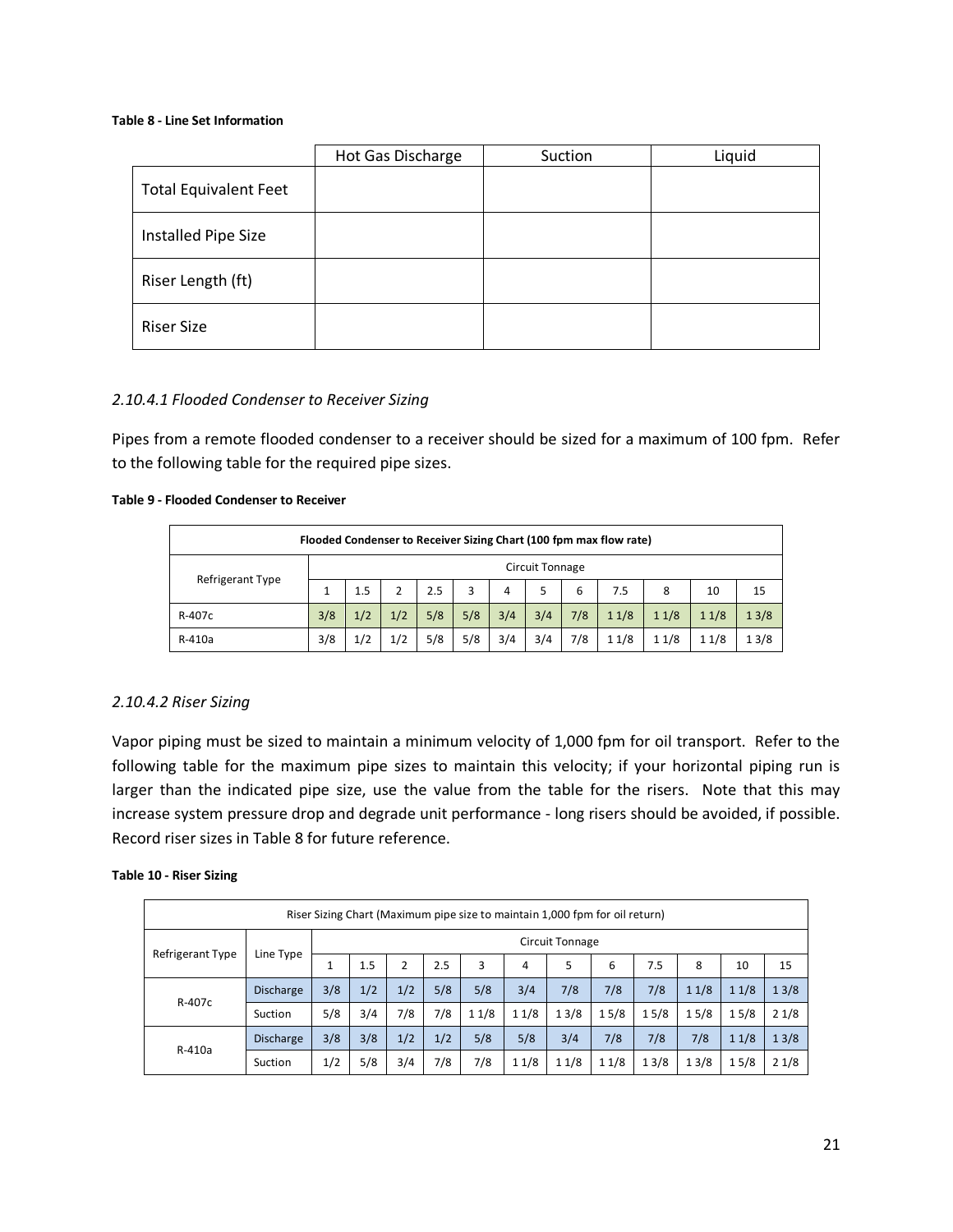#### **Table 8 - Line Set Information**

|                              | Hot Gas Discharge | Suction | Liquid |
|------------------------------|-------------------|---------|--------|
| <b>Total Equivalent Feet</b> |                   |         |        |
| Installed Pipe Size          |                   |         |        |
| Riser Length (ft)            |                   |         |        |
| <b>Riser Size</b>            |                   |         |        |

#### *2.10.4.1 Flooded Condenser to Receiver Sizing*

Pipes from a remote flooded condenser to a receiver should be sized for a maximum of 100 fpm. Refer to the following table for the required pipe sizes.

#### **Table 9 - Flooded Condenser to Receiver**

| Flooded Condenser to Receiver Sizing Chart (100 fpm max flow rate) |                        |     |     |     |     |     |     |     |      |      |      |      |
|--------------------------------------------------------------------|------------------------|-----|-----|-----|-----|-----|-----|-----|------|------|------|------|
|                                                                    | <b>Circuit Tonnage</b> |     |     |     |     |     |     |     |      |      |      |      |
| Refrigerant Type                                                   |                        | 1.5 | 2   | 2.5 | 3   | 4   | 5   | 6   | 7.5  | 8    | 10   | 15   |
| R-407c                                                             | 3/8                    | 1/2 | 1/2 | 5/8 | 5/8 | 3/4 | 3/4 | 7/8 | 11/8 | 11/8 | 11/8 | 13/8 |
| R-410a                                                             | 3/8                    | 1/2 | 1/2 | 5/8 | 5/8 | 3/4 | 3/4 | 7/8 | 11/8 | 11/8 | 11/8 | 13/8 |

#### *2.10.4.2 Riser Sizing*

Vapor piping must be sized to maintain a minimum velocity of 1,000 fpm for oil transport. Refer to the following table for the maximum pipe sizes to maintain this velocity; if your horizontal piping run is larger than the indicated pipe size, use the value from the table for the risers. Note that this may increase system pressure drop and degrade unit performance - long risers should be avoided, if possible. Record riser sizes in Table 8 for future reference.

#### **Table 10 - Riser Sizing**

|                         | Riser Sizing Chart (Maximum pipe size to maintain 1,000 fpm for oil return) |                 |     |     |     |      |      |      |      |      |      |      |      |
|-------------------------|-----------------------------------------------------------------------------|-----------------|-----|-----|-----|------|------|------|------|------|------|------|------|
| <b>Refrigerant Type</b> |                                                                             | Circuit Tonnage |     |     |     |      |      |      |      |      |      |      |      |
|                         | Line Type                                                                   |                 | 1.5 |     | 2.5 | 3    | 4    | 5    | 6    | 7.5  | 8    | 10   | 15   |
| R-407c                  | <b>Discharge</b>                                                            | 3/8             | 1/2 | 1/2 | 5/8 | 5/8  | 3/4  | 7/8  | 7/8  | 7/8  | 11/8 | 11/8 | 13/8 |
|                         | Suction                                                                     | 5/8             | 3/4 | 7/8 | 7/8 | 11/8 | 11/8 | 13/8 | 15/8 | 15/8 | 15/8 | 15/8 | 21/8 |
|                         | <b>Discharge</b>                                                            | 3/8             | 3/8 | 1/2 | 1/2 | 5/8  | 5/8  | 3/4  | 7/8  | 7/8  | 7/8  | 11/8 | 13/8 |
| R-410a<br>Suction       | 1/2                                                                         | 5/8             | 3/4 | 7/8 | 7/8 | 11/8 | 11/8 | 11/8 | 13/8 | 13/8 | 15/8 | 21/8 |      |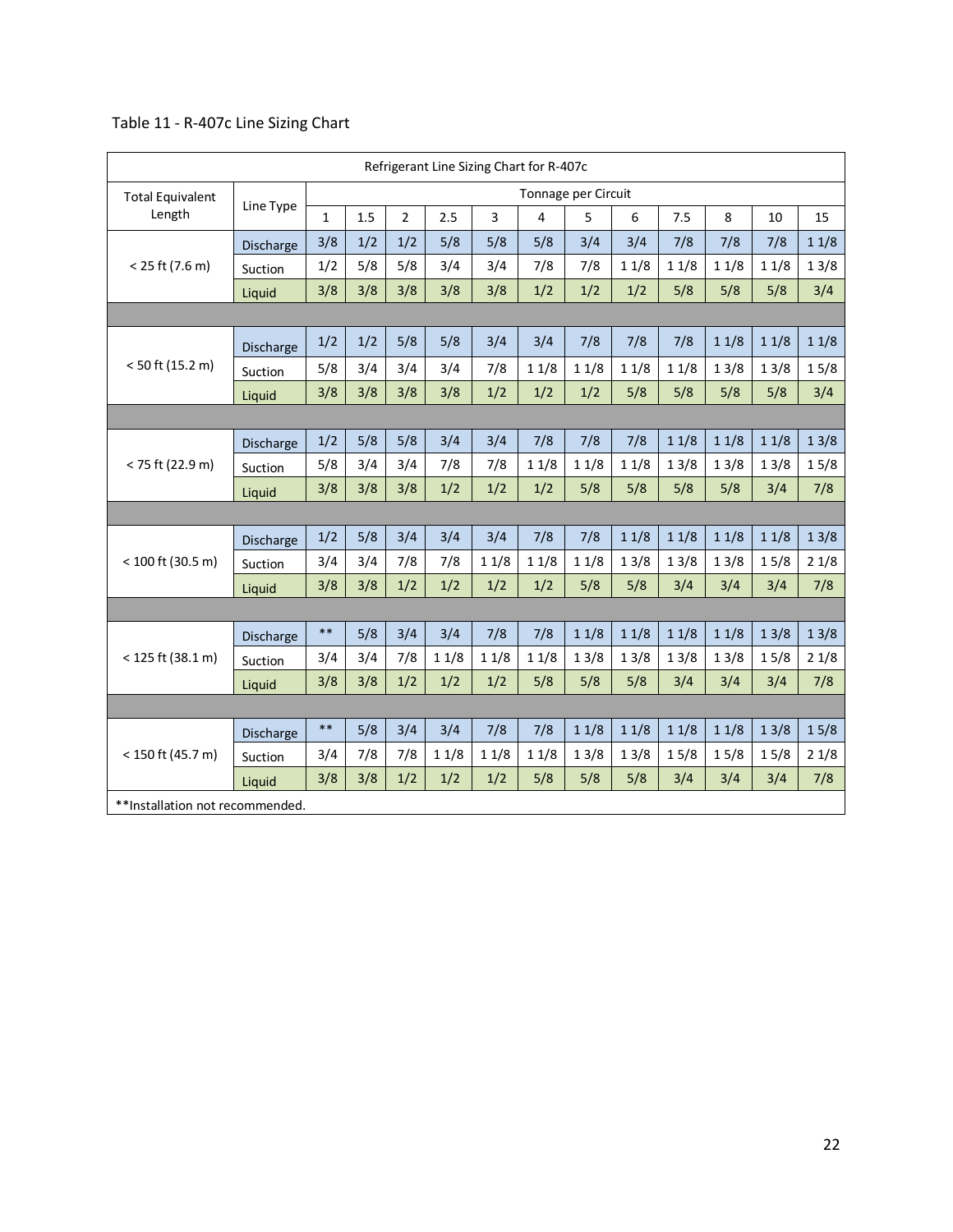|                                  | Refrigerant Line Sizing Chart for R-407c |              |     |                |          |      |      |                     |      |      |      |      |      |
|----------------------------------|------------------------------------------|--------------|-----|----------------|----------|------|------|---------------------|------|------|------|------|------|
| <b>Total Equivalent</b>          |                                          |              |     |                |          |      |      | Tonnage per Circuit |      |      |      |      |      |
| Length                           | Line Type                                | $\mathbf{1}$ | 1.5 | $\overline{2}$ | 2.5      | 3    | 4    | 5                   | 6    | 7.5  | 8    | 10   | 15   |
|                                  | Discharge                                | 3/8          | 1/2 | 1/2            | 5/8      | 5/8  | 5/8  | 3/4                 | 3/4  | 7/8  | 7/8  | 7/8  | 11/8 |
| $< 25$ ft (7.6 m)                | Suction                                  | 1/2          | 5/8 | 5/8            | 3/4      | 3/4  | 7/8  | 7/8                 | 11/8 | 11/8 | 11/8 | 11/8 | 13/8 |
|                                  | Liquid                                   | 3/8          | 3/8 | 3/8            | 3/8      | 3/8  | 1/2  | 1/2                 | 1/2  | 5/8  | 5/8  | 5/8  | 3/4  |
|                                  |                                          |              |     |                |          |      |      |                     |      |      |      |      |      |
|                                  | Discharge                                | 1/2          | 1/2 | 5/8            | 5/8      | 3/4  | 3/4  | 7/8                 | 7/8  | 7/8  | 11/8 | 11/8 | 11/8 |
| $< 50$ ft (15.2 m)               | Suction                                  | 5/8          | 3/4 | 3/4            | 3/4      | 7/8  | 11/8 | 11/8                | 11/8 | 11/8 | 13/8 | 13/8 | 15/8 |
|                                  | Liquid                                   | 3/8          | 3/8 | 3/8            | 3/8      | 1/2  | 1/2  | 1/2                 | 5/8  | 5/8  | 5/8  | 5/8  | 3/4  |
|                                  |                                          |              |     |                |          |      |      |                     |      |      |      |      |      |
|                                  | Discharge                                | 1/2          | 5/8 | 5/8            | 3/4      | 3/4  | 7/8  | 7/8                 | 7/8  | 11/8 | 11/8 | 11/8 | 13/8 |
| < 75 ft (22.9 m)                 | Suction                                  | 5/8          | 3/4 | 3/4            | 7/8      | 7/8  | 11/8 | 11/8                | 11/8 | 13/8 | 13/8 | 13/8 | 15/8 |
|                                  | Liquid                                   | 3/8          | 3/8 | 3/8            | 1/2      | 1/2  | 1/2  | 5/8                 | 5/8  | 5/8  | 5/8  | 3/4  | 7/8  |
|                                  |                                          |              |     |                |          |      |      |                     |      |      |      |      |      |
|                                  | Discharge                                | 1/2          | 5/8 | 3/4            | 3/4      | 3/4  | 7/8  | 7/8                 | 11/8 | 11/8 | 11/8 | 11/8 | 13/8 |
| $< 100$ ft (30.5 m)              | Suction                                  | 3/4          | 3/4 | 7/8            | 7/8      | 11/8 | 11/8 | 11/8                | 13/8 | 13/8 | 13/8 | 15/8 | 21/8 |
|                                  | Liquid                                   | 3/8          | 3/8 | 1/2            | 1/2      | 1/2  | 1/2  | 5/8                 | 5/8  | 3/4  | 3/4  | 3/4  | 7/8  |
|                                  |                                          |              |     |                |          |      |      |                     |      |      |      |      |      |
|                                  | Discharge                                | $***$        | 5/8 | 3/4            | 3/4      | 7/8  | 7/8  | 11/8                | 11/8 | 11/8 | 11/8 | 13/8 | 13/8 |
| $<$ 125 ft (38.1 m)              | Suction                                  | 3/4          | 3/4 | 7/8            | 11/8     | 11/8 | 11/8 | 13/8                | 13/8 | 13/8 | 13/8 | 15/8 | 21/8 |
|                                  | Liquid                                   | 3/8          | 3/8 | 1/2            | 1/2      | 1/2  | 5/8  | 5/8                 | 5/8  | 3/4  | 3/4  | 3/4  | 7/8  |
|                                  |                                          |              |     |                |          |      |      |                     |      |      |      |      |      |
|                                  | Discharge                                | $***$        | 5/8 | 3/4            | 3/4      | 7/8  | 7/8  | 11/8                | 11/8 | 11/8 | 11/8 | 13/8 | 15/8 |
| < 150 ft (45.7 m)                | Suction                                  | 3/4          | 7/8 | 7/8            | $1\,1/8$ | 11/8 | 11/8 | 13/8                | 13/8 | 15/8 | 15/8 | 15/8 | 21/8 |
|                                  | Liquid                                   | 3/8          | 3/8 | 1/2            | 1/2      | 1/2  | 5/8  | 5/8                 | 5/8  | 3/4  | 3/4  | 3/4  | 7/8  |
| ** Installation not recommended. |                                          |              |     |                |          |      |      |                     |      |      |      |      |      |

## Table 11 - R-407c Line Sizing Chart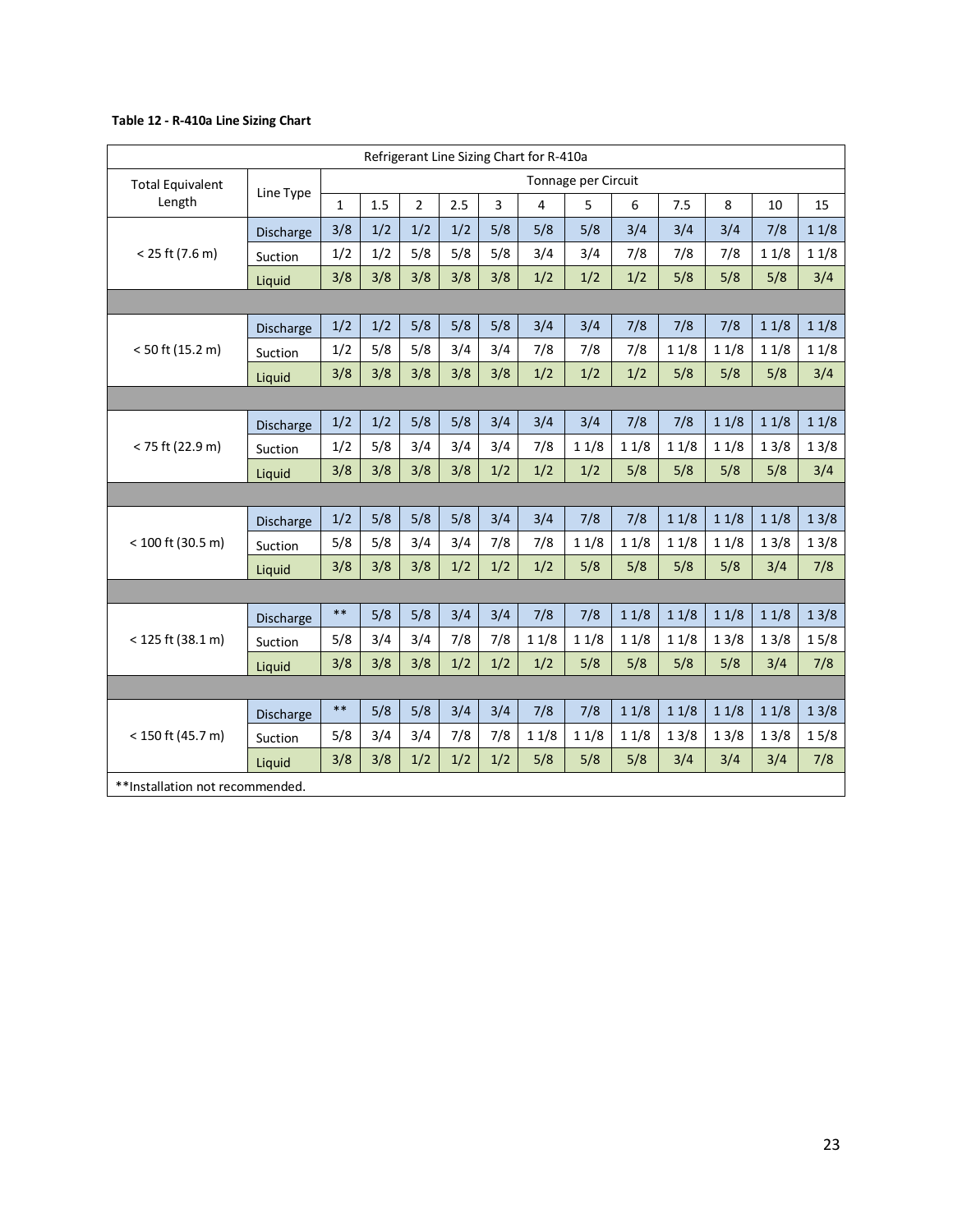#### **Table 12 - R-410a Line Sizing Chart**

|                                  |                  |              |     |                |     |     | Refrigerant Line Sizing Chart for R-410a |                     |      |      |      |      |      |
|----------------------------------|------------------|--------------|-----|----------------|-----|-----|------------------------------------------|---------------------|------|------|------|------|------|
| <b>Total Equivalent</b>          |                  |              |     |                |     |     |                                          | Tonnage per Circuit |      |      |      |      |      |
| Length                           | Line Type        | $\mathbf{1}$ | 1.5 | $\overline{2}$ | 2.5 | 3   | 4                                        | 5                   | 6    | 7.5  | 8    | 10   | 15   |
|                                  | Discharge        | 3/8          | 1/2 | 1/2            | 1/2 | 5/8 | 5/8                                      | 5/8                 | 3/4  | 3/4  | 3/4  | 7/8  | 11/8 |
| $< 25$ ft (7.6 m)                | Suction          | 1/2          | 1/2 | 5/8            | 5/8 | 5/8 | 3/4                                      | 3/4                 | 7/8  | 7/8  | 7/8  | 11/8 | 11/8 |
|                                  | Liquid           | 3/8          | 3/8 | 3/8            | 3/8 | 3/8 | 1/2                                      | 1/2                 | 1/2  | 5/8  | 5/8  | 5/8  | 3/4  |
|                                  |                  |              |     |                |     |     |                                          |                     |      |      |      |      |      |
|                                  | Discharge        | 1/2          | 1/2 | 5/8            | 5/8 | 5/8 | 3/4                                      | 3/4                 | 7/8  | 7/8  | 7/8  | 11/8 | 11/8 |
| $< 50$ ft (15.2 m)               | Suction          | 1/2          | 5/8 | 5/8            | 3/4 | 3/4 | 7/8                                      | 7/8                 | 7/8  | 11/8 | 11/8 | 11/8 | 11/8 |
|                                  | Liquid           | 3/8          | 3/8 | 3/8            | 3/8 | 3/8 | 1/2                                      | 1/2                 | 1/2  | 5/8  | 5/8  | 5/8  | 3/4  |
|                                  |                  |              |     |                |     |     |                                          |                     |      |      |      |      |      |
|                                  | <b>Discharge</b> | 1/2          | 1/2 | 5/8            | 5/8 | 3/4 | 3/4                                      | 3/4                 | 7/8  | 7/8  | 11/8 | 11/8 | 11/8 |
| < 75 ft (22.9 m)                 | Suction          | 1/2          | 5/8 | 3/4            | 3/4 | 3/4 | 7/8                                      | 11/8                | 11/8 | 11/8 | 11/8 | 13/8 | 13/8 |
|                                  | Liquid           | 3/8          | 3/8 | 3/8            | 3/8 | 1/2 | 1/2                                      | 1/2                 | 5/8  | 5/8  | 5/8  | 5/8  | 3/4  |
|                                  |                  |              |     |                |     |     |                                          |                     |      |      |      |      |      |
|                                  | Discharge        | 1/2          | 5/8 | 5/8            | 5/8 | 3/4 | 3/4                                      | 7/8                 | 7/8  | 11/8 | 11/8 | 11/8 | 13/8 |
| < 100 ft (30.5 m)                | Suction          | 5/8          | 5/8 | 3/4            | 3/4 | 7/8 | 7/8                                      | 11/8                | 11/8 | 11/8 | 11/8 | 13/8 | 13/8 |
|                                  | Liquid           | 3/8          | 3/8 | 3/8            | 1/2 | 1/2 | 1/2                                      | 5/8                 | 5/8  | 5/8  | 5/8  | 3/4  | 7/8  |
|                                  |                  |              |     |                |     |     |                                          |                     |      |      |      |      |      |
|                                  | Discharge        | $**$         | 5/8 | 5/8            | 3/4 | 3/4 | 7/8                                      | 7/8                 | 11/8 | 11/8 | 11/8 | 11/8 | 13/8 |
| $<$ 125 ft (38.1 m)              | Suction          | 5/8          | 3/4 | 3/4            | 7/8 | 7/8 | 11/8                                     | 11/8                | 11/8 | 11/8 | 13/8 | 13/8 | 15/8 |
|                                  | Liquid           | 3/8          | 3/8 | 3/8            | 1/2 | 1/2 | 1/2                                      | 5/8                 | 5/8  | 5/8  | 5/8  | 3/4  | 7/8  |
|                                  |                  |              |     |                |     |     |                                          |                     |      |      |      |      |      |
|                                  | Discharge        | $**$         | 5/8 | 5/8            | 3/4 | 3/4 | 7/8                                      | 7/8                 | 11/8 | 11/8 | 11/8 | 11/8 | 13/8 |
| < 150 ft (45.7 m)                | Suction          | 5/8          | 3/4 | 3/4            | 7/8 | 7/8 | 11/8                                     | 11/8                | 11/8 | 13/8 | 13/8 | 13/8 | 15/8 |
|                                  | Liquid           | 3/8          | 3/8 | 1/2            | 1/2 | 1/2 | 5/8                                      | 5/8                 | 5/8  | 3/4  | 3/4  | 3/4  | 7/8  |
| ** Installation not recommended. |                  |              |     |                |     |     |                                          |                     |      |      |      |      |      |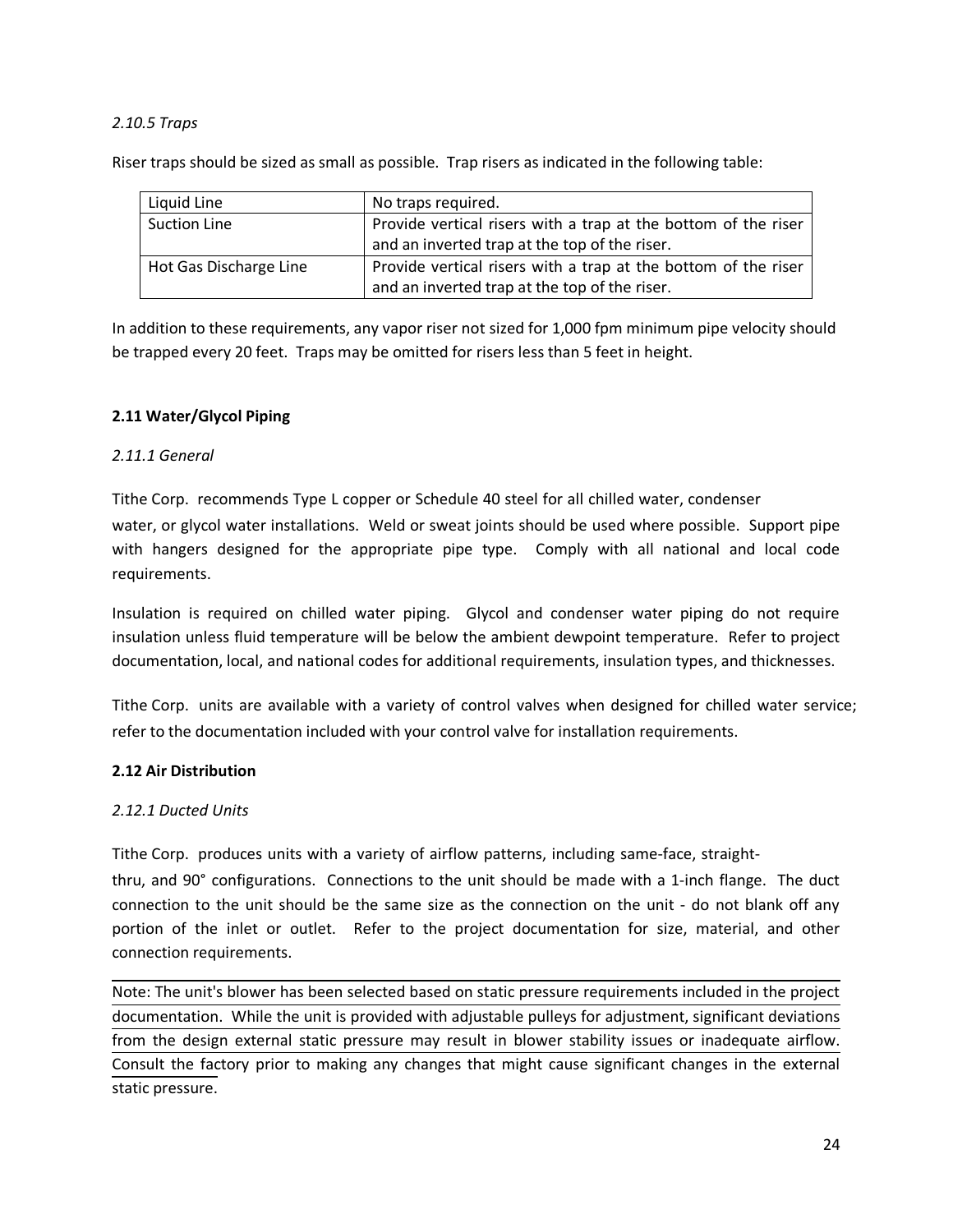#### *2.10.5 Traps*

Riser traps should be sized as small as possible. Trap risers as indicated in the following table:

| Liquid Line            | No traps required.                                             |
|------------------------|----------------------------------------------------------------|
| <b>Suction Line</b>    | Provide vertical risers with a trap at the bottom of the riser |
|                        | and an inverted trap at the top of the riser.                  |
| Hot Gas Discharge Line | Provide vertical risers with a trap at the bottom of the riser |
|                        | and an inverted trap at the top of the riser.                  |

In addition to these requirements, any vapor riser not sized for 1,000 fpm minimum pipe velocity should be trapped every 20 feet. Traps may be omitted for risers less than 5 feet in height.

#### **2.11 Water/Glycol Piping**

#### *2.11.1 General*

Tithe Corp. recommends Type L copper or Schedule 40 steel for all chilled water, condenser water, or glycol water installations. Weld or sweat joints should be used where possible. Support pipe with hangers designed for the appropriate pipe type. Comply with all national and local code requirements.

Insulation is required on chilled water piping. Glycol and condenser water piping do not require insulation unless fluid temperature will be below the ambient dewpoint temperature. Refer to project documentation, local, and national codes for additional requirements, insulation types, and thicknesses.

Tithe Corp. units are available with a variety of control valves when designed for chilled water service; refer to the documentation included with your control valve for installation requirements.

#### **2.12 Air Distribution**

#### *2.12.1 Ducted Units*

Tithe Corp. produces units with a variety of airflow patterns, including same-face, straight-

thru, and 90° configurations. Connections to the unit should be made with a 1-inch flange. The duct connection to the unit should be the same size as the connection on the unit - do not blank off any portion of the inlet or outlet. Refer to the project documentation for size, material, and other connection requirements.

Note: The unit's blower has been selected based on static pressure requirements included in the project documentation. While the unit is provided with adjustable pulleys for adjustment, significant deviations from the design external static pressure may result in blower stability issues or inadequate airflow. Consult the factory prior to making any changes that might cause significant changes in the external static pressure.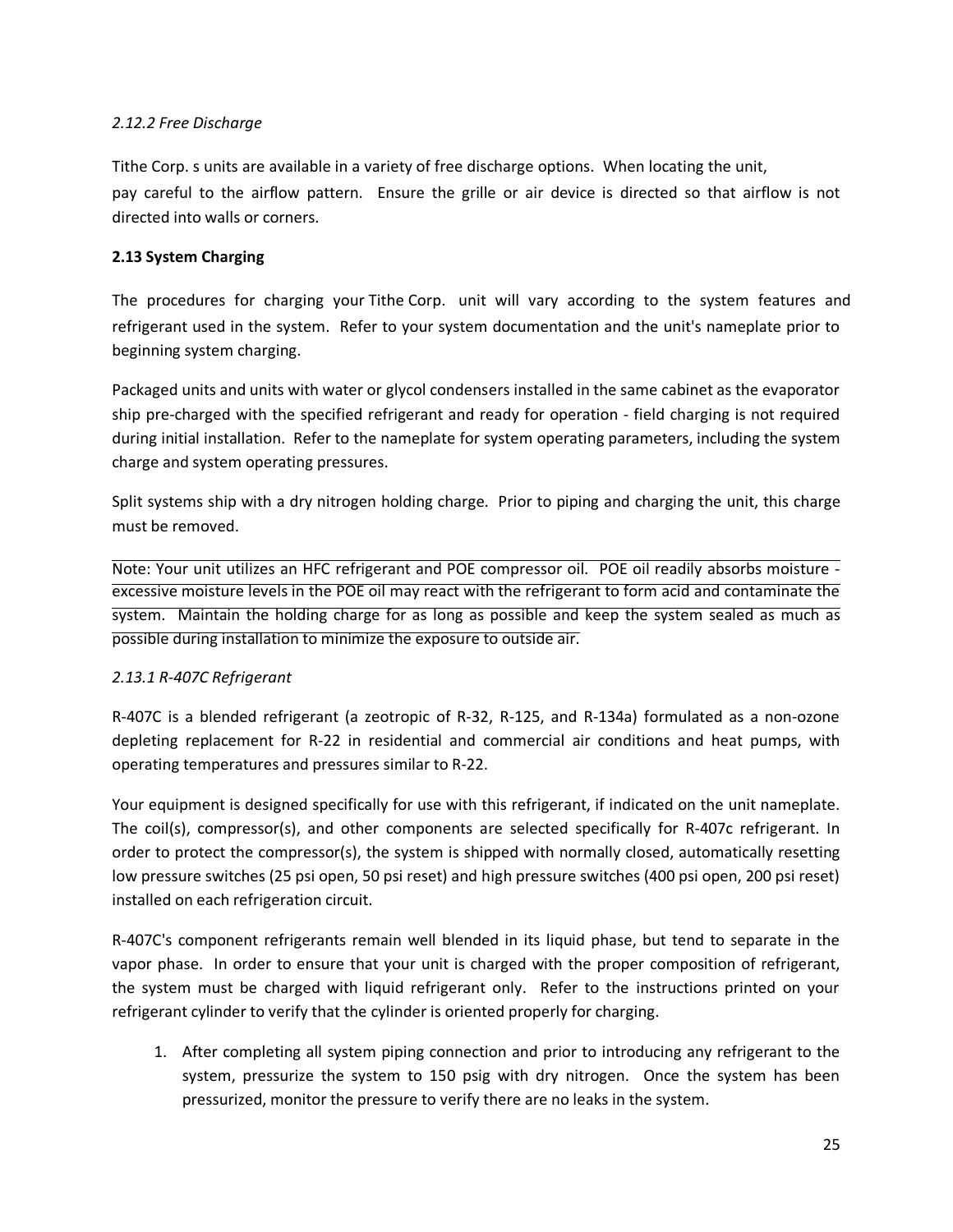#### *2.12.2 Free Discharge*

Tithe Corp. s units are available in a variety of free discharge options. When locating the unit, pay careful to the airflow pattern. Ensure the grille or air device is directed so that airflow is not directed into walls or corners.

#### **2.13 System Charging**

The procedures for charging your Tithe Corp. unit will vary according to the system features and refrigerant used in the system. Refer to your system documentation and the unit's nameplate prior to beginning system charging.

Packaged units and units with water or glycol condensers installed in the same cabinet as the evaporator ship pre-charged with the specified refrigerant and ready for operation - field charging is not required during initial installation. Refer to the nameplate for system operating parameters, including the system charge and system operating pressures.

Split systems ship with a dry nitrogen holding charge. Prior to piping and charging the unit, this charge must be removed.

Note: Your unit utilizes an HFC refrigerant and POE compressor oil. POE oil readily absorbs moisture excessive moisture levels in the POE oil may react with the refrigerant to form acid and contaminate the system. Maintain the holding charge for as long as possible and keep the system sealed as much as possible during installation to minimize the exposure to outside air.

#### *2.13.1 R-407C Refrigerant*

R-407C is a blended refrigerant (a zeotropic of R-32, R-125, and R-134a) formulated as a non-ozone depleting replacement for R-22 in residential and commercial air conditions and heat pumps, with operating temperatures and pressures similar to R-22.

Your equipment is designed specifically for use with this refrigerant, if indicated on the unit nameplate. The coil(s), compressor(s), and other components are selected specifically for R-407c refrigerant. In order to protect the compressor(s), the system is shipped with normally closed, automatically resetting low pressure switches (25 psi open, 50 psi reset) and high pressure switches (400 psi open, 200 psi reset) installed on each refrigeration circuit.

R-407C's component refrigerants remain well blended in its liquid phase, but tend to separate in the vapor phase. In order to ensure that your unit is charged with the proper composition of refrigerant, the system must be charged with liquid refrigerant only. Refer to the instructions printed on your refrigerant cylinder to verify that the cylinder is oriented properly for charging.

1. After completing all system piping connection and prior to introducing any refrigerant to the system, pressurize the system to 150 psig with dry nitrogen. Once the system has been pressurized, monitor the pressure to verify there are no leaks in the system.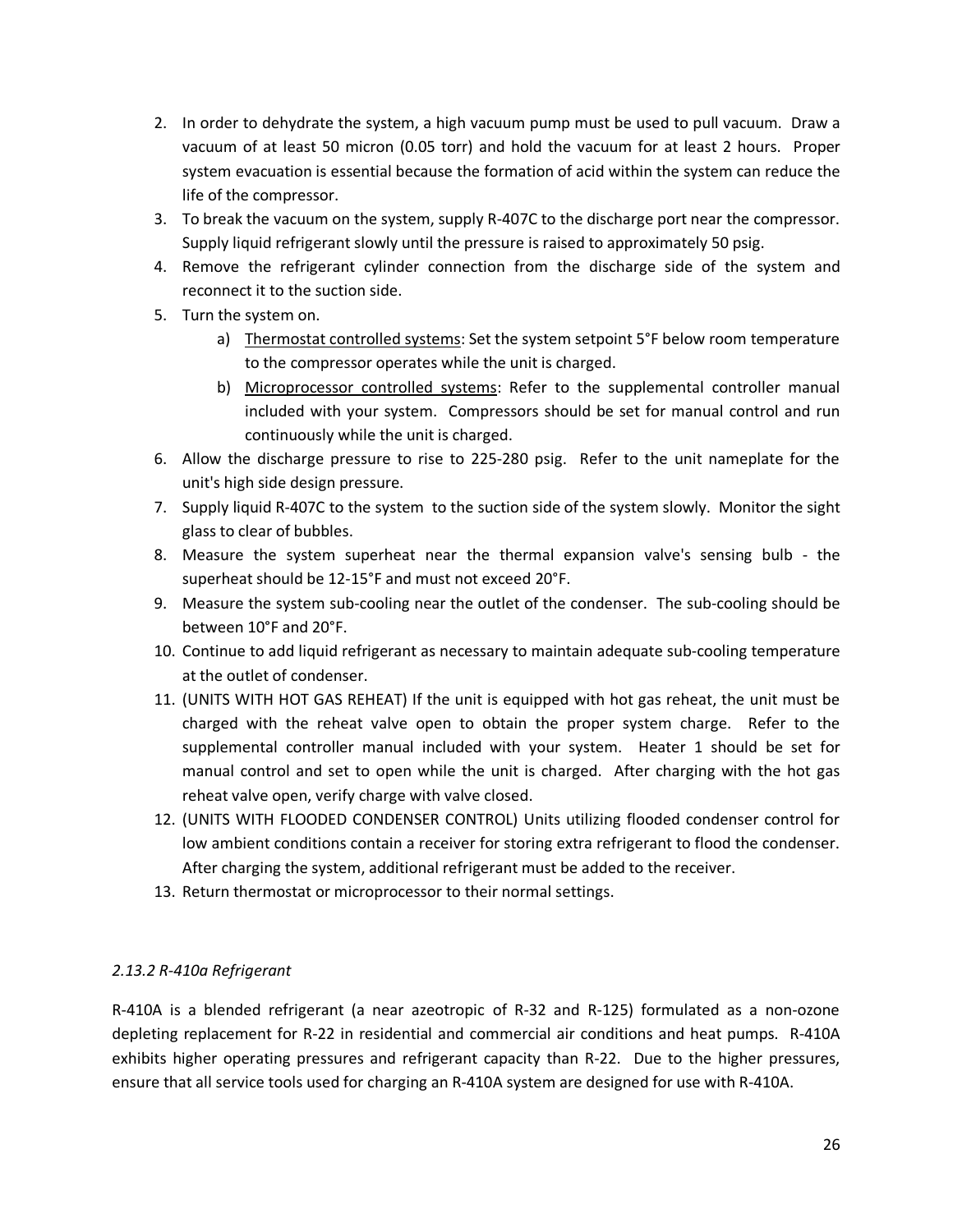- 2. In order to dehydrate the system, a high vacuum pump must be used to pull vacuum. Draw a vacuum of at least 50 micron (0.05 torr) and hold the vacuum for at least 2 hours. Proper system evacuation is essential because the formation of acid within the system can reduce the life of the compressor.
- 3. To break the vacuum on the system, supply R-407C to the discharge port near the compressor. Supply liquid refrigerant slowly until the pressure is raised to approximately 50 psig.
- 4. Remove the refrigerant cylinder connection from the discharge side of the system and reconnect it to the suction side.
- 5. Turn the system on.
	- a) Thermostat controlled systems: Set the system setpoint 5°F below room temperature to the compressor operates while the unit is charged.
	- b) Microprocessor controlled systems: Refer to the supplemental controller manual included with your system. Compressors should be set for manual control and run continuously while the unit is charged.
- 6. Allow the discharge pressure to rise to 225-280 psig. Refer to the unit nameplate for the unit's high side design pressure.
- 7. Supply liquid R-407C to the system to the suction side of the system slowly. Monitor the sight glass to clear of bubbles.
- 8. Measure the system superheat near the thermal expansion valve's sensing bulb the superheat should be 12-15°F and must not exceed 20°F.
- 9. Measure the system sub-cooling near the outlet of the condenser. The sub-cooling should be between 10°F and 20°F.
- 10. Continue to add liquid refrigerant as necessary to maintain adequate sub-cooling temperature at the outlet of condenser.
- 11. (UNITS WITH HOT GAS REHEAT) If the unit is equipped with hot gas reheat, the unit must be charged with the reheat valve open to obtain the proper system charge. Refer to the supplemental controller manual included with your system. Heater 1 should be set for manual control and set to open while the unit is charged. After charging with the hot gas reheat valve open, verify charge with valve closed.
- 12. (UNITS WITH FLOODED CONDENSER CONTROL) Units utilizing flooded condenser control for low ambient conditions contain a receiver for storing extra refrigerant to flood the condenser. After charging the system, additional refrigerant must be added to the receiver.
- 13. Return thermostat or microprocessor to their normal settings.

#### *2.13.2 R-410a Refrigerant*

R-410A is a blended refrigerant (a near azeotropic of R-32 and R-125) formulated as a non-ozone depleting replacement for R-22 in residential and commercial air conditions and heat pumps. R-410A exhibits higher operating pressures and refrigerant capacity than R-22. Due to the higher pressures, ensure that all service tools used for charging an R-410A system are designed for use with R-410A.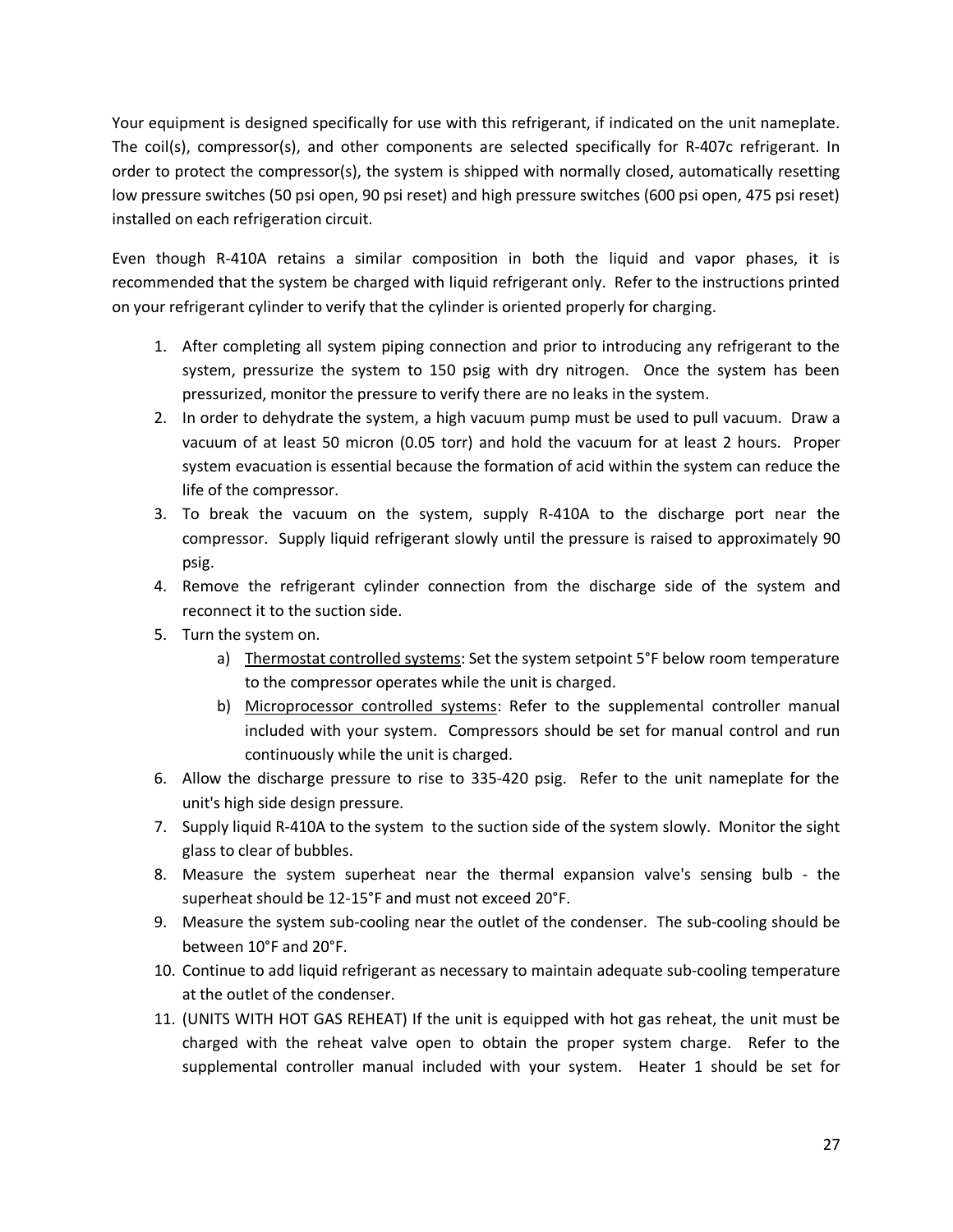Your equipment is designed specifically for use with this refrigerant, if indicated on the unit nameplate. The coil(s), compressor(s), and other components are selected specifically for R-407c refrigerant. In order to protect the compressor(s), the system is shipped with normally closed, automatically resetting low pressure switches (50 psi open, 90 psi reset) and high pressure switches (600 psi open, 475 psi reset) installed on each refrigeration circuit.

Even though R-410A retains a similar composition in both the liquid and vapor phases, it is recommended that the system be charged with liquid refrigerant only. Refer to the instructions printed on your refrigerant cylinder to verify that the cylinder is oriented properly for charging.

- 1. After completing all system piping connection and prior to introducing any refrigerant to the system, pressurize the system to 150 psig with dry nitrogen. Once the system has been pressurized, monitor the pressure to verify there are no leaks in the system.
- 2. In order to dehydrate the system, a high vacuum pump must be used to pull vacuum. Draw a vacuum of at least 50 micron (0.05 torr) and hold the vacuum for at least 2 hours. Proper system evacuation is essential because the formation of acid within the system can reduce the life of the compressor.
- 3. To break the vacuum on the system, supply R-410A to the discharge port near the compressor. Supply liquid refrigerant slowly until the pressure is raised to approximately 90 psig.
- 4. Remove the refrigerant cylinder connection from the discharge side of the system and reconnect it to the suction side.
- 5. Turn the system on.
	- a) Thermostat controlled systems: Set the system setpoint 5°F below room temperature to the compressor operates while the unit is charged.
	- b) Microprocessor controlled systems: Refer to the supplemental controller manual included with your system. Compressors should be set for manual control and run continuously while the unit is charged.
- 6. Allow the discharge pressure to rise to 335-420 psig. Refer to the unit nameplate for the unit's high side design pressure.
- 7. Supply liquid R-410A to the system to the suction side of the system slowly. Monitor the sight glass to clear of bubbles.
- 8. Measure the system superheat near the thermal expansion valve's sensing bulb the superheat should be 12-15°F and must not exceed 20°F.
- 9. Measure the system sub-cooling near the outlet of the condenser. The sub-cooling should be between 10°F and 20°F.
- 10. Continue to add liquid refrigerant as necessary to maintain adequate sub-cooling temperature at the outlet of the condenser.
- 11. (UNITS WITH HOT GAS REHEAT) If the unit is equipped with hot gas reheat, the unit must be charged with the reheat valve open to obtain the proper system charge. Refer to the supplemental controller manual included with your system. Heater 1 should be set for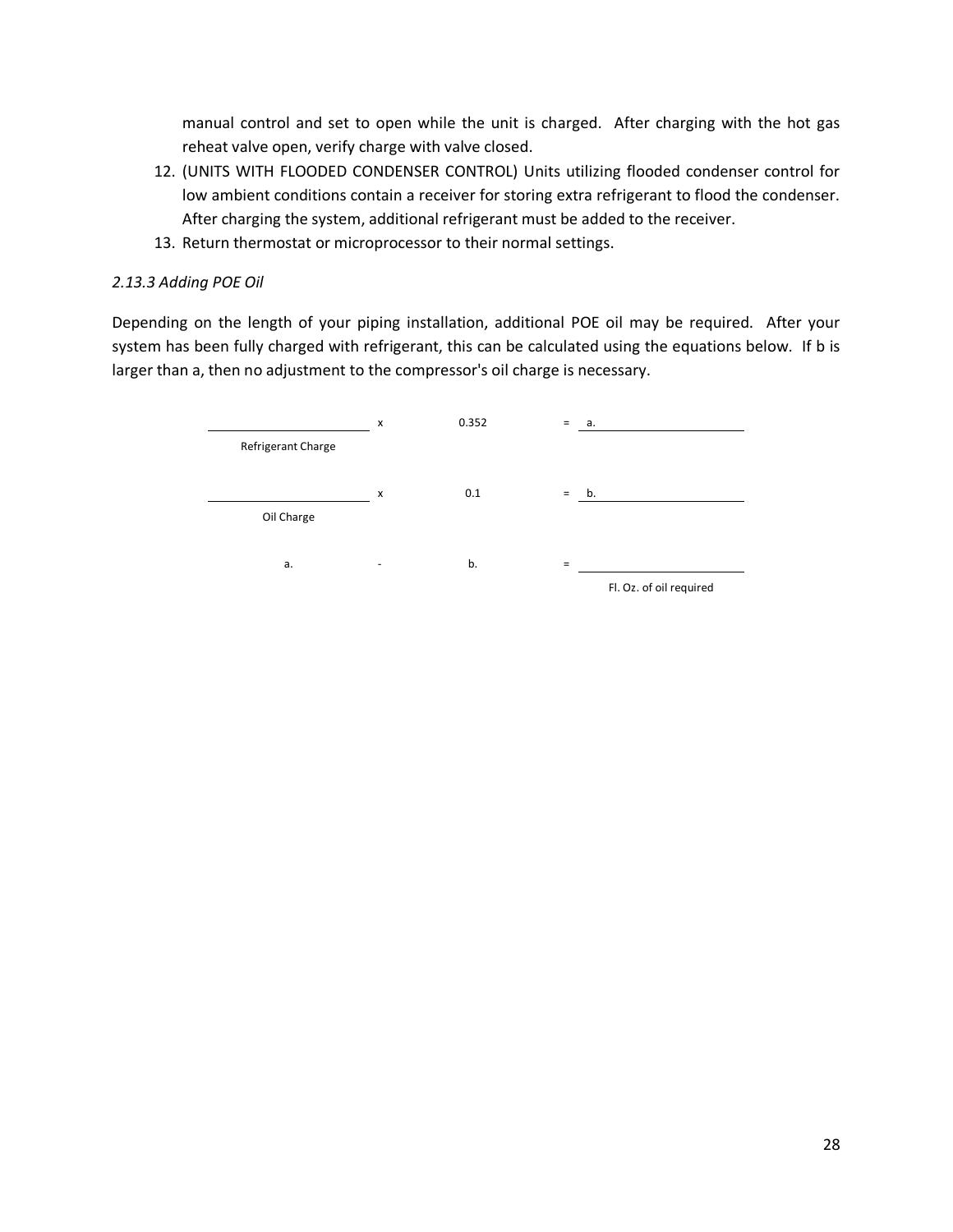manual control and set to open while the unit is charged. After charging with the hot gas reheat valve open, verify charge with valve closed.

- 12. (UNITS WITH FLOODED CONDENSER CONTROL) Units utilizing flooded condenser control for low ambient conditions contain a receiver for storing extra refrigerant to flood the condenser. After charging the system, additional refrigerant must be added to the receiver.
- 13. Return thermostat or microprocessor to their normal settings.

#### *2.13.3 Adding POE Oil*

Depending on the length of your piping installation, additional POE oil may be required. After your system has been fully charged with refrigerant, this can be calculated using the equations below. If b is larger than a, then no adjustment to the compressor's oil charge is necessary.

|                    | x | 0.352 | $=$ | а.                      |
|--------------------|---|-------|-----|-------------------------|
| Refrigerant Charge |   |       |     |                         |
|                    | x | 0.1   | $=$ | b.                      |
| Oil Charge         |   |       |     |                         |
| a.                 | ۰ | b.    | $=$ |                         |
|                    |   |       |     | Fl. Oz. of oil required |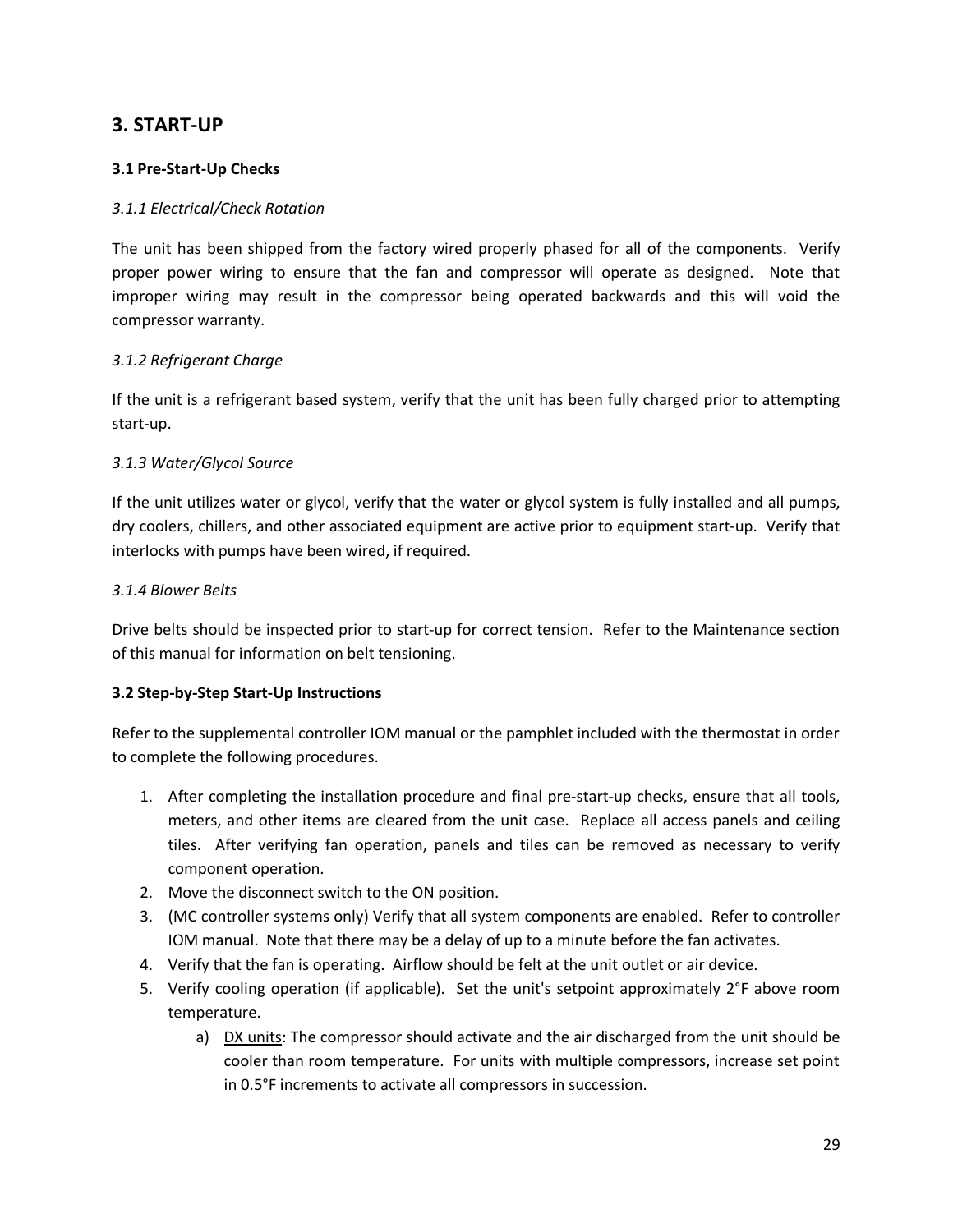#### **3. START-UP**

#### **3.1 Pre-Start-Up Checks**

#### *3.1.1 Electrical/Check Rotation*

The unit has been shipped from the factory wired properly phased for all of the components. Verify proper power wiring to ensure that the fan and compressor will operate as designed. Note that improper wiring may result in the compressor being operated backwards and this will void the compressor warranty.

#### *3.1.2 Refrigerant Charge*

If the unit is a refrigerant based system, verify that the unit has been fully charged prior to attempting start-up.

#### *3.1.3 Water/Glycol Source*

If the unit utilizes water or glycol, verify that the water or glycol system is fully installed and all pumps, dry coolers, chillers, and other associated equipment are active prior to equipment start-up. Verify that interlocks with pumps have been wired, if required.

#### *3.1.4 Blower Belts*

Drive belts should be inspected prior to start-up for correct tension. Refer to the Maintenance section of this manual for information on belt tensioning.

#### **3.2 Step-by-Step Start-Up Instructions**

Refer to the supplemental controller IOM manual or the pamphlet included with the thermostat in order to complete the following procedures.

- 1. After completing the installation procedure and final pre-start-up checks, ensure that all tools, meters, and other items are cleared from the unit case. Replace all access panels and ceiling tiles. After verifying fan operation, panels and tiles can be removed as necessary to verify component operation.
- 2. Move the disconnect switch to the ON position.
- 3. (MC controller systems only) Verify that all system components are enabled. Refer to controller IOM manual. Note that there may be a delay of up to a minute before the fan activates.
- 4. Verify that the fan is operating. Airflow should be felt at the unit outlet or air device.
- 5. Verify cooling operation (if applicable). Set the unit's setpoint approximately 2°F above room temperature.
	- a) DX units: The compressor should activate and the air discharged from the unit should be cooler than room temperature. For units with multiple compressors, increase set point in 0.5°F increments to activate all compressors in succession.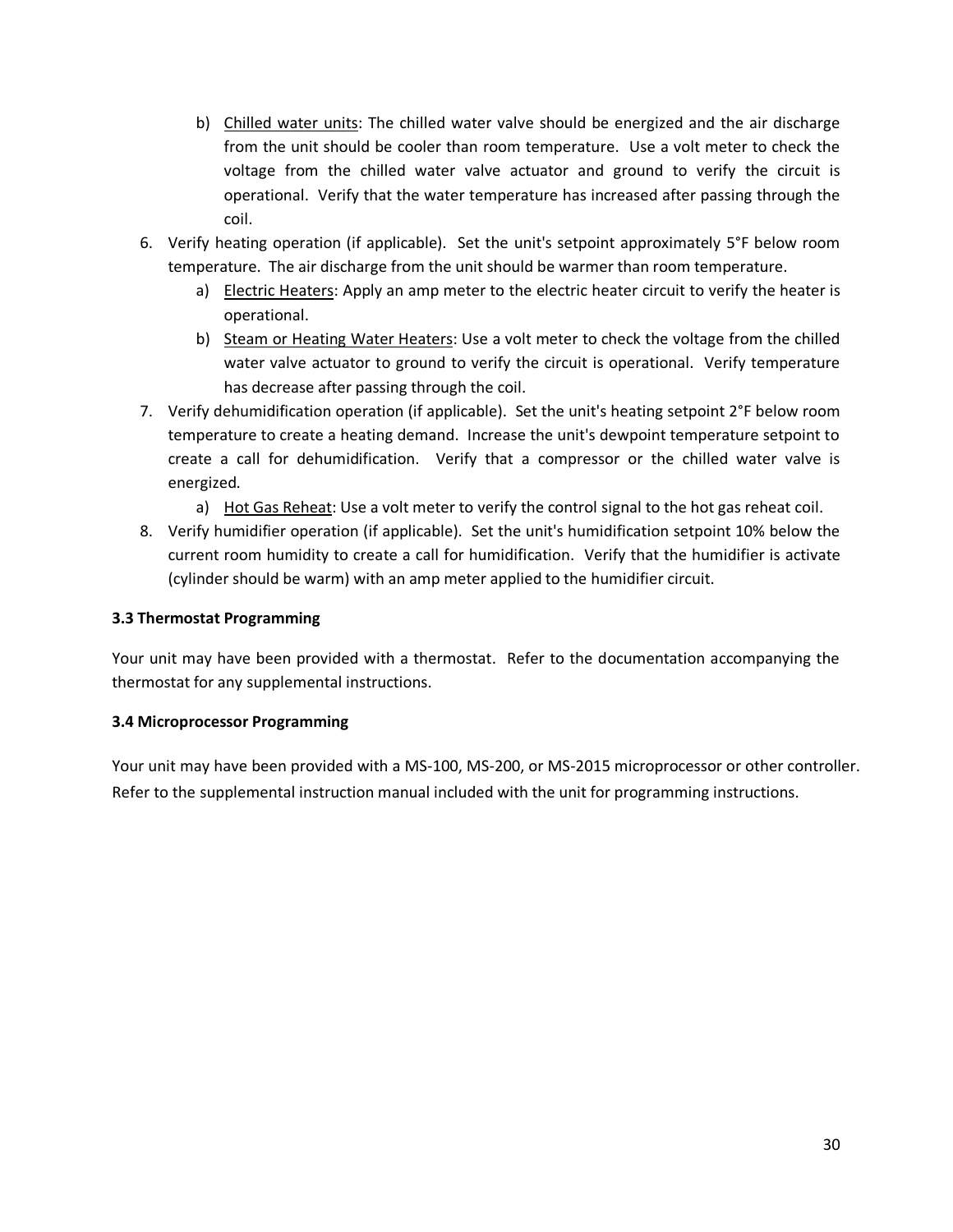- b) Chilled water units: The chilled water valve should be energized and the air discharge from the unit should be cooler than room temperature. Use a volt meter to check the voltage from the chilled water valve actuator and ground to verify the circuit is operational. Verify that the water temperature has increased after passing through the coil.
- 6. Verify heating operation (if applicable). Set the unit's setpoint approximately 5°F below room temperature. The air discharge from the unit should be warmer than room temperature.
	- a) Electric Heaters: Apply an amp meter to the electric heater circuit to verify the heater is operational.
	- b) Steam or Heating Water Heaters: Use a volt meter to check the voltage from the chilled water valve actuator to ground to verify the circuit is operational. Verify temperature has decrease after passing through the coil.
- 7. Verify dehumidification operation (if applicable). Set the unit's heating setpoint 2°F below room temperature to create a heating demand. Increase the unit's dewpoint temperature setpoint to create a call for dehumidification. Verify that a compressor or the chilled water valve is energized.
	- a) Hot Gas Reheat: Use a volt meter to verify the control signal to the hot gas reheat coil.
- 8. Verify humidifier operation (if applicable). Set the unit's humidification setpoint 10% below the current room humidity to create a call for humidification. Verify that the humidifier is activate (cylinder should be warm) with an amp meter applied to the humidifier circuit.

#### **3.3 Thermostat Programming**

Your unit may have been provided with a thermostat. Refer to the documentation accompanying the thermostat for any supplemental instructions.

#### **3.4 Microprocessor Programming**

Your unit may have been provided with a MS-100, MS-200, or MS-2015 microprocessor or other controller. Refer to the supplemental instruction manual included with the unit for programming instructions.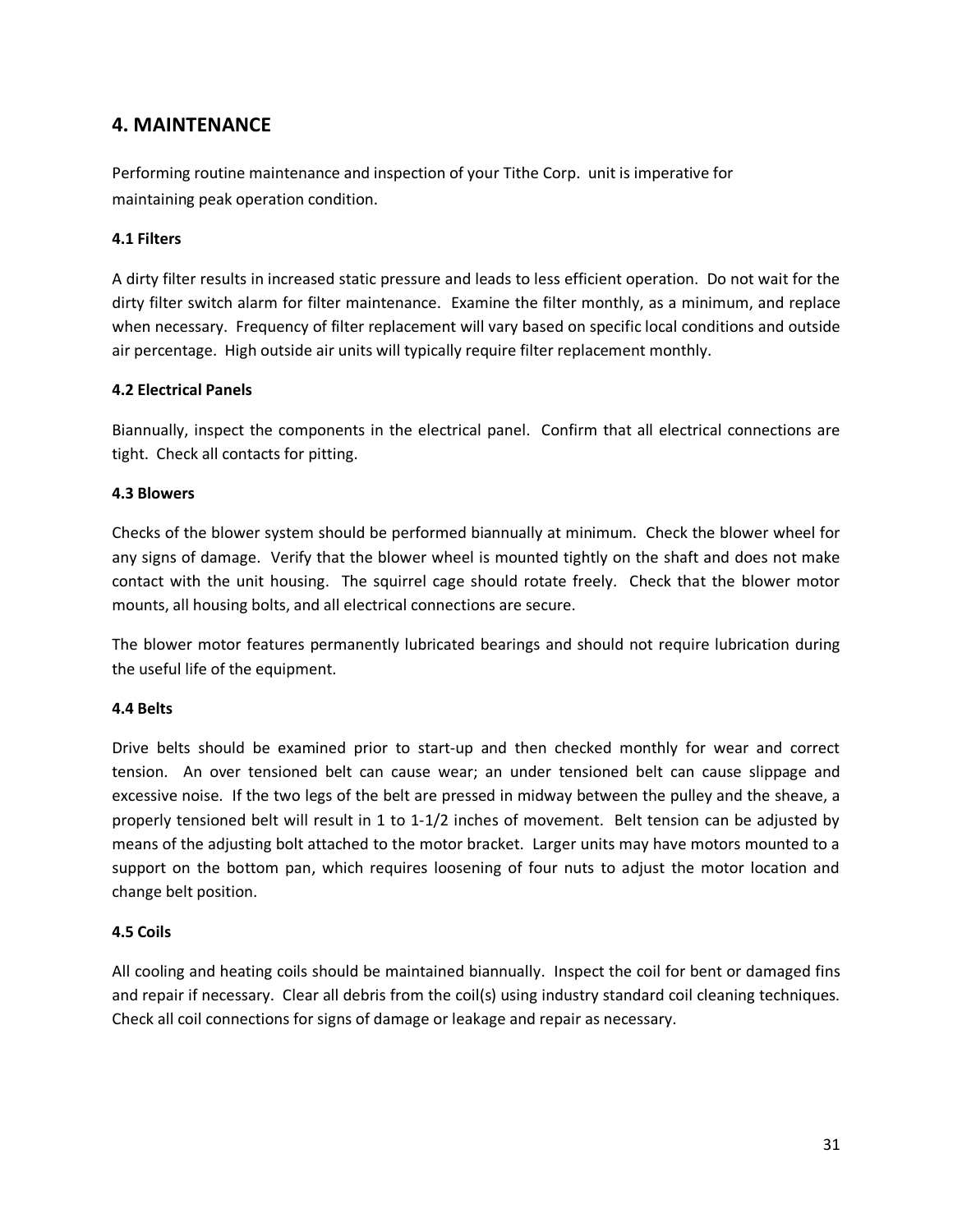#### **4. MAINTENANCE**

Performing routine maintenance and inspection of your Tithe Corp. unit is imperative for maintaining peak operation condition.

#### **4.1 Filters**

A dirty filter results in increased static pressure and leads to less efficient operation. Do not wait for the dirty filter switch alarm for filter maintenance. Examine the filter monthly, as a minimum, and replace when necessary. Frequency of filter replacement will vary based on specific local conditions and outside air percentage. High outside air units will typically require filter replacement monthly.

#### **4.2 Electrical Panels**

Biannually, inspect the components in the electrical panel. Confirm that all electrical connections are tight. Check all contacts for pitting.

#### **4.3 Blowers**

Checks of the blower system should be performed biannually at minimum. Check the blower wheel for any signs of damage. Verify that the blower wheel is mounted tightly on the shaft and does not make contact with the unit housing. The squirrel cage should rotate freely. Check that the blower motor mounts, all housing bolts, and all electrical connections are secure.

The blower motor features permanently lubricated bearings and should not require lubrication during the useful life of the equipment.

#### **4.4 Belts**

Drive belts should be examined prior to start-up and then checked monthly for wear and correct tension. An over tensioned belt can cause wear; an under tensioned belt can cause slippage and excessive noise. If the two legs of the belt are pressed in midway between the pulley and the sheave, a properly tensioned belt will result in 1 to 1-1/2 inches of movement. Belt tension can be adjusted by means of the adjusting bolt attached to the motor bracket. Larger units may have motors mounted to a support on the bottom pan, which requires loosening of four nuts to adjust the motor location and change belt position.

#### **4.5 Coils**

All cooling and heating coils should be maintained biannually. Inspect the coil for bent or damaged fins and repair if necessary. Clear all debris from the coil(s) using industry standard coil cleaning techniques. Check all coil connections for signs of damage or leakage and repair as necessary.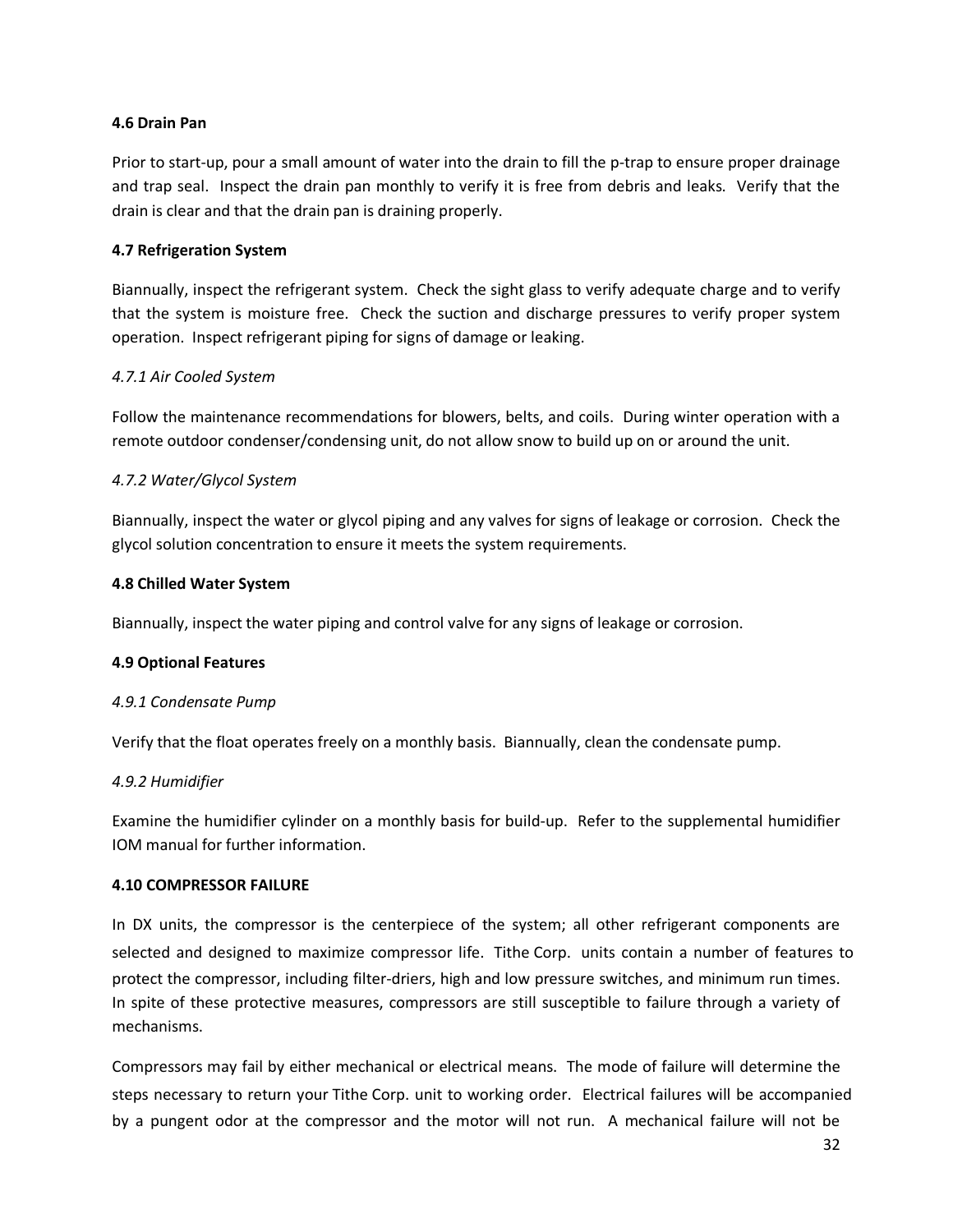#### **4.6 Drain Pan**

Prior to start-up, pour a small amount of water into the drain to fill the p-trap to ensure proper drainage and trap seal. Inspect the drain pan monthly to verify it is free from debris and leaks. Verify that the drain is clear and that the drain pan is draining properly.

#### **4.7 Refrigeration System**

Biannually, inspect the refrigerant system. Check the sight glass to verify adequate charge and to verify that the system is moisture free. Check the suction and discharge pressures to verify proper system operation. Inspect refrigerant piping for signs of damage or leaking.

#### *4.7.1 Air Cooled System*

Follow the maintenance recommendations for blowers, belts, and coils. During winter operation with a remote outdoor condenser/condensing unit, do not allow snow to build up on or around the unit.

#### *4.7.2 Water/Glycol System*

Biannually, inspect the water or glycol piping and any valves for signs of leakage or corrosion. Check the glycol solution concentration to ensure it meets the system requirements.

#### **4.8 Chilled Water System**

Biannually, inspect the water piping and control valve for any signs of leakage or corrosion.

#### **4.9 Optional Features**

#### *4.9.1 Condensate Pump*

Verify that the float operates freely on a monthly basis. Biannually, clean the condensate pump.

#### *4.9.2 Humidifier*

Examine the humidifier cylinder on a monthly basis for build-up. Refer to the supplemental humidifier IOM manual for further information.

#### **4.10 COMPRESSOR FAILURE**

In DX units, the compressor is the centerpiece of the system; all other refrigerant components are selected and designed to maximize compressor life. Tithe Corp. units contain a number of features to protect the compressor, including filter-driers, high and low pressure switches, and minimum run times. In spite of these protective measures, compressors are still susceptible to failure through a variety of mechanisms.

Compressors may fail by either mechanical or electrical means. The mode of failure will determine the steps necessary to return your Tithe Corp. unit to working order. Electrical failures will be accompanied by a pungent odor at the compressor and the motor will not run. A mechanical failure will not be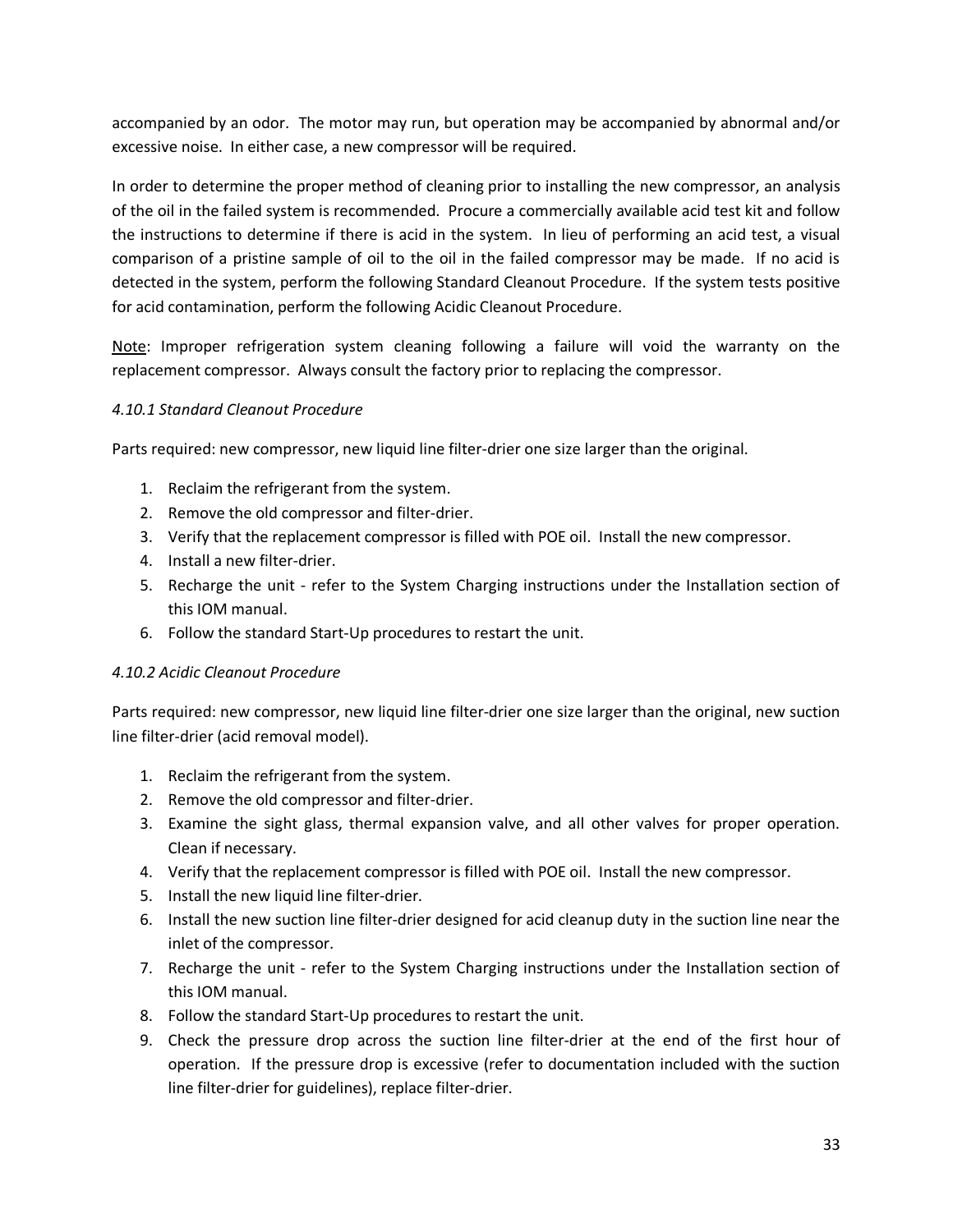accompanied by an odor. The motor may run, but operation may be accompanied by abnormal and/or excessive noise. In either case, a new compressor will be required.

In order to determine the proper method of cleaning prior to installing the new compressor, an analysis of the oil in the failed system is recommended. Procure a commercially available acid test kit and follow the instructions to determine if there is acid in the system. In lieu of performing an acid test, a visual comparison of a pristine sample of oil to the oil in the failed compressor may be made. If no acid is detected in the system, perform the following Standard Cleanout Procedure. If the system tests positive for acid contamination, perform the following Acidic Cleanout Procedure.

Note: Improper refrigeration system cleaning following a failure will void the warranty on the replacement compressor. Always consult the factory prior to replacing the compressor.

#### *4.10.1 Standard Cleanout Procedure*

Parts required: new compressor, new liquid line filter-drier one size larger than the original.

- 1. Reclaim the refrigerant from the system.
- 2. Remove the old compressor and filter-drier.
- 3. Verify that the replacement compressor is filled with POE oil. Install the new compressor.
- 4. Install a new filter-drier.
- 5. Recharge the unit refer to the System Charging instructions under the Installation section of this IOM manual.
- 6. Follow the standard Start-Up procedures to restart the unit.

#### *4.10.2 Acidic Cleanout Procedure*

Parts required: new compressor, new liquid line filter-drier one size larger than the original, new suction line filter-drier (acid removal model).

- 1. Reclaim the refrigerant from the system.
- 2. Remove the old compressor and filter-drier.
- 3. Examine the sight glass, thermal expansion valve, and all other valves for proper operation. Clean if necessary.
- 4. Verify that the replacement compressor is filled with POE oil. Install the new compressor.
- 5. Install the new liquid line filter-drier.
- 6. Install the new suction line filter-drier designed for acid cleanup duty in the suction line near the inlet of the compressor.
- 7. Recharge the unit refer to the System Charging instructions under the Installation section of this IOM manual.
- 8. Follow the standard Start-Up procedures to restart the unit.
- 9. Check the pressure drop across the suction line filter-drier at the end of the first hour of operation. If the pressure drop is excessive (refer to documentation included with the suction line filter-drier for guidelines), replace filter-drier.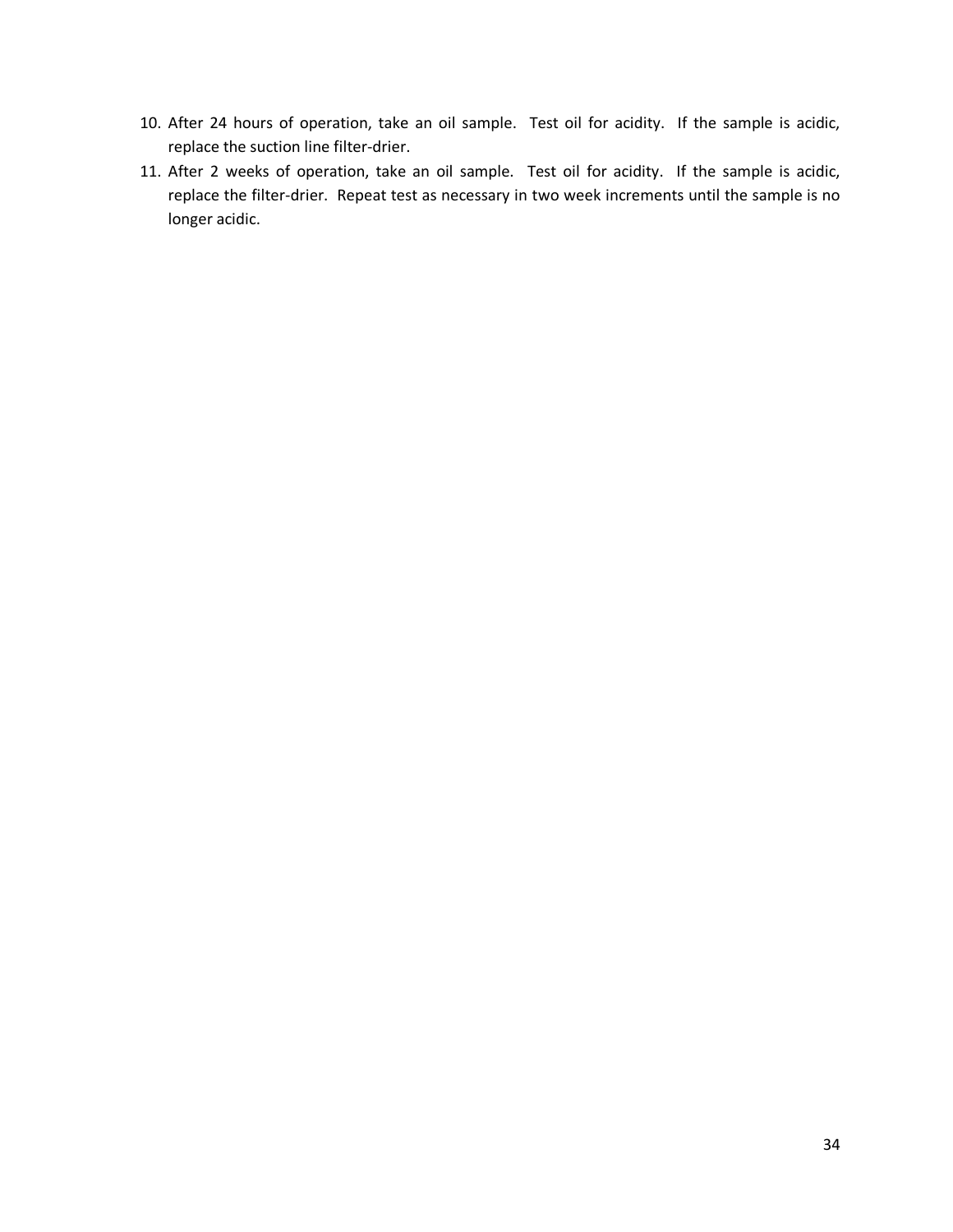- 10. After 24 hours of operation, take an oil sample. Test oil for acidity. If the sample is acidic, replace the suction line filter-drier.
- 11. After 2 weeks of operation, take an oil sample. Test oil for acidity. If the sample is acidic, replace the filter-drier. Repeat test as necessary in two week increments until the sample is no longer acidic.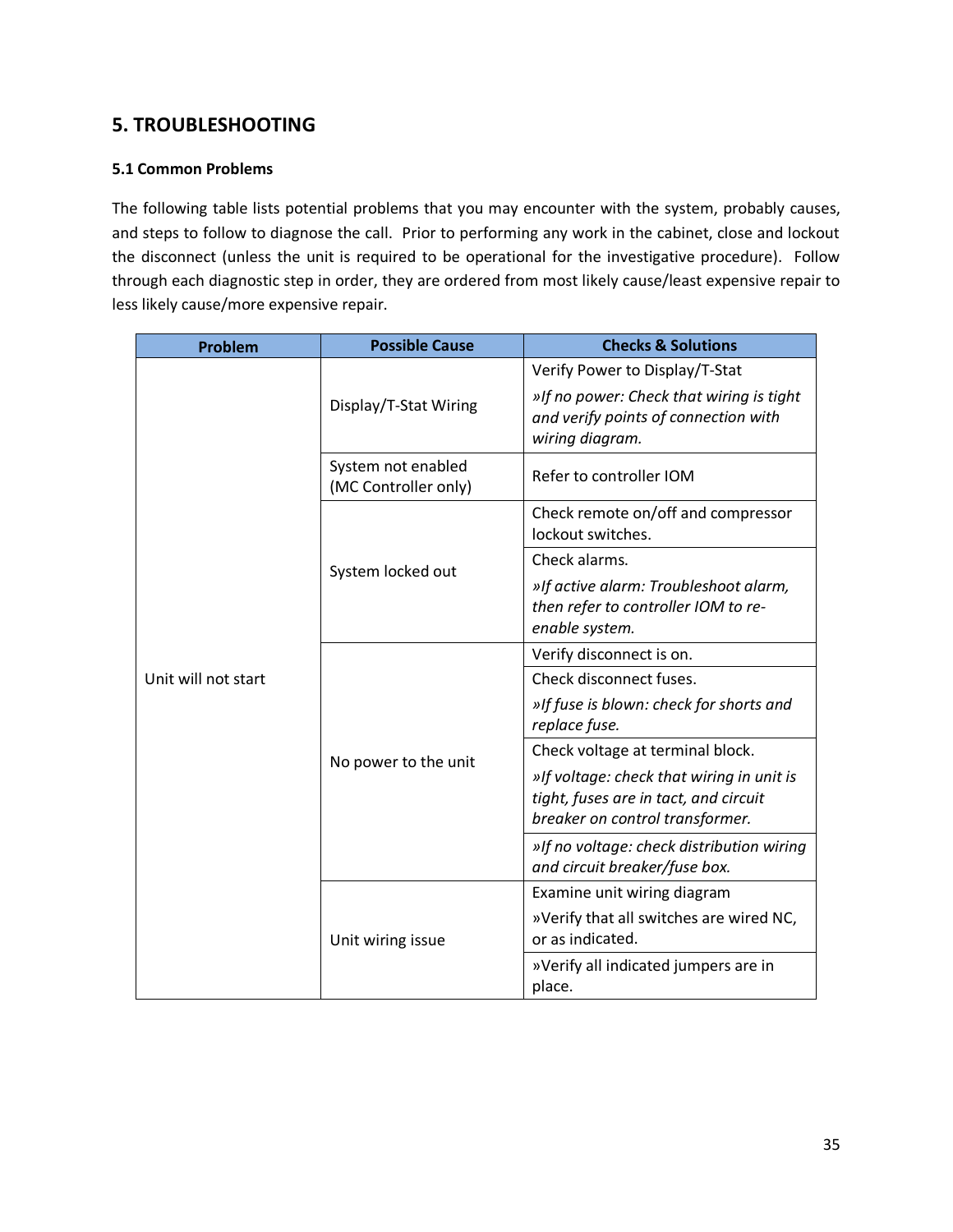## **5. TROUBLESHOOTING**

#### **5.1 Common Problems**

The following table lists potential problems that you may encounter with the system, probably causes, and steps to follow to diagnose the call. Prior to performing any work in the cabinet, close and lockout the disconnect (unless the unit is required to be operational for the investigative procedure). Follow through each diagnostic step in order, they are ordered from most likely cause/least expensive repair to less likely cause/more expensive repair.

| Problem             | <b>Possible Cause</b>                      | <b>Checks &amp; Solutions</b>                                                                                         |  |  |  |  |  |
|---------------------|--------------------------------------------|-----------------------------------------------------------------------------------------------------------------------|--|--|--|--|--|
|                     |                                            | Verify Power to Display/T-Stat                                                                                        |  |  |  |  |  |
|                     | Display/T-Stat Wiring                      | »If no power: Check that wiring is tight<br>and verify points of connection with<br>wiring diagram.                   |  |  |  |  |  |
|                     | System not enabled<br>(MC Controller only) | Refer to controller IOM                                                                                               |  |  |  |  |  |
|                     |                                            | Check remote on/off and compressor<br>lockout switches.                                                               |  |  |  |  |  |
|                     | System locked out                          | Check alarms.                                                                                                         |  |  |  |  |  |
|                     |                                            | »If active alarm: Troubleshoot alarm,<br>then refer to controller IOM to re-<br>enable system.                        |  |  |  |  |  |
|                     |                                            | Verify disconnect is on.                                                                                              |  |  |  |  |  |
| Unit will not start |                                            | Check disconnect fuses.                                                                                               |  |  |  |  |  |
|                     |                                            | »If fuse is blown: check for shorts and<br>replace fuse.                                                              |  |  |  |  |  |
|                     | No power to the unit                       | Check voltage at terminal block.                                                                                      |  |  |  |  |  |
|                     |                                            | »If voltage: check that wiring in unit is<br>tight, fuses are in tact, and circuit<br>breaker on control transformer. |  |  |  |  |  |
|                     |                                            | »If no voltage: check distribution wiring<br>and circuit breaker/fuse box.                                            |  |  |  |  |  |
|                     |                                            | Examine unit wiring diagram                                                                                           |  |  |  |  |  |
|                     | Unit wiring issue                          | »Verify that all switches are wired NC,<br>or as indicated.                                                           |  |  |  |  |  |
|                     |                                            | »Verify all indicated jumpers are in<br>place.                                                                        |  |  |  |  |  |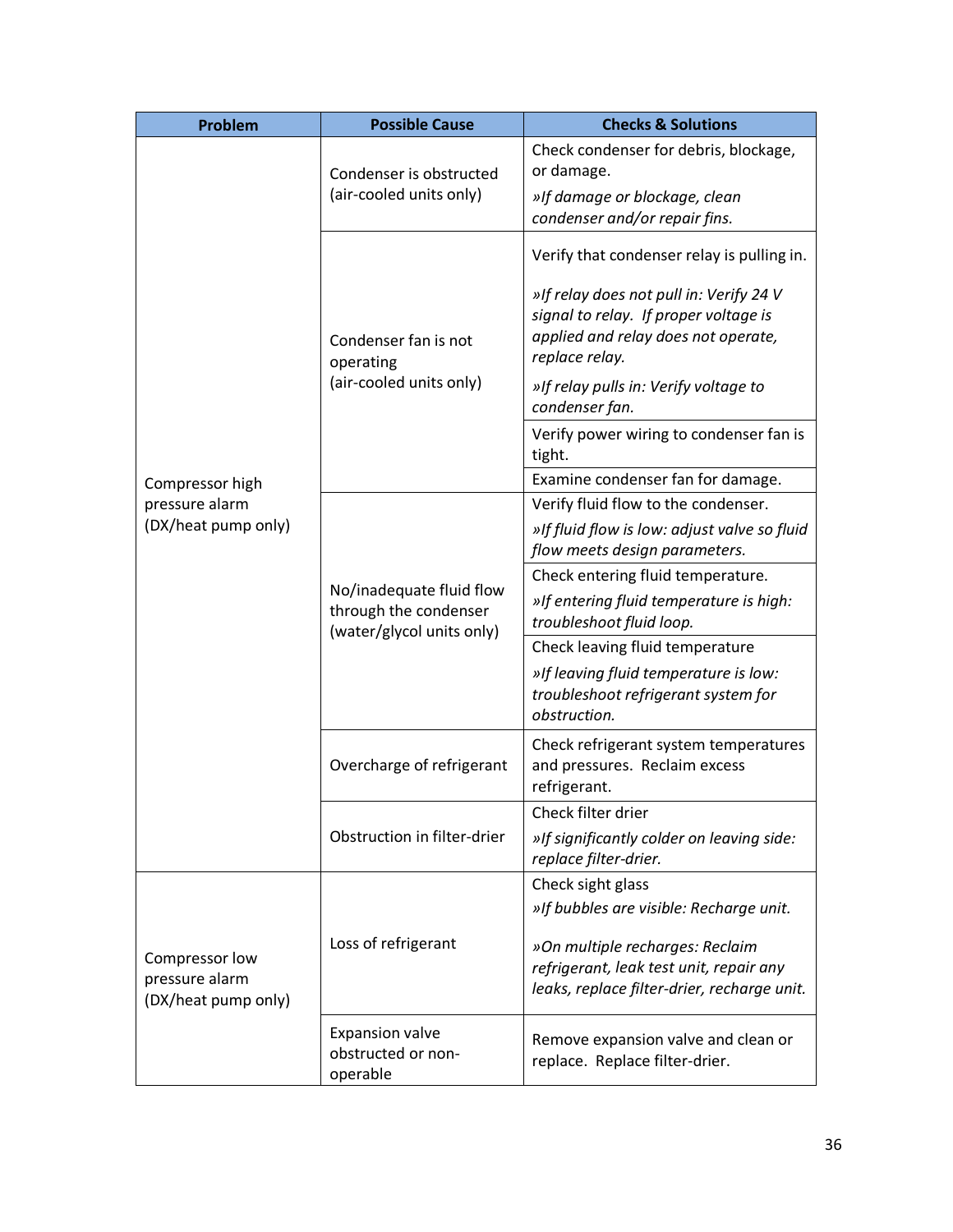| Problem                                                 | <b>Possible Cause</b>                                                          | <b>Checks &amp; Solutions</b>                                                                                                             |  |  |  |  |  |
|---------------------------------------------------------|--------------------------------------------------------------------------------|-------------------------------------------------------------------------------------------------------------------------------------------|--|--|--|--|--|
|                                                         | Condenser is obstructed                                                        | Check condenser for debris, blockage,<br>or damage.                                                                                       |  |  |  |  |  |
|                                                         | (air-cooled units only)                                                        | »If damage or blockage, clean<br>condenser and/or repair fins.                                                                            |  |  |  |  |  |
|                                                         |                                                                                | Verify that condenser relay is pulling in.                                                                                                |  |  |  |  |  |
|                                                         | Condenser fan is not<br>operating                                              | »If relay does not pull in: Verify 24 V<br>signal to relay. If proper voltage is<br>applied and relay does not operate,<br>replace relay. |  |  |  |  |  |
|                                                         | (air-cooled units only)                                                        | »If relay pulls in: Verify voltage to<br>condenser fan.                                                                                   |  |  |  |  |  |
|                                                         |                                                                                | Verify power wiring to condenser fan is<br>tight.                                                                                         |  |  |  |  |  |
| Compressor high                                         |                                                                                | Examine condenser fan for damage.                                                                                                         |  |  |  |  |  |
| pressure alarm                                          |                                                                                | Verify fluid flow to the condenser.                                                                                                       |  |  |  |  |  |
| (DX/heat pump only)                                     |                                                                                | »If fluid flow is low: adjust valve so fluid<br>flow meets design parameters.                                                             |  |  |  |  |  |
|                                                         |                                                                                | Check entering fluid temperature.                                                                                                         |  |  |  |  |  |
|                                                         | No/inadequate fluid flow<br>through the condenser<br>(water/glycol units only) | »If entering fluid temperature is high:<br>troubleshoot fluid loop.                                                                       |  |  |  |  |  |
|                                                         |                                                                                | Check leaving fluid temperature                                                                                                           |  |  |  |  |  |
|                                                         |                                                                                | »If leaving fluid temperature is low:<br>troubleshoot refrigerant system for<br>obstruction.                                              |  |  |  |  |  |
|                                                         | Overcharge of refrigerant                                                      | Check refrigerant system temperatures<br>and pressures. Reclaim excess<br>refrigerant.                                                    |  |  |  |  |  |
|                                                         |                                                                                | Check filter drier                                                                                                                        |  |  |  |  |  |
|                                                         | Obstruction in filter-drier                                                    | »If significantly colder on leaving side:<br>replace filter-drier.                                                                        |  |  |  |  |  |
|                                                         |                                                                                | Check sight glass                                                                                                                         |  |  |  |  |  |
|                                                         |                                                                                | »If bubbles are visible: Recharge unit.                                                                                                   |  |  |  |  |  |
| Compressor low<br>pressure alarm<br>(DX/heat pump only) | Loss of refrigerant                                                            | »On multiple recharges: Reclaim<br>refrigerant, leak test unit, repair any<br>leaks, replace filter-drier, recharge unit.                 |  |  |  |  |  |
|                                                         | <b>Expansion valve</b><br>obstructed or non-<br>operable                       | Remove expansion valve and clean or<br>replace. Replace filter-drier.                                                                     |  |  |  |  |  |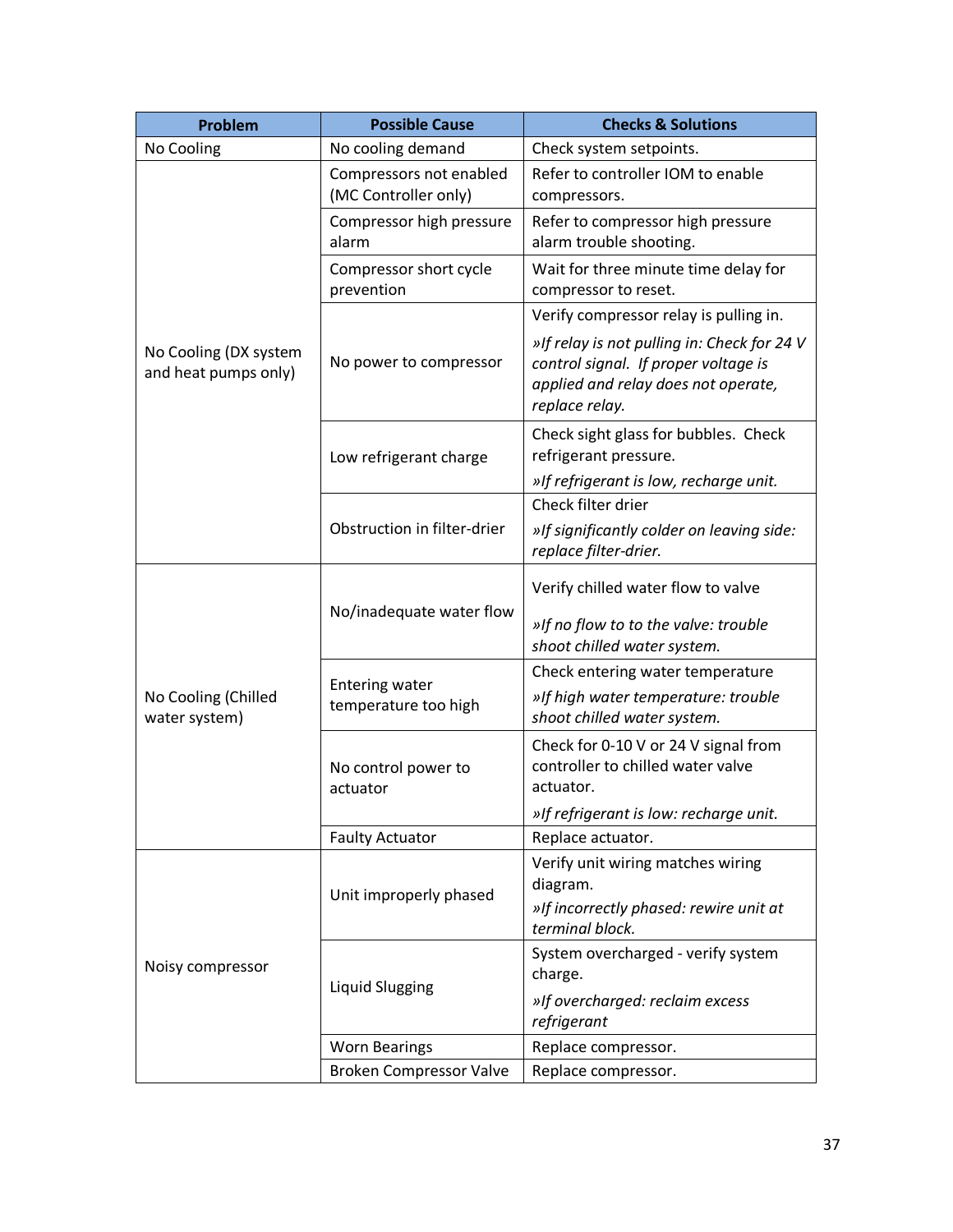| Problem                                       | <b>Possible Cause</b>                           | <b>Checks &amp; Solutions</b>                                                                                                                |
|-----------------------------------------------|-------------------------------------------------|----------------------------------------------------------------------------------------------------------------------------------------------|
| No Cooling                                    | No cooling demand                               | Check system setpoints.                                                                                                                      |
| No Cooling (DX system<br>and heat pumps only) | Compressors not enabled<br>(MC Controller only) | Refer to controller IOM to enable<br>compressors.                                                                                            |
|                                               | Compressor high pressure<br>alarm               | Refer to compressor high pressure<br>alarm trouble shooting.                                                                                 |
|                                               | Compressor short cycle<br>prevention            | Wait for three minute time delay for<br>compressor to reset.                                                                                 |
|                                               | No power to compressor                          | Verify compressor relay is pulling in.                                                                                                       |
|                                               |                                                 | »If relay is not pulling in: Check for 24 V<br>control signal. If proper voltage is<br>applied and relay does not operate,<br>replace relay. |
|                                               | Low refrigerant charge                          | Check sight glass for bubbles. Check<br>refrigerant pressure.                                                                                |
|                                               |                                                 | »If refrigerant is low, recharge unit.                                                                                                       |
|                                               | Obstruction in filter-drier                     | Check filter drier                                                                                                                           |
|                                               |                                                 | »If significantly colder on leaving side:<br>replace filter-drier.                                                                           |
| No Cooling (Chilled<br>water system)          | No/inadequate water flow                        | Verify chilled water flow to valve                                                                                                           |
|                                               |                                                 | »If no flow to to the valve: trouble<br>shoot chilled water system.                                                                          |
|                                               | <b>Entering water</b><br>temperature too high   | Check entering water temperature                                                                                                             |
|                                               |                                                 | »If high water temperature: trouble<br>shoot chilled water system.                                                                           |
|                                               | No control power to<br>actuator                 | Check for 0-10 V or 24 V signal from<br>controller to chilled water valve<br>actuator.                                                       |
|                                               |                                                 | »If refrigerant is low: recharge unit.                                                                                                       |
|                                               | <b>Faulty Actuator</b>                          | Replace actuator.                                                                                                                            |
| Noisy compressor                              | Unit improperly phased                          | Verify unit wiring matches wiring                                                                                                            |
|                                               |                                                 | diagram.                                                                                                                                     |
|                                               |                                                 | »If incorrectly phased: rewire unit at<br>terminal block.                                                                                    |
|                                               | <b>Liquid Slugging</b>                          | System overcharged - verify system<br>charge.                                                                                                |
|                                               |                                                 | »If overcharged: reclaim excess<br>refrigerant                                                                                               |
|                                               | <b>Worn Bearings</b>                            | Replace compressor.                                                                                                                          |
|                                               | <b>Broken Compressor Valve</b>                  | Replace compressor.                                                                                                                          |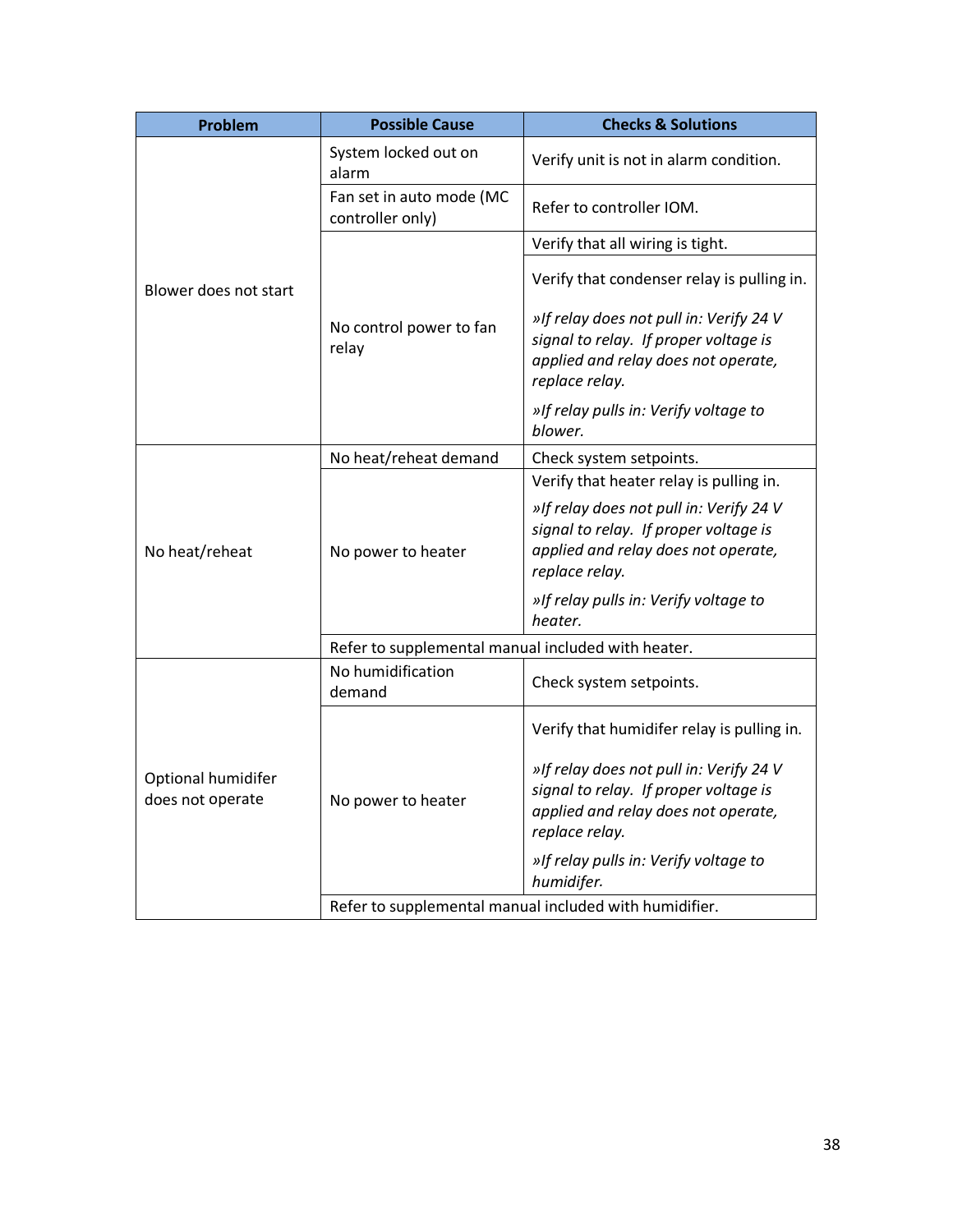| Problem                                | <b>Possible Cause</b>                                  | <b>Checks &amp; Solutions</b>                                                                                                             |
|----------------------------------------|--------------------------------------------------------|-------------------------------------------------------------------------------------------------------------------------------------------|
| Blower does not start                  | System locked out on<br>alarm                          | Verify unit is not in alarm condition.                                                                                                    |
|                                        | Fan set in auto mode (MC<br>controller only)           | Refer to controller IOM.                                                                                                                  |
|                                        | No control power to fan<br>relay                       | Verify that all wiring is tight.                                                                                                          |
|                                        |                                                        | Verify that condenser relay is pulling in.                                                                                                |
|                                        |                                                        | »If relay does not pull in: Verify 24 V<br>signal to relay. If proper voltage is<br>applied and relay does not operate,<br>replace relay. |
|                                        |                                                        | »If relay pulls in: Verify voltage to<br>blower.                                                                                          |
| No heat/reheat                         | No heat/reheat demand                                  | Check system setpoints.                                                                                                                   |
|                                        | No power to heater                                     | Verify that heater relay is pulling in.                                                                                                   |
|                                        |                                                        | »If relay does not pull in: Verify 24 V<br>signal to relay. If proper voltage is<br>applied and relay does not operate,<br>replace relay. |
|                                        |                                                        | »If relay pulls in: Verify voltage to<br>heater.                                                                                          |
|                                        | Refer to supplemental manual included with heater.     |                                                                                                                                           |
| Optional humidifer<br>does not operate | No humidification<br>demand                            | Check system setpoints.                                                                                                                   |
|                                        | No power to heater                                     | Verify that humidifer relay is pulling in.                                                                                                |
|                                        |                                                        | »If relay does not pull in: Verify 24 V<br>signal to relay. If proper voltage is<br>applied and relay does not operate,<br>replace relay. |
|                                        |                                                        | »If relay pulls in: Verify voltage to<br>humidifer.                                                                                       |
|                                        | Refer to supplemental manual included with humidifier. |                                                                                                                                           |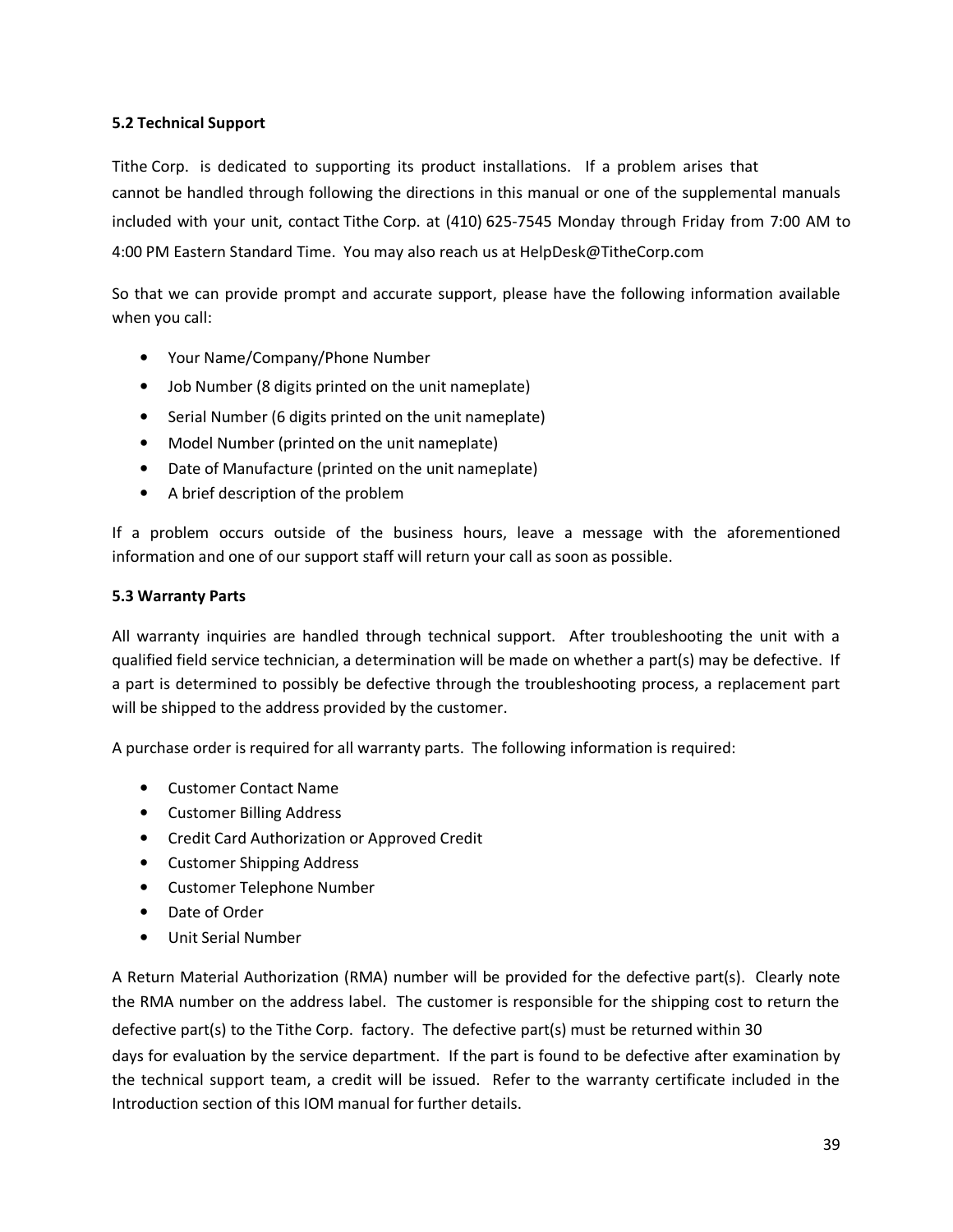#### **5.2 Technical Support**

Tithe Corp. is dedicated to supporting its product installations. If a problem arises that cannot be handled through following the directions in this manual or one of the supplemental manuals included with your unit, contact Tithe Corp. at (410) 625-7545 Monday through Friday from 7:00 AM to 4:00 PM Eastern Standard Time. You may also reach us at HelpDesk@TitheCorp.com

So that we can provide prompt and accurate support, please have the following information available when you call:

- Your Name/Company/Phone Number
- Job Number (8 digits printed on the unit nameplate)
- Serial Number (6 digits printed on the unit nameplate)
- Model Number (printed on the unit nameplate)
- Date of Manufacture (printed on the unit nameplate)
- A brief description of the problem

If a problem occurs outside of the business hours, leave a message with the aforementioned information and one of our support staff will return your call as soon as possible.

#### **5.3 Warranty Parts**

All warranty inquiries are handled through technical support. After troubleshooting the unit with a qualified field service technician, a determination will be made on whether a part(s) may be defective. If a part is determined to possibly be defective through the troubleshooting process, a replacement part will be shipped to the address provided by the customer.

A purchase order is required for all warranty parts. The following information is required:

- Customer Contact Name
- Customer Billing Address
- Credit Card Authorization or Approved Credit
- Customer Shipping Address
- Customer Telephone Number
- Date of Order
- Unit Serial Number

A Return Material Authorization (RMA) number will be provided for the defective part(s). Clearly note the RMA number on the address label. The customer is responsible for the shipping cost to return the defective part(s) to the Tithe Corp. factory. The defective part(s) must be returned within 30 days for evaluation by the service department. If the part is found to be defective after examination by the technical support team, a credit will be issued. Refer to the warranty certificate included in the Introduction section of this IOM manual for further details.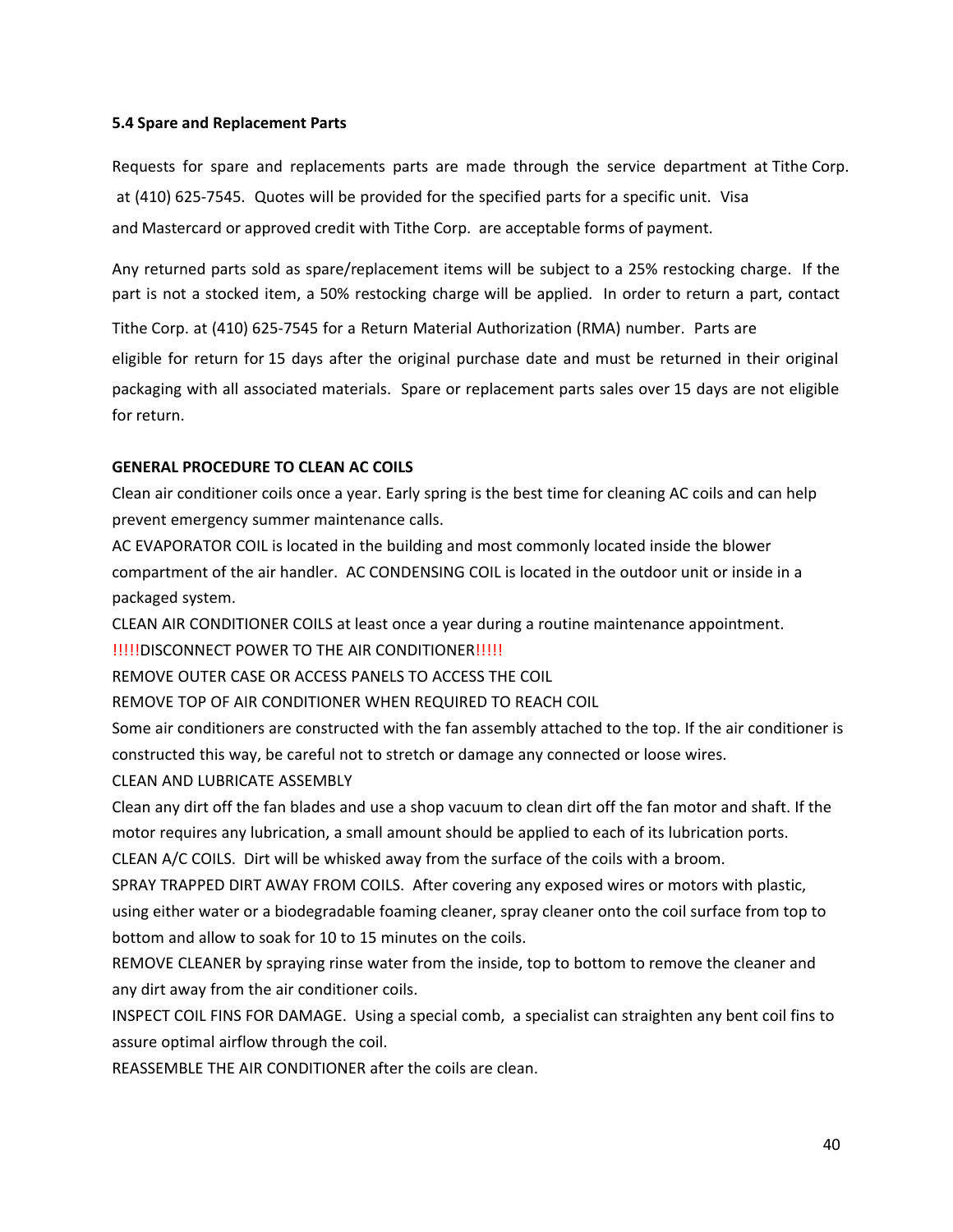#### **5.4 Spare and Replacement Parts**

Requests for spare and replacements parts are made through the service department at Tithe Corp. at (410) 625-7545. Quotes will be provided for the specified parts for a specific unit. Visa and Mastercard or approved credit with Tithe Corp. are acceptable forms of payment.

Any returned parts sold as spare/replacement items will be subject to a 25% restocking charge. If the part is not a stocked item, a 50% restocking charge will be applied. In order to return a part, contact

Tithe Corp. at (410) 625-7545 for a Return Material Authorization (RMA) number. Parts are

eligible for return for 15 days after the original purchase date and must be returned in their original packaging with all associated materials. Spare or replacement parts sales over 15 days are not eligible for return.

#### **GENERAL PROCEDURE TO CLEAN AC COILS**

Clean air conditioner coils once a year. Early spring is the best time for cleaning AC coils and can help prevent emergency summer maintenance calls.

AC EVAPORATOR COIL is located in the building and most commonly located inside the blower compartment of the air handler. AC CONDENSING COIL is located in the outdoor unit or inside in a packaged system.

CLEAN AIR CONDITIONER COILS at least once a year during a routine maintenance appointment.

!!!!!DISCONNECT POWER TO THE AIR CONDITIONER!!!!!

REMOVE OUTER CASE OR ACCESS PANELS TO ACCESS THE COIL

REMOVE TOP OF AIR CONDITIONER WHEN REQUIRED TO REACH COIL

Some air conditioners are constructed with the fan assembly attached to the top. If the air conditioner is constructed this way, be careful not to stretch or damage any connected or loose wires.

CLEAN AND LUBRICATE ASSEMBLY

Clean any dirt off the fan blades and use a shop vacuum to clean dirt off the fan motor and shaft. If the motor requires any lubrication, a small amount should be applied to each of its lubrication ports.

CLEAN A/C COILS. Dirt will be whisked away from the surface of the coils with a broom.

SPRAY TRAPPED DIRT AWAY FROM COILS. After covering any exposed wires or motors with plastic, using either water or a biodegradable foaming cleaner, spray cleaner onto the coil surface from top to bottom and allow to soak for 10 to 15 minutes on the coils.

REMOVE CLEANER by spraying rinse water from the inside, top to bottom to remove the cleaner and any dirt away from the air conditioner coils.

INSPECT COIL FINS FOR DAMAGE. Using a special comb, a specialist can straighten any bent coil fins to assure optimal airflow through the coil.

REASSEMBLE THE AIR CONDITIONER after the coils are clean.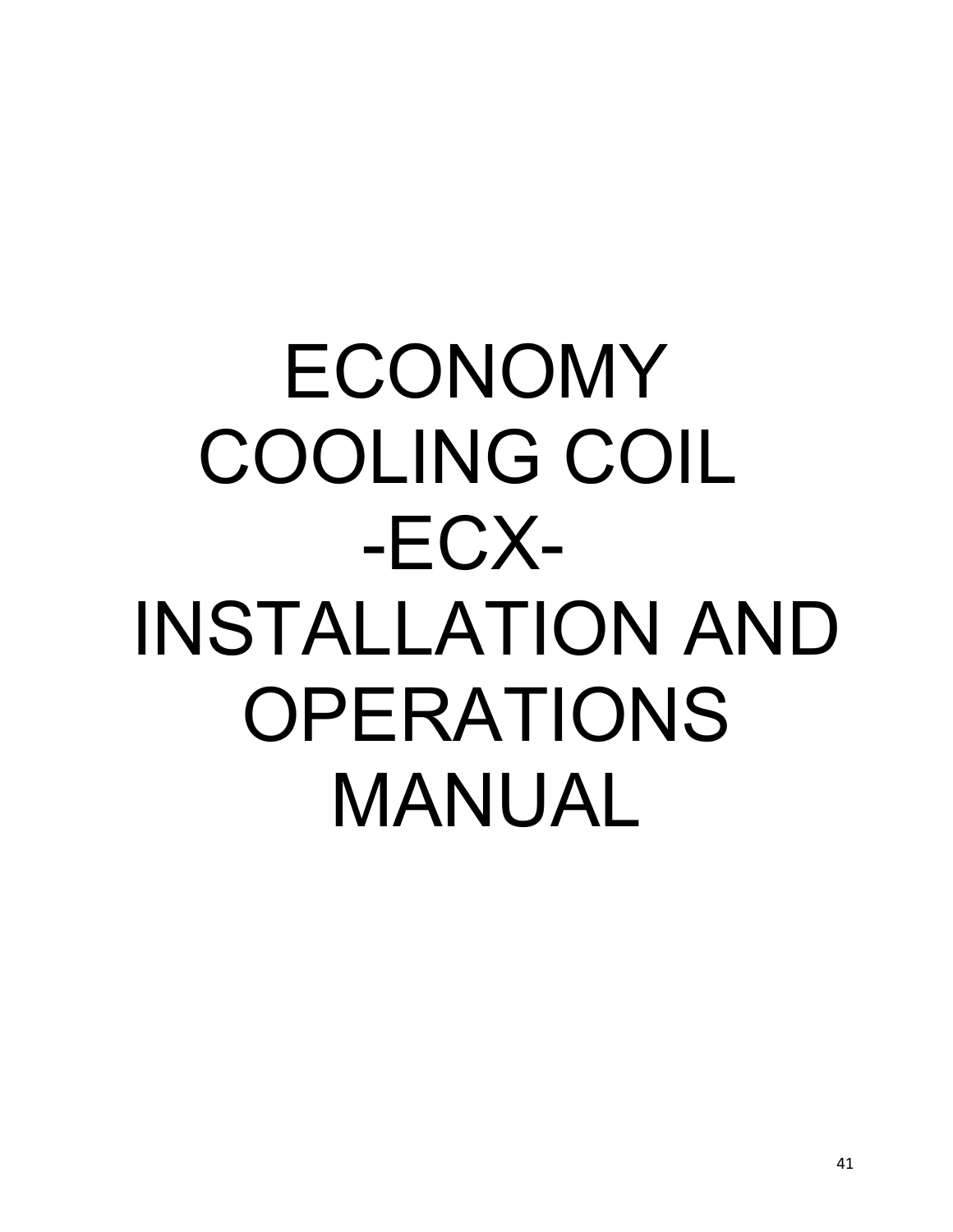# ECONOMY COOLING COIL -ECX- INSTALLATION AND OPERATIONS MANUAL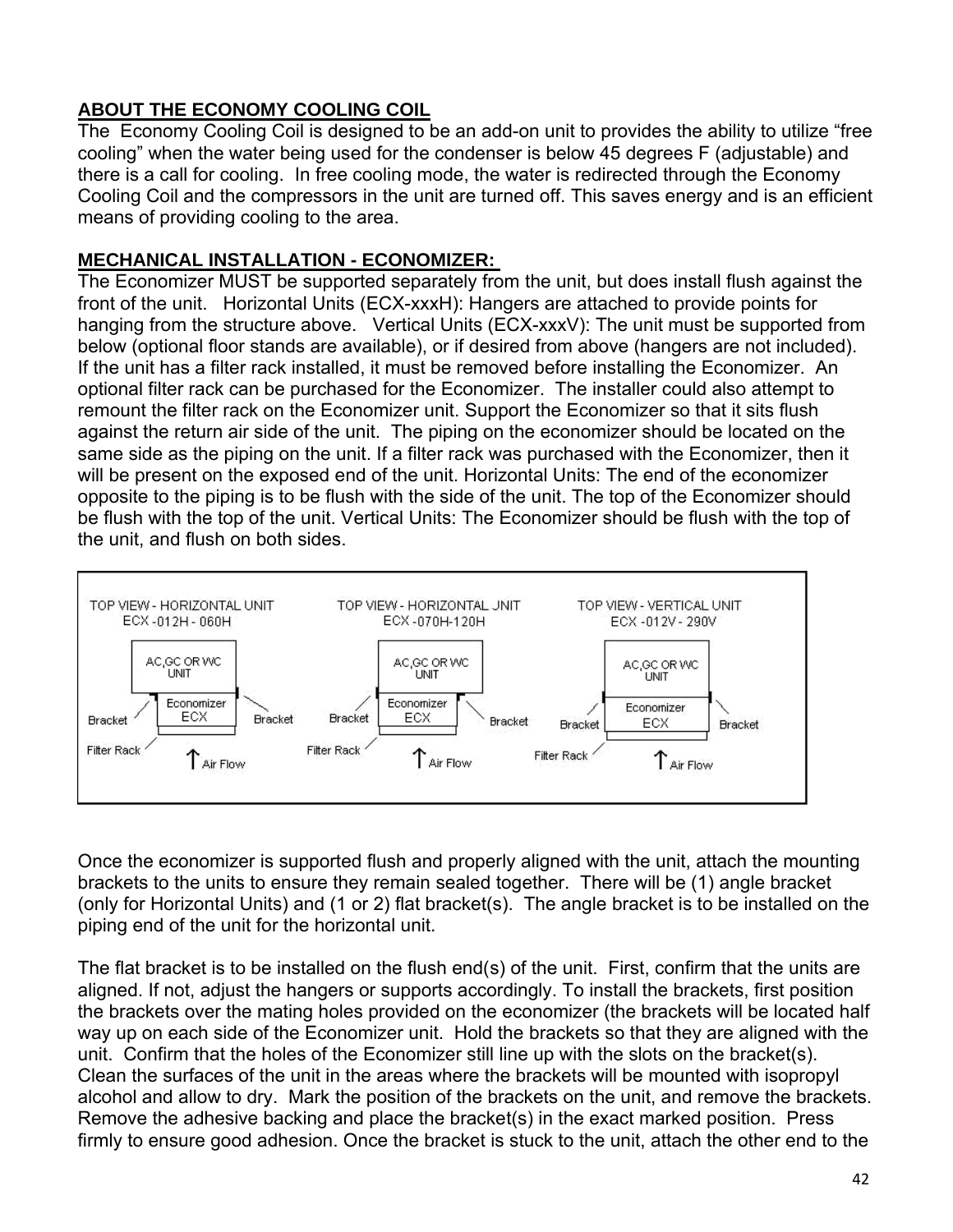## **ABOUT THE ECONOMY COOLING COIL**

The Economy Cooling Coil is designed to be an add-on unit to provides the ability to utilize "free cooling" when the water being used for the condenser is below 45 degrees F (adjustable) and there is a call for cooling. In free cooling mode, the water is redirected through the Economy Cooling Coil and the compressors in the unit are turned off. This saves energy and is an efficient means of providing cooling to the area.

## **MECHANICAL INSTALLATION - ECONOMIZER:**

The Economizer MUST be supported separately from the unit, but does install flush against the front of the unit. Horizontal Units (ECX-xxxH): Hangers are attached to provide points for hanging from the structure above. Vertical Units (ECX-xxxV): The unit must be supported from below (optional floor stands are available), or if desired from above (hangers are not included). If the unit has a filter rack installed, it must be removed before installing the Economizer. An optional filter rack can be purchased for the Economizer. The installer could also attempt to remount the filter rack on the Economizer unit. Support the Economizer so that it sits flush against the return air side of the unit. The piping on the economizer should be located on the same side as the piping on the unit. If a filter rack was purchased with the Economizer, then it will be present on the exposed end of the unit. Horizontal Units: The end of the economizer opposite to the piping is to be flush with the side of the unit. The top of the Economizer should be flush with the top of the unit. Vertical Units: The Economizer should be flush with the top of the unit, and flush on both sides.



Once the economizer is supported flush and properly aligned with the unit, attach the mounting brackets to the units to ensure they remain sealed together. There will be (1) angle bracket (only for Horizontal Units) and (1 or 2) flat bracket(s). The angle bracket is to be installed on the piping end of the unit for the horizontal unit.

The flat bracket is to be installed on the flush end(s) of the unit. First, confirm that the units are aligned. If not, adjust the hangers or supports accordingly. To install the brackets, first position the brackets over the mating holes provided on the economizer (the brackets will be located half way up on each side of the Economizer unit. Hold the brackets so that they are aligned with the unit. Confirm that the holes of the Economizer still line up with the slots on the bracket(s). Clean the surfaces of the unit in the areas where the brackets will be mounted with isopropyl alcohol and allow to dry. Mark the position of the brackets on the unit, and remove the brackets. Remove the adhesive backing and place the bracket(s) in the exact marked position. Press firmly to ensure good adhesion. Once the bracket is stuck to the unit, attach the other end to the